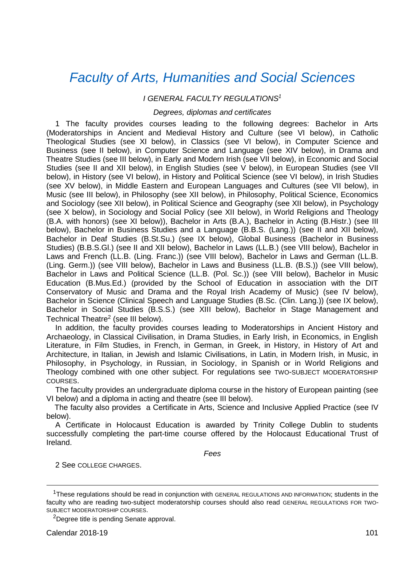# *Faculty of Arts, Humanities [and Social Sciences](http://ahss.tcd.ie/)*

### *I GENERAL FACULTY REGULATIONS<sup>1</sup>*

# *Degrees, diplomas and certificates*

1 The faculty provides courses leading to the following degrees: Bachelor in Arts (Moderatorships in Ancient and Medieval History and Culture (see VI below), in Catholic Theological Studies (see XI below), in Classics (see VI below), in Computer Science and Business (see II below), in Computer Science and Language (see XIV below), in Drama and Theatre Studies (see III below), in Early and Modern Irish (see VII below), in Economic and Social Studies (see II and XII below), in English Studies (see V below), in European Studies (see VII below), in History (see VI below), in History and Political Science (see VI below), in Irish Studies (see XV below), in Middle Eastern and European Languages and Cultures (see VII below), in Music (see III below), in Philosophy (see XII below), in Philosophy, Political Science, Economics and Sociology (see XII below), in Political Science and Geography (see XII below), in Psychology (see X below), in Sociology and Social Policy (see XII below), in World Religions and Theology (B.A. with honors) (see XI below)), Bachelor in Arts (B.A.), Bachelor in Acting (B.Histr.) (see III below), Bachelor in Business Studies and a Language (B.B.S. (Lang.)) (see II and XII below), Bachelor in Deaf Studies (B.St.Su.) (see IX below), Global Business (Bachelor in Business Studies) (B.B.S.Gl.) (see II and XII below), Bachelor in Laws (LL.B.) (see VIII below), Bachelor in Laws and French (LL.B. (Ling. Franc.)) (see VIII below), Bachelor in Laws and German (LL.B. (Ling. Germ.)) (see VIII below), Bachelor in Laws and Business (LL.B. (B.S.)) (see VIII below), Bachelor in Laws and Political Science (LL.B. (Pol. Sc.)) (see VIII below), Bachelor in Music Education (B.Mus.Ed.) (provided by the School of Education in association with the DIT Conservatory of Music and Drama and the Royal Irish Academy of Music) (see IV below), Bachelor in Science (Clinical Speech and Language Studies (B.Sc. (Clin. Lang.)) (see IX below), Bachelor in Social Studies (B.S.S.) (see XIII below), Bachelor in Stage Management and Technical Theatre<sup>2</sup> (see III below).

In addition, the faculty provides courses leading to Moderatorships in Ancient History and Archaeology, in Classical Civilisation, in Drama Studies, in Early Irish, in Economics, in English Literature, in Film Studies, in French, in German, in Greek, in History, in History of Art and Architecture, in Italian, in Jewish and Islamic Civilisations, in Latin, in Modern Irish, in Music, in Philosophy, in Psychology, in Russian, in Sociology, in Spanish or in World Religions and Theology combined with one other subject. For regulations see TWO-SUBJECT MODERATORSHIP COURSES.

The faculty provides an undergraduate diploma course in the history of European painting (see VI below) and a diploma in acting and theatre (see III below).

The faculty also provides a Certificate in Arts, Science and Inclusive Applied Practice (see IV below).

A Certificate in Holocaust Education is awarded by Trinity College Dublin to students successfully completing the part-time course offered by the Holocaust Educational Trust of Ireland.

*Fees*

2 See COLLEGE CHARGES.

-

<sup>&</sup>lt;sup>1</sup>These regulations should be read in conjunction with GENERAL REGULATIONS AND INFORMATION; students in the faculty who are reading two-subject moderatorship courses should also read GENERAL REGULATIONS FOR TWO-SUBJECT MODERATORSHIP COURSES.

<sup>2</sup>Degree title is pending Senate approval.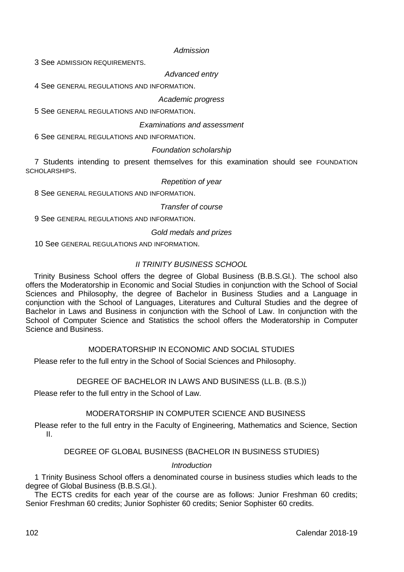#### *Admission*

3 See ADMISSION REQUIREMENTS.

*Advanced entry*

4 See GENERAL REGULATIONS AND INFORMATION.

# *Academic progress*

5 See GENERAL REGULATIONS AND INFORMATION.

### *Examinations and assessment*

6 See GENERAL REGULATIONS AND INFORMATION.

# *Foundation scholarship*

7 Students intending to present themselves for this examination should see FOUNDATION SCHOLARSHIPS.

### *Repetition of year*

8 See GENERAL REGULATIONS AND INFORMATION

### *Transfer of course*

9 See GENERAL REGULATIONS AND INFORMATION.

### *Gold medals and prizes*

10 See GENERAL REGULATIONS AND INFORMATION.

# *II TRINITY BUSINESS SCHOOL*

Trinity Business School offers the degree of Global Business (B.B.S.Gl.). The school also offers the Moderatorship in Economic and Social Studies in conjunction with the School of Social Sciences and Philosophy, the degree of Bachelor in Business Studies and a Language in conjunction with the School of Languages, Literatures and Cultural Studies and the degree of Bachelor in Laws and Business in conjunction with the School of Law. In conjunction with the School of Computer Science and Statistics the school offers the Moderatorship in Computer Science and Business.

# MODERATORSHIP IN ECONOMIC AND SOCIAL STUDIES

Please refer to the full entry in the School of Social Sciences and Philosophy.

# DEGREE OF BACHELOR IN LAWS AND BUSINESS (LL.B. (B.S.))

Please refer to the full entry in the School of Law.

### MODERATORSHIP IN COMPUTER SCIENCE AND BUSINESS

Please refer to the full entry in the Faculty of Engineering, Mathematics and Science, Section II.

### DEGREE OF GLOBAL BUSINESS (BACHELOR IN BUSINESS STUDIES)

# *Introduction*

1 Trinity Business School offers a denominated course in business studies which leads to the degree of Global Business (B.B.S.Gl.).

The ECTS credits for each year of the course are as follows: Junior Freshman 60 credits; Senior Freshman 60 credits; Junior Sophister 60 credits; Senior Sophister 60 credits.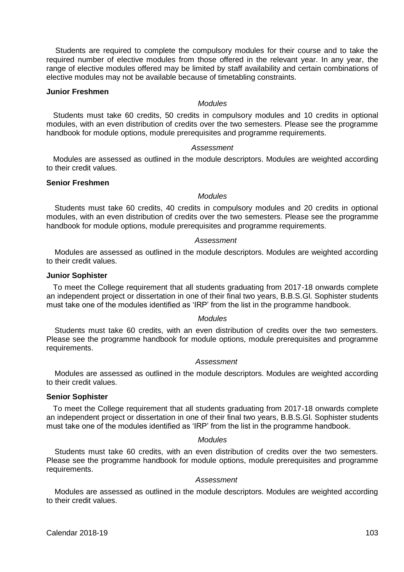Students are required to complete the compulsory modules for their course and to take the required number of elective modules from those offered in the relevant year. In any year, the range of elective modules offered may be limited by staff availability and certain combinations of elective modules may not be available because of timetabling constraints.

#### **Junior Freshmen**

### *Modules*

Students must take 60 credits, 50 credits in compulsory modules and 10 credits in optional modules, with an even distribution of credits over the two semesters. Please see the programme handbook for module options, module prerequisites and programme requirements.

#### *Assessment*

Modules are assessed as outlined in the module descriptors. Modules are weighted according to their credit values.

### **Senior Freshmen**

### *Modules*

Students must take 60 credits, 40 credits in compulsory modules and 20 credits in optional modules, with an even distribution of credits over the two semesters. Please see the programme handbook for module options, module prerequisites and programme requirements.

#### *Assessment*

Modules are assessed as outlined in the module descriptors. Modules are weighted according to their credit values.

# **Junior Sophister**

To meet the College requirement that all students graduating from 2017-18 onwards complete an independent project or dissertation in one of their final two years, B.B.S.Gl. Sophister students must take one of the modules identified as 'IRP' from the list in the programme handbook.

#### *Modules*

Students must take 60 credits, with an even distribution of credits over the two semesters. Please see the programme handbook for module options, module prerequisites and programme requirements.

#### *Assessment*

Modules are assessed as outlined in the module descriptors. Modules are weighted according to their credit values.

#### **Senior Sophister**

To meet the College requirement that all students graduating from 2017-18 onwards complete an independent project or dissertation in one of their final two years, B.B.S.Gl. Sophister students must take one of the modules identified as 'IRP' from the list in the programme handbook.

### *Modules*

Students must take 60 credits, with an even distribution of credits over the two semesters. Please see the programme handbook for module options, module prerequisites and programme requirements.

### *Assessment*

Modules are assessed as outlined in the module descriptors. Modules are weighted according to their credit values.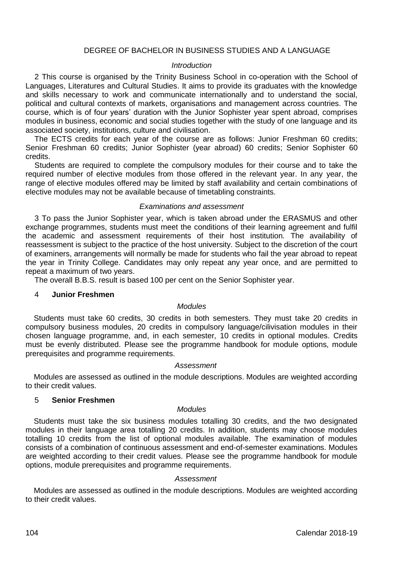### DEGREE OF BACHELOR IN BUSINESS STUDIES AND A LANGUAGE

#### *Introduction*

2 This course is organised by the Trinity Business School in co-operation with the School of Languages, Literatures and Cultural Studies. It aims to provide its graduates with the knowledge and skills necessary to work and communicate internationally and to understand the social, political and cultural contexts of markets, organisations and management across countries. The course, which is of four years' duration with the Junior Sophister year spent abroad, comprises modules in business, economic and social studies together with the study of one language and its associated society, institutions, culture and civilisation.

The ECTS credits for each year of the course are as follows: Junior Freshman 60 credits; Senior Freshman 60 credits; Junior Sophister (year abroad) 60 credits; Senior Sophister 60 credits.

Students are required to complete the compulsory modules for their course and to take the required number of elective modules from those offered in the relevant year. In any year, the range of elective modules offered may be limited by staff availability and certain combinations of elective modules may not be available because of timetabling constraints.

### *Examinations and assessment*

3 To pass the Junior Sophister year, which is taken abroad under the ERASMUS and other exchange programmes, students must meet the conditions of their learning agreement and fulfil the academic and assessment requirements of their host institution. The availability of reassessment is subject to the practice of the host university. Subject to the discretion of the court of examiners, arrangements will normally be made for students who fail the year abroad to repeat the year in Trinity College. Candidates may only repeat any year once, and are permitted to repeat a maximum of two years.

The overall B.B.S. result is based 100 per cent on the Senior Sophister year.

#### 4 **Junior Freshmen**

### *Modules*

Students must take 60 credits, 30 credits in both semesters. They must take 20 credits in compulsory business modules, 20 credits in compulsory language/cilivisation modules in their chosen language programme, and, in each semester, 10 credits in optional modules. Credits must be evenly distributed. Please see the programme handbook for module options, module prerequisites and programme requirements.

### *Assessment*

Modules are assessed as outlined in the module descriptions. Modules are weighted according to their credit values.

# 5 **Senior Freshmen**

### *Modules*

Students must take the six business modules totalling 30 credits, and the two designated modules in their language area totalling 20 credits. In addition, students may choose modules totalling 10 credits from the list of optional modules available. The examination of modules consists of a combination of continuous assessment and end-of-semester examinations. Modules are weighted according to their credit values. Please see the programme handbook for module options, module prerequisites and programme requirements.

#### *Assessment*

Modules are assessed as outlined in the module descriptions. Modules are weighted according to their credit values.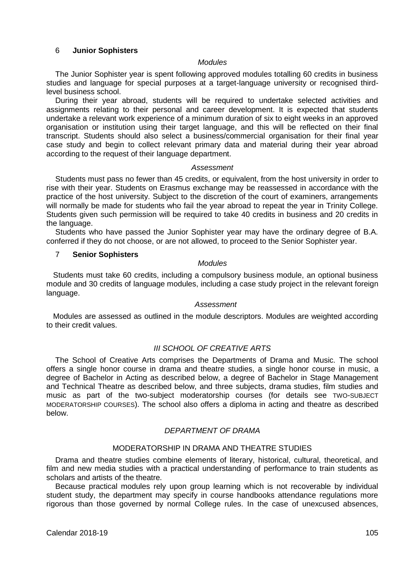### 6 **Junior Sophisters**

#### *Modules*

The Junior Sophister year is spent following approved modules totalling 60 credits in business studies and language for special purposes at a target-language university or recognised thirdlevel business school.

During their year abroad, students will be required to undertake selected activities and assignments relating to their personal and career development. It is expected that students undertake a relevant work experience of a minimum duration of six to eight weeks in an approved organisation or institution using their target language, and this will be reflected on their final transcript. Students should also select a business/commercial organisation for their final year case study and begin to collect relevant primary data and material during their year abroad according to the request of their language department.

#### *Assessment*

Students must pass no fewer than 45 credits, or equivalent, from the host university in order to rise with their year. Students on Erasmus exchange may be reassessed in accordance with the practice of the host university. Subject to the discretion of the court of examiners, arrangements will normally be made for students who fail the year abroad to repeat the year in Trinity College. Students given such permission will be required to take 40 credits in business and 20 credits in the language.

Students who have passed the Junior Sophister year may have the ordinary degree of B.A. conferred if they do not choose, or are not allowed, to proceed to the Senior Sophister year.

### 7 **Senior Sophisters**

# *Modules*

Students must take 60 credits, including a compulsory business module, an optional business module and 30 credits of language modules, including a case study project in the relevant foreign language.

# *Assessment*

Modules are assessed as outlined in the module descriptors. Modules are weighted according to their credit values.

# *III SCHOOL OF CREATIVE ARTS*

The School of Creative Arts comprises the Departments of Drama and Music. The school offers a single honor course in drama and theatre studies, a single honor course in music, a degree of Bachelor in Acting as described below, a degree of Bachelor in Stage Management and Technical Theatre as described below, and three subjects, drama studies, film studies and music as part of the two-subject moderatorship courses (for details see TWO-SUBJECT MODERATORSHIP COURSES). The school also offers a diploma in acting and theatre as described below.

#### *DEPARTMENT OF DRAMA*

### MODERATORSHIP IN DRAMA AND THEATRE STUDIES

Drama and theatre studies combine elements of literary, historical, cultural, theoretical, and film and new media studies with a practical understanding of performance to train students as scholars and artists of the theatre.

Because practical modules rely upon group learning which is not recoverable by individual student study, the department may specify in course handbooks attendance regulations more rigorous than those governed by normal College rules. In the case of unexcused absences,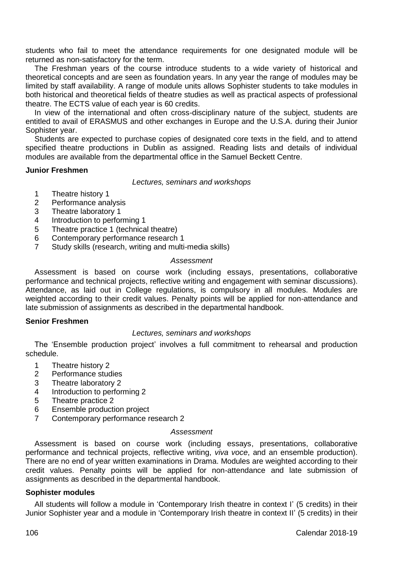students who fail to meet the attendance requirements for one designated module will be returned as non-satisfactory for the term.

The Freshman years of the course introduce students to a wide variety of historical and theoretical concepts and are seen as foundation years. In any year the range of modules may be limited by staff availability. A range of module units allows Sophister students to take modules in both historical and theoretical fields of theatre studies as well as practical aspects of professional theatre. The ECTS value of each year is 60 credits.

In view of the international and often cross-disciplinary nature of the subject, students are entitled to avail of ERASMUS and other exchanges in Europe and the U.S.A. during their Junior Sophister year.

Students are expected to purchase copies of designated core texts in the field, and to attend specified theatre productions in Dublin as assigned. Reading lists and details of individual modules are available from the departmental office in the Samuel Beckett Centre.

### **Junior Freshmen**

*Lectures, seminars and workshops*

- 1 Theatre history 1<br>2 Performance ans
- Performance analysis
- 3 Theatre laboratory 1<br>4 Introduction to perfor
- 4 Introduction to performing 1<br>5 Theatre practice 1 (technica
- 5 Theatre practice 1 (technical theatre)<br>6 Contemporary performance research
- 6 Contemporary performance research 1<br>7 Study skills (research writing and multi
- Study skills (research, writing and multi-media skills)

### *Assessment*

Assessment is based on course work (including essays, presentations, collaborative performance and technical projects, reflective writing and engagement with seminar discussions). Attendance, as laid out in College regulations, is compulsory in all modules. Modules are weighted according to their credit values. Penalty points will be applied for non-attendance and late submission of assignments as described in the departmental handbook.

### **Senior Freshmen**

# *Lectures, seminars and workshops*

The 'Ensemble production project' involves a full commitment to rehearsal and production schedule.

- 1 Theatre history 2<br>2 Performance stud
- 2 Performance studies<br>3 Theatre laboratory 2
- Theatre laboratory 2
- 4 Introduction to performing 2
- 5 Theatre practice 2<br>6 Ensemble producti
- 6 Ensemble production project<br>7 Contemporary performance r
- 7 Contemporary performance research 2

## *Assessment*

Assessment is based on course work (including essays, presentations, collaborative performance and technical projects, reflective writing, *viva voce*, and an ensemble production). There are no end of year written examinations in Drama. Modules are weighted according to their credit values. Penalty points will be applied for non-attendance and late submission of assignments as described in the departmental handbook.

### **Sophister modules**

All students will follow a module in 'Contemporary Irish theatre in context I' (5 credits) in their Junior Sophister year and a module in 'Contemporary Irish theatre in context II' (5 credits) in their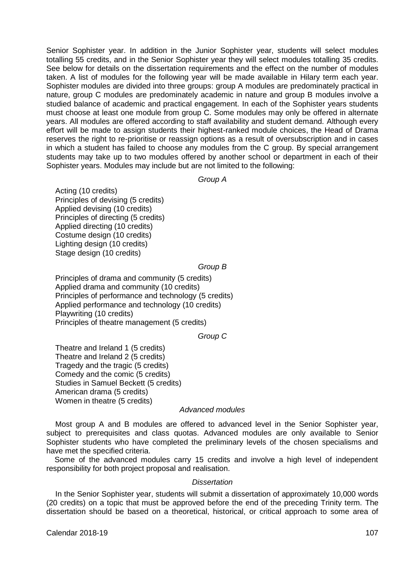Senior Sophister year. In addition in the Junior Sophister year, students will select modules totalling 55 credits, and in the Senior Sophister year they will select modules totalling 35 credits. See below for details on the dissertation requirements and the effect on the number of modules taken. A list of modules for the following year will be made available in Hilary term each year. Sophister modules are divided into three groups: group A modules are predominately practical in nature, group C modules are predominately academic in nature and group B modules involve a studied balance of academic and practical engagement. In each of the Sophister years students must choose at least one module from group C. Some modules may only be offered in alternate years. All modules are offered according to staff availability and student demand. Although every effort will be made to assign students their highest-ranked module choices, the Head of Drama reserves the right to re-prioritise or reassign options as a result of oversubscription and in cases in which a student has failed to choose any modules from the C group. By special arrangement students may take up to two modules offered by another school or department in each of their Sophister years. Modules may include but are not limited to the following:

*Group A*

Acting (10 credits) Principles of devising (5 credits) Applied devising (10 credits) Principles of directing (5 credits) Applied directing (10 credits) Costume design (10 credits) Lighting design (10 credits) Stage design (10 credits)

*Group B*

Principles of drama and community (5 credits) Applied drama and community (10 credits) Principles of performance and technology (5 credits) Applied performance and technology (10 credits) Playwriting (10 credits) Principles of theatre management (5 credits)

*Group C*

Theatre and Ireland 1 (5 credits) Theatre and Ireland 2 (5 credits) Tragedy and the tragic (5 credits) Comedy and the comic (5 credits) Studies in Samuel Beckett (5 credits) American drama (5 credits) Women in theatre (5 credits)

### *Advanced modules*

Most group A and B modules are offered to advanced level in the Senior Sophister year, subject to prerequisites and class quotas. Advanced modules are only available to Senior Sophister students who have completed the preliminary levels of the chosen specialisms and have met the specified criteria.

Some of the advanced modules carry 15 credits and involve a high level of independent responsibility for both project proposal and realisation.

#### *Dissertation*

In the Senior Sophister year, students will submit a dissertation of approximately 10,000 words (20 credits) on a topic that must be approved before the end of the preceding Trinity term. The dissertation should be based on a theoretical, historical, or critical approach to some area of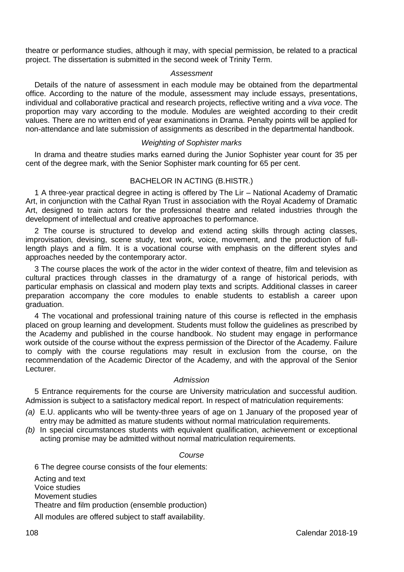theatre or performance studies, although it may, with special permission, be related to a practical project. The dissertation is submitted in the second week of Trinity Term.

### *Assessment*

Details of the nature of assessment in each module may be obtained from the departmental office. According to the nature of the module, assessment may include essays, presentations, individual and collaborative practical and research projects, reflective writing and a *viva voce*. The proportion may vary according to the module. Modules are weighted according to their credit values. There are no written end of year examinations in Drama. Penalty points will be applied for non-attendance and late submission of assignments as described in the departmental handbook.

### *Weighting of Sophister marks*

In drama and theatre studies marks earned during the Junior Sophister year count for 35 per cent of the degree mark, with the Senior Sophister mark counting for 65 per cent.

# BACHELOR IN ACTING (B.HISTR.)

1 A three-year practical degree in acting is offered by The Lir – National Academy of Dramatic Art, in conjunction with the Cathal Ryan Trust in association with the Royal Academy of Dramatic Art, designed to train actors for the professional theatre and related industries through the development of intellectual and creative approaches to performance.

2 The course is structured to develop and extend acting skills through acting classes, improvisation, devising, scene study, text work, voice, movement, and the production of fulllength plays and a film. It is a vocational course with emphasis on the different styles and approaches needed by the contemporary actor.

3 The course places the work of the actor in the wider context of theatre, film and television as cultural practices through classes in the dramaturgy of a range of historical periods, with particular emphasis on classical and modern play texts and scripts. Additional classes in career preparation accompany the core modules to enable students to establish a career upon graduation.

4 The vocational and professional training nature of this course is reflected in the emphasis placed on group learning and development. Students must follow the guidelines as prescribed by the Academy and published in the course handbook. No student may engage in performance work outside of the course without the express permission of the Director of the Academy. Failure to comply with the course regulations may result in exclusion from the course, on the recommendation of the Academic Director of the Academy, and with the approval of the Senior Lecturer.

# *Admission*

5 Entrance requirements for the course are University matriculation and successful audition. Admission is subject to a satisfactory medical report. In respect of matriculation requirements:

- *(a)* E.U. applicants who will be twenty-three years of age on 1 January of the proposed year of entry may be admitted as mature students without normal matriculation requirements.
- *(b)* In special circumstances students with equivalent qualification, achievement or exceptional acting promise may be admitted without normal matriculation requirements.

#### *Course*

6 The degree course consists of the four elements: Acting and text Voice studies Movement studies Theatre and film production (ensemble production) All modules are offered subject to staff availability.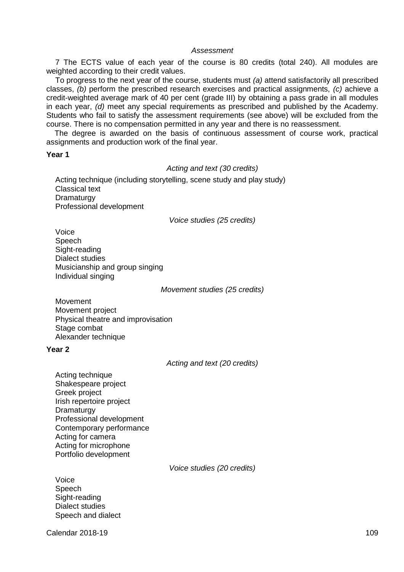### *Assessment*

7 The ECTS value of each year of the course is 80 credits (total 240). All modules are weighted according to their credit values.

To progress to the next year of the course, students must *(a)* attend satisfactorily all prescribed classes, *(b)* perform the prescribed research exercises and practical assignments, *(c)* achieve a credit-weighted average mark of 40 per cent (grade III) by obtaining a pass grade in all modules in each year, *(d)* meet any special requirements as prescribed and published by the Academy. Students who fail to satisfy the assessment requirements (see above) will be excluded from the course. There is no compensation permitted in any year and there is no reassessment.

The degree is awarded on the basis of continuous assessment of course work, practical assignments and production work of the final year.

#### **Year 1**

### *Acting and text (30 credits)*

Acting technique (including storytelling, scene study and play study) Classical text **Dramaturgy** Professional development

*Voice studies (25 credits)*

Voice Speech Sight-reading Dialect studies Musicianship and group singing Individual singing

*Movement studies (25 credits)*

Movement Movement project Physical theatre and improvisation Stage combat Alexander technique

### **Year 2**

*Acting and text (20 credits)*

Acting technique Shakespeare project Greek project Irish repertoire project **Dramaturgy** Professional development Contemporary performance Acting for camera Acting for microphone Portfolio development

*Voice studies (20 credits)*

Voice Speech Sight-reading Dialect studies Speech and dialect

**Calendar 2018-19** 109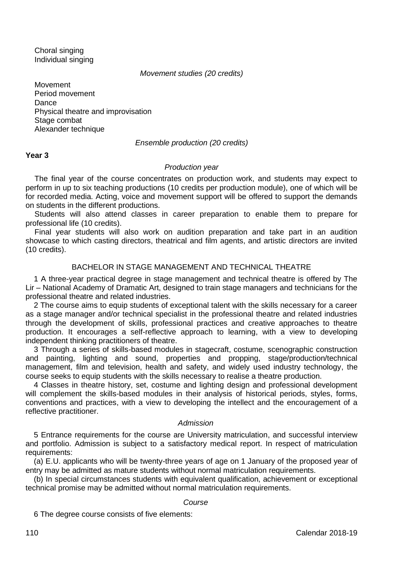Choral singing Individual singing

### *Movement studies (20 credits)*

Movement Period movement Dance Physical theatre and improvisation Stage combat Alexander technique

### *Ensemble production (20 credits)*

### **Year 3**

### *Production year*

The final year of the course concentrates on production work, and students may expect to perform in up to six teaching productions (10 credits per production module), one of which will be for recorded media. Acting, voice and movement support will be offered to support the demands on students in the different productions.

Students will also attend classes in career preparation to enable them to prepare for professional life (10 credits).

Final year students will also work on audition preparation and take part in an audition showcase to which casting directors, theatrical and film agents, and artistic directors are invited (10 credits).

# BACHELOR IN STAGE MANAGEMENT AND TECHNICAL THEATRE

1 A three-year practical degree in stage management and technical theatre is offered by The Lir – National Academy of Dramatic Art, designed to train stage managers and technicians for the professional theatre and related industries.

2 The course aims to equip students of exceptional talent with the skills necessary for a career as a stage manager and/or technical specialist in the professional theatre and related industries through the development of skills, professional practices and creative approaches to theatre production. It encourages a self-reflective approach to learning, with a view to developing independent thinking practitioners of theatre.

3 Through a series of skills-based modules in stagecraft, costume, scenographic construction and painting, lighting and sound, properties and propping, stage/production/technical management, film and television, health and safety, and widely used industry technology, the course seeks to equip students with the skills necessary to realise a theatre production.

4 Classes in theatre history, set, costume and lighting design and professional development will complement the skills-based modules in their analysis of historical periods, styles, forms, conventions and practices, with a view to developing the intellect and the encouragement of a reflective practitioner.

### *Admission*

5 Entrance requirements for the course are University matriculation, and successful interview and portfolio. Admission is subject to a satisfactory medical report. In respect of matriculation requirements:

(a) E.U. applicants who will be twenty-three years of age on 1 January of the proposed year of entry may be admitted as mature students without normal matriculation requirements.

(b) In special circumstances students with equivalent qualification, achievement or exceptional technical promise may be admitted without normal matriculation requirements.

# *Course*

6 The degree course consists of five elements: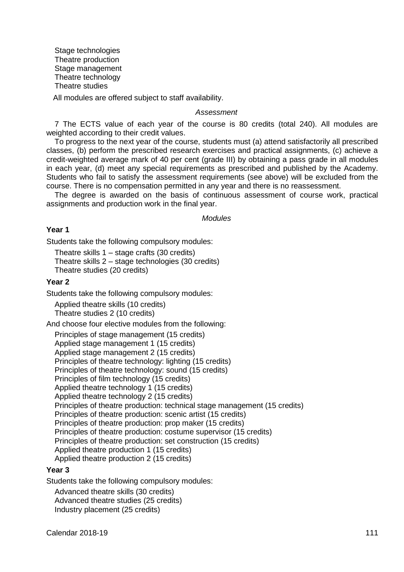Stage technologies Theatre production Stage management Theatre technology Theatre studies All modules are offered subject to staff availability.

#### *Assessment*

7 The ECTS value of each year of the course is 80 credits (total 240). All modules are weighted according to their credit values.

To progress to the next year of the course, students must (a) attend satisfactorily all prescribed classes, (b) perform the prescribed research exercises and practical assignments, (c) achieve a credit-weighted average mark of 40 per cent (grade III) by obtaining a pass grade in all modules in each year, (d) meet any special requirements as prescribed and published by the Academy. Students who fail to satisfy the assessment requirements (see above) will be excluded from the course. There is no compensation permitted in any year and there is no reassessment.

The degree is awarded on the basis of continuous assessment of course work, practical assignments and production work in the final year.

*Modules*

### **Year 1**

Students take the following compulsory modules:

Theatre skills 1 – stage crafts (30 credits)

Theatre skills  $2 -$  stage technologies (30 credits)

Theatre studies (20 credits)

# **Year 2**

Students take the following compulsory modules:

Applied theatre skills (10 credits) Theatre studies 2 (10 credits)

And choose four elective modules from the following:

Principles of stage management (15 credits) Applied stage management 1 (15 credits) Applied stage management 2 (15 credits) Principles of theatre technology: lighting (15 credits) Principles of theatre technology: sound (15 credits) Principles of film technology (15 credits) Applied theatre technology 1 (15 credits) Applied theatre technology 2 (15 credits) Principles of theatre production: technical stage management (15 credits) Principles of theatre production: scenic artist (15 credits) Principles of theatre production: prop maker (15 credits) Principles of theatre production: costume supervisor (15 credits) Principles of theatre production: set construction (15 credits) Applied theatre production 1 (15 credits) Applied theatre production 2 (15 credits)

# **Year 3**

Students take the following compulsory modules:

Advanced theatre skills (30 credits) Advanced theatre studies (25 credits) Industry placement (25 credits)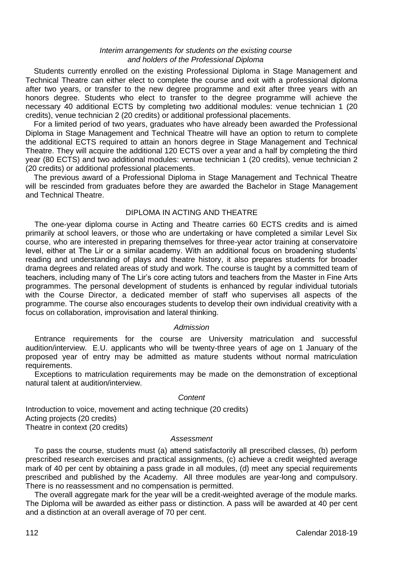### *Interim arrangements for students on the existing course and holders of the Professional Diploma*

Students currently enrolled on the existing Professional Diploma in Stage Management and Technical Theatre can either elect to complete the course and exit with a professional diploma after two years, or transfer to the new degree programme and exit after three years with an honors degree. Students who elect to transfer to the degree programme will achieve the necessary 40 additional ECTS by completing two additional modules: venue technician 1 (20 credits), venue technician 2 (20 credits) or additional professional placements.

For a limited period of two years, graduates who have already been awarded the Professional Diploma in Stage Management and Technical Theatre will have an option to return to complete the additional ECTS required to attain an honors degree in Stage Management and Technical Theatre. They will acquire the additional 120 ECTS over a year and a half by completing the third year (80 ECTS) and two additional modules: venue technician 1 (20 credits), venue technician 2 (20 credits) or additional professional placements.

The previous award of a Professional Diploma in Stage Management and Technical Theatre will be rescinded from graduates before they are awarded the Bachelor in Stage Management and Technical Theatre.

# DIPLOMA IN ACTING AND THEATRE

The one-year diploma course in Acting and Theatre carries 60 ECTS credits and is aimed primarily at school leavers, or those who are undertaking or have completed a similar Level Six course, who are interested in preparing themselves for three-year actor training at conservatoire level, either at The Lir or a similar academy. With an additional focus on broadening students' reading and understanding of plays and theatre history, it also prepares students for broader drama degrees and related areas of study and work. The course is taught by a committed team of teachers, including many of The Lir's core acting tutors and teachers from the Master in Fine Arts programmes. The personal development of students is enhanced by regular individual tutorials with the Course Director, a dedicated member of staff who supervises all aspects of the programme. The course also encourages students to develop their own individual creativity with a focus on collaboration, improvisation and lateral thinking.

# *Admission*

Entrance requirements for the course are University matriculation and successful audition/interview. E.U. applicants who will be twenty-three years of age on 1 January of the proposed year of entry may be admitted as mature students without normal matriculation requirements.

Exceptions to matriculation requirements may be made on the demonstration of exceptional natural talent at audition/interview.

#### *Content*

Introduction to voice, movement and acting technique (20 credits) Acting projects (20 credits) Theatre in context (20 credits)

### *Assessment*

To pass the course, students must (a) attend satisfactorily all prescribed classes, (b) perform prescribed research exercises and practical assignments, (c) achieve a credit weighted average mark of 40 per cent by obtaining a pass grade in all modules, (d) meet any special requirements prescribed and published by the Academy. All three modules are year-long and compulsory. There is no reassessment and no compensation is permitted.

The overall aggregate mark for the year will be a credit-weighted average of the module marks. The Diploma will be awarded as either pass or distinction. A pass will be awarded at 40 per cent and a distinction at an overall average of 70 per cent.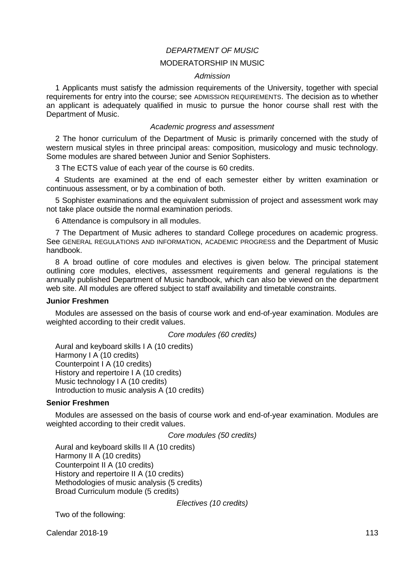# *DEPARTMENT OF MUSIC*

# MODERATORSHIP IN MUSIC

### *Admission*

1 Applicants must satisfy the admission requirements of the University, together with special requirements for entry into the course; see ADMISSION REQUIREMENTS. The decision as to whether an applicant is adequately qualified in music to pursue the honor course shall rest with the Department of Music.

### *Academic progress and assessment*

2 The honor curriculum of the Department of Music is primarily concerned with the study of western musical styles in three principal areas: composition, musicology and music technology. Some modules are shared between Junior and Senior Sophisters.

3 The ECTS value of each year of the course is 60 credits.

4 Students are examined at the end of each semester either by written examination or continuous assessment, or by a combination of both.

5 Sophister examinations and the equivalent submission of project and assessment work may not take place outside the normal examination periods.

6 Attendance is compulsory in all modules.

7 The Department of Music adheres to standard College procedures on academic progress. See GENERAL REGULATIONS AND INFORMATION, ACADEMIC PROGRESS and the Department of Music handbook.

8 A broad outline of core modules and electives is given below. The principal statement outlining core modules, electives, assessment requirements and general regulations is the annually published Department of Music handbook, which can also be viewed on the department web site. All modules are offered subject to staff availability and timetable constraints.

### **Junior Freshmen**

Modules are assessed on the basis of course work and end-of-year examination. Modules are weighted according to their credit values.

*Core modules (60 credits)*

Aural and keyboard skills I A (10 credits) Harmony I A (10 credits) Counterpoint I A (10 credits) History and repertoire I A (10 credits) Music technology I A (10 credits) Introduction to music analysis A (10 credits)

### **Senior Freshmen**

Modules are assessed on the basis of course work and end-of-year examination. Modules are weighted according to their credit values.

*Core modules (50 credits)*

Aural and keyboard skills II A (10 credits) Harmony II A (10 credits) Counterpoint II A (10 credits) History and repertoire II A (10 credits) Methodologies of music analysis (5 credits) Broad Curriculum module (5 credits)

*Electives (10 credits)*

Two of the following:

**Calendar 2018-19** 113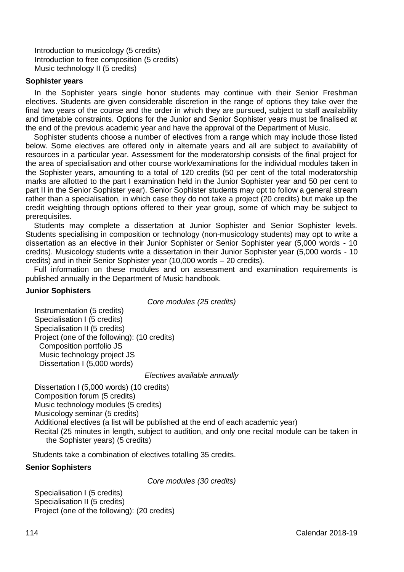Introduction to musicology (5 credits) Introduction to free composition (5 credits) Music technology II (5 credits)

### **Sophister years**

In the Sophister years single honor students may continue with their Senior Freshman electives. Students are given considerable discretion in the range of options they take over the final two years of the course and the order in which they are pursued, subject to staff availability and timetable constraints. Options for the Junior and Senior Sophister years must be finalised at the end of the previous academic year and have the approval of the Department of Music.

Sophister students choose a number of electives from a range which may include those listed below. Some electives are offered only in alternate years and all are subject to availability of resources in a particular year. Assessment for the moderatorship consists of the final project for the area of specialisation and other course work/examinations for the individual modules taken in the Sophister years, amounting to a total of 120 credits (50 per cent of the total moderatorship marks are allotted to the part I examination held in the Junior Sophister year and 50 per cent to part II in the Senior Sophister year). Senior Sophister students may opt to follow a general stream rather than a specialisation, in which case they do not take a project (20 credits) but make up the credit weighting through options offered to their year group, some of which may be subject to prerequisites.

Students may complete a dissertation at Junior Sophister and Senior Sophister levels. Students specialising in composition or technology (non-musicology students) may opt to write a dissertation as an elective in their Junior Sophister or Senior Sophister year (5,000 words - 10 credits). Musicology students write a dissertation in their Junior Sophister year (5,000 words - 10 credits) and in their Senior Sophister year (10,000 words – 20 credits).

Full information on these modules and on assessment and examination requirements is published annually in the Department of Music handbook.

### **Junior Sophisters**

*Core modules (25 credits)*

Instrumentation (5 credits) Specialisation I (5 credits) Specialisation II (5 credits) Project (one of the following): (10 credits) Composition portfolio JS Music technology project JS Dissertation I (5,000 words)

#### *Electives available annually*

Dissertation I (5,000 words) (10 credits) Composition forum (5 credits) Music technology modules (5 credits) Musicology seminar (5 credits) Additional electives (a list will be published at the end of each academic year) Recital (25 minutes in length, subject to audition, and only one recital module can be taken in the Sophister years) (5 credits)

Students take a combination of electives totalling 35 credits.

### **Senior Sophisters**

*Core modules (30 credits)*

Specialisation I (5 credits) Specialisation II (5 credits) Project (one of the following): (20 credits)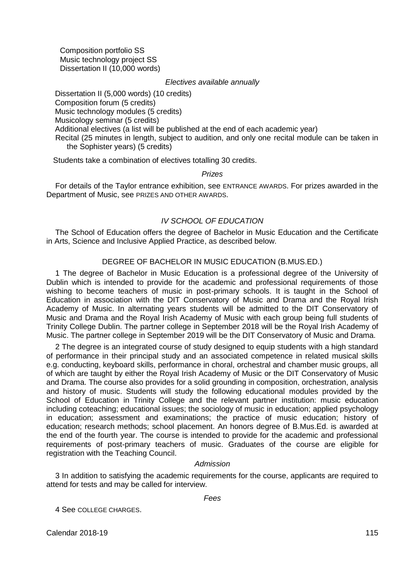Composition portfolio SS Music technology project SS Dissertation II (10,000 words)

*Electives available annually*

 Dissertation II (5,000 words) (10 credits) Composition forum (5 credits) Music technology modules (5 credits) Musicology seminar (5 credits) Additional electives (a list will be published at the end of each academic year) Recital (25 minutes in length, subject to audition, and only one recital module can be taken in the Sophister years) (5 credits)

Students take a combination of electives totalling 30 credits.

#### *Prizes*

For details of the Taylor entrance exhibition, see ENTRANCE AWARDS. For prizes awarded in the Department of Music, see PRIZES AND OTHER AWARDS.

### *IV SCHOOL OF EDUCATION*

The School of Education offers the degree of Bachelor in Music Education and the Certificate in Arts, Science and Inclusive Applied Practice, as described below.

### DEGREE OF BACHELOR IN MUSIC EDUCATION (B.MUS.ED.)

1 The degree of Bachelor in Music Education is a professional degree of the University of Dublin which is intended to provide for the academic and professional requirements of those wishing to become teachers of music in post-primary schools. It is taught in the School of Education in association with the DIT Conservatory of Music and Drama and the Royal Irish Academy of Music. In alternating years students will be admitted to the DIT Conservatory of Music and Drama and the Royal Irish Academy of Music with each group being full students of Trinity College Dublin. The partner college in September 2018 will be the Royal Irish Academy of Music. The partner college in September 2019 will be the DIT Conservatory of Music and Drama.

2 The degree is an integrated course of study designed to equip students with a high standard of performance in their principal study and an associated competence in related musical skills e.g. conducting, keyboard skills, performance in choral, orchestral and chamber music groups, all of which are taught by either the Royal Irish Academy of Music or the DIT Conservatory of Music and Drama. The course also provides for a solid grounding in composition, orchestration, analysis and history of music. Students will study the following educational modules provided by the School of Education in Trinity College and the relevant partner institution: music education including coteaching; educational issues; the sociology of music in education; applied psychology in education; assessment and examinations; the practice of music education; history of education; research methods; school placement. An honors degree of B.Mus.Ed. is awarded at the end of the fourth year. The course is intended to provide for the academic and professional requirements of post-primary teachers of music. Graduates of the course are eligible for registration with the Teaching Council.

### *Admission*

3 In addition to satisfying the academic requirements for the course, applicants are required to attend for tests and may be called for interview.

*Fees*

4 See COLLEGE CHARGES.

**Calendar 2018-19** 115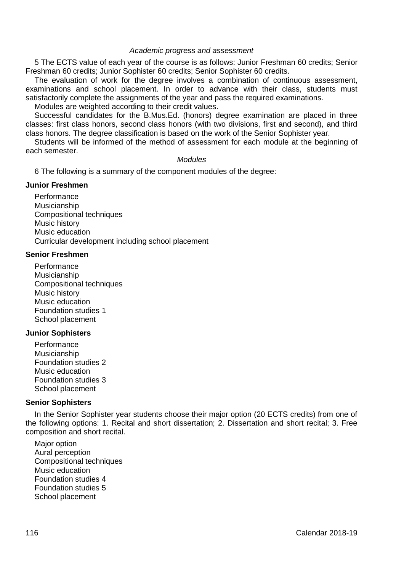### *Academic progress and assessment*

5 The ECTS value of each year of the course is as follows: Junior Freshman 60 credits; Senior Freshman 60 credits; Junior Sophister 60 credits; Senior Sophister 60 credits.

The evaluation of work for the degree involves a combination of continuous assessment, examinations and school placement. In order to advance with their class, students must satisfactorily complete the assignments of the year and pass the required examinations.

Modules are weighted according to their credit values.

Successful candidates for the B.Mus.Ed. (honors) degree examination are placed in three classes: first class honors, second class honors (with two divisions, first and second), and third class honors. The degree classification is based on the work of the Senior Sophister year.

Students will be informed of the method of assessment for each module at the beginning of each semester.

### *Modules*

6 The following is a summary of the component modules of the degree:

### **Junior Freshmen**

Performance Musicianship Compositional techniques Music history Music education Curricular development including school placement

### **Senior Freshmen**

**Performance** Musicianship Compositional techniques Music history Music education Foundation studies 1 School placement

### **Junior Sophisters**

**Performance** Musicianship Foundation studies 2 Music education Foundation studies 3 School placement

### **Senior Sophisters**

In the Senior Sophister year students choose their major option (20 ECTS credits) from one of the following options: 1. Recital and short dissertation; 2. Dissertation and short recital; 3. Free composition and short recital.

Major option Aural perception Compositional techniques Music education Foundation studies 4 Foundation studies 5 School placement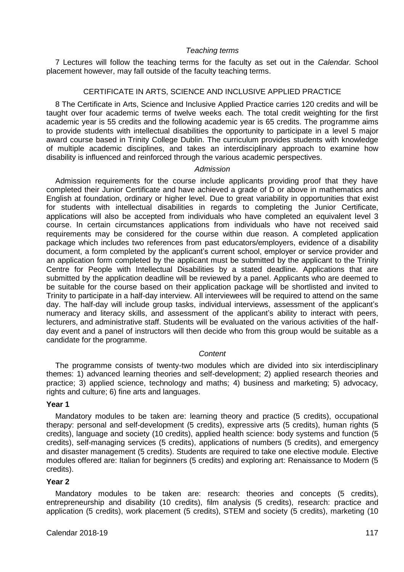# *Teaching terms*

7 Lectures will follow the teaching terms for the faculty as set out in the *Calendar.* School placement however, may fall outside of the faculty teaching terms.

### CERTIFICATE IN ARTS, SCIENCE AND INCLUSIVE APPLIED PRACTICE

8 The Certificate in Arts, Science and Inclusive Applied Practice carries 120 credits and will be taught over four academic terms of twelve weeks each. The total credit weighting for the first academic year is 55 credits and the following academic year is 65 credits. The programme aims to provide students with intellectual disabilities the opportunity to participate in a level 5 major award course based in Trinity College Dublin. The curriculum provides students with knowledge of multiple academic disciplines, and takes an interdisciplinary approach to examine how disability is influenced and reinforced through the various academic perspectives.

### *Admission*

Admission requirements for the course include applicants providing proof that they have completed their Junior Certificate and have achieved a grade of D or above in mathematics and English at foundation, ordinary or higher level. Due to great variability in opportunities that exist for students with intellectual disabilities in regards to completing the Junior Certificate, applications will also be accepted from individuals who have completed an equivalent level 3 course. In certain circumstances applications from individuals who have not received said requirements may be considered for the course within due reason. A completed application package which includes two references from past educators/employers, evidence of a disability document, a form completed by the applicant's current school, employer or service provider and an application form completed by the applicant must be submitted by the applicant to the Trinity Centre for People with Intellectual Disabilities by a stated deadline. Applications that are submitted by the application deadline will be reviewed by a panel. Applicants who are deemed to be suitable for the course based on their application package will be shortlisted and invited to Trinity to participate in a half-day interview. All interviewees will be required to attend on the same day. The half-day will include group tasks, individual interviews, assessment of the applicant's numeracy and literacy skills, and assessment of the applicant's ability to interact with peers, lecturers, and administrative staff. Students will be evaluated on the various activities of the halfday event and a panel of instructors will then decide who from this group would be suitable as a candidate for the programme.

# *Content*

The programme consists of twenty-two modules which are divided into six interdisciplinary themes: 1) advanced learning theories and self-development; 2) applied research theories and practice; 3) applied science, technology and maths; 4) business and marketing; 5) advocacy, rights and culture; 6) fine arts and languages.

### **Year 1**

Mandatory modules to be taken are: learning theory and practice (5 credits), occupational therapy: personal and self-development (5 credits), expressive arts (5 credits), human rights (5 credits), language and society (10 credits), applied health science: body systems and function (5 credits), self-managing services (5 credits), applications of numbers (5 credits), and emergency and disaster management (5 credits). Students are required to take one elective module. Elective modules offered are: Italian for beginners (5 credits) and exploring art: Renaissance to Modern (5 credits).

# **Year 2**

Mandatory modules to be taken are: research: theories and concepts (5 credits), entrepreneurship and disability (10 credits), film analysis (5 credits), research: practice and application (5 credits), work placement (5 credits), STEM and society (5 credits), marketing (10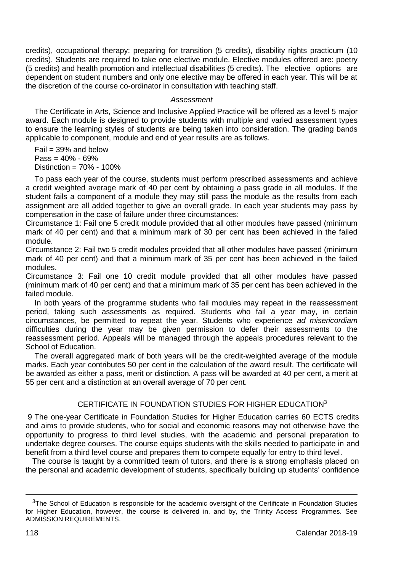credits), occupational therapy: preparing for transition (5 credits), disability rights practicum (10 credits). Students are required to take one elective module. Elective modules offered are: poetry (5 credits) and health promotion and intellectual disabilities (5 credits). The elective options are dependent on student numbers and only one elective may be offered in each year. This will be at the discretion of the course co-ordinator in consultation with teaching staff.

### *Assessment*

The Certificate in Arts, Science and Inclusive Applied Practice will be offered as a level 5 major award. Each module is designed to provide students with multiple and varied assessment types to ensure the learning styles of students are being taken into consideration. The grading bands applicable to component, module and end of year results are as follows.

 $Fail = 39%$  and below  $Pass = 40% - 69%$ Distinction = 70% - 100%

To pass each year of the course, students must perform prescribed assessments and achieve a credit weighted average mark of 40 per cent by obtaining a pass grade in all modules. If the student fails a component of a module they may still pass the module as the results from each assignment are all added together to give an overall grade. In each year students may pass by compensation in the case of failure under three circumstances:

Circumstance 1: Fail one 5 credit module provided that all other modules have passed (minimum mark of 40 per cent) and that a minimum mark of 30 per cent has been achieved in the failed module.

Circumstance 2: Fail two 5 credit modules provided that all other modules have passed (minimum mark of 40 per cent) and that a minimum mark of 35 per cent has been achieved in the failed modules.

Circumstance 3: Fail one 10 credit module provided that all other modules have passed (minimum mark of 40 per cent) and that a minimum mark of 35 per cent has been achieved in the failed module.

In both years of the programme students who fail modules may repeat in the reassessment period, taking such assessments as required. Students who fail a year may, in certain circumstances, be permitted to repeat the year. Students who experience *ad misericordiam* difficulties during the year may be given permission to defer their assessments to the reassessment period. Appeals will be managed through the appeals procedures relevant to the School of Education.

The overall aggregated mark of both years will be the credit-weighted average of the module marks. Each year contributes 50 per cent in the calculation of the award result. The certificate will be awarded as either a pass, merit or distinction. A pass will be awarded at 40 per cent, a merit at 55 per cent and a distinction at an overall average of 70 per cent.

# CERTIFICATE IN FOUNDATION STUDIES FOR HIGHER EDUCATION<sup>3</sup>

9 The one-year Certificate in Foundation Studies for Higher Education carries 60 ECTS credits and aims to provide students, who for social and economic reasons may not otherwise have the opportunity to progress to third level studies, with the academic and personal preparation to undertake degree courses. The course equips students with the skills needed to participate in and benefit from a third level course and prepares them to compete equally for entry to third level.

The course is taught by a committed team of tutors, and there is a strong emphasis placed on the personal and academic development of students, specifically building up students' confidence

<u>.</u>

 $3$ The School of Education is responsible for the academic oversight of the Certificate in Foundation Studies for Higher Education, however, the course is delivered in, and by, the Trinity Access Programmes. See ADMISSION REQUIREMENTS.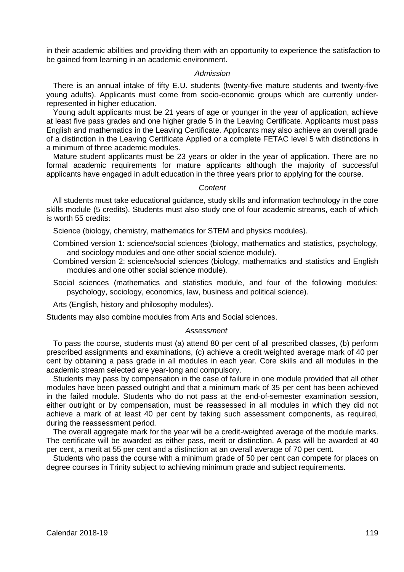in their academic abilities and providing them with an opportunity to experience the satisfaction to be gained from learning in an academic environment.

#### *Admission*

There is an annual intake of fifty E.U. students (twenty-five mature students and twenty-five young adults). Applicants must come from socio-economic groups which are currently underrepresented in higher education.

Young adult applicants must be 21 years of age or younger in the year of application, achieve at least five pass grades and one higher grade 5 in the Leaving Certificate. Applicants must pass English and mathematics in the Leaving Certificate. Applicants may also achieve an overall grade of a distinction in the Leaving Certificate Applied or a complete FETAC level 5 with distinctions in a minimum of three academic modules.

Mature student applicants must be 23 years or older in the year of application. There are no formal academic requirements for mature applicants although the majority of successful applicants have engaged in adult education in the three years prior to applying for the course.

### *Content*

All students must take educational guidance, study skills and information technology in the core skills module (5 credits). Students must also study one of four academic streams, each of which is worth 55 credits:

Science (biology, chemistry, mathematics for STEM and physics modules).

Combined version 1: science/social sciences (biology, mathematics and statistics, psychology, and sociology modules and one other social science module).

- Combined version 2: science/social sciences (biology, mathematics and statistics and English modules and one other social science module).
- Social sciences (mathematics and statistics module, and four of the following modules: psychology, sociology, economics, law, business and political science).

Arts (English, history and philosophy modules).

Students may also combine modules from Arts and Social sciences.

#### *Assessment*

To pass the course, students must (a) attend 80 per cent of all prescribed classes, (b) perform prescribed assignments and examinations, (c) achieve a credit weighted average mark of 40 per cent by obtaining a pass grade in all modules in each year. Core skills and all modules in the academic stream selected are year-long and compulsory.

Students may pass by compensation in the case of failure in one module provided that all other modules have been passed outright and that a minimum mark of 35 per cent has been achieved in the failed module. Students who do not pass at the end-of-semester examination session, either outright or by compensation, must be reassessed in all modules in which they did not achieve a mark of at least 40 per cent by taking such assessment components, as required, during the reassessment period.

The overall aggregate mark for the year will be a credit-weighted average of the module marks. The certificate will be awarded as either pass, merit or distinction. A pass will be awarded at 40 per cent, a merit at 55 per cent and a distinction at an overall average of 70 per cent.

Students who pass the course with a minimum grade of 50 per cent can compete for places on degree courses in Trinity subject to achieving minimum grade and subject requirements.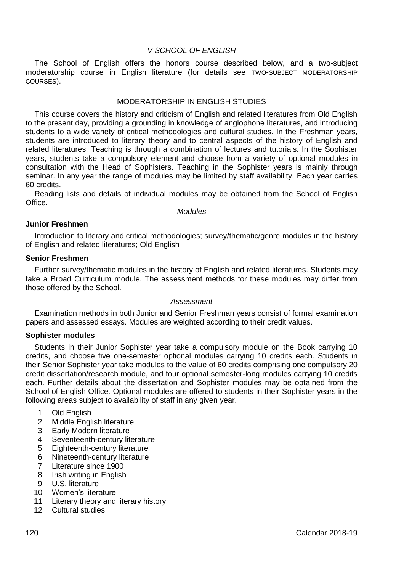# *V SCHOOL OF ENGLISH*

The School of English offers the honors course described below, and a two-subject moderatorship course in English literature (for details see TWO-SUBJECT MODERATORSHIP COURSES).

### MODERATORSHIP IN ENGLISH STUDIES

This course covers the history and criticism of English and related literatures from Old English to the present day, providing a grounding in knowledge of anglophone literatures, and introducing students to a wide variety of critical methodologies and cultural studies. In the Freshman years, students are introduced to literary theory and to central aspects of the history of English and related literatures. Teaching is through a combination of lectures and tutorials. In the Sophister years, students take a compulsory element and choose from a variety of optional modules in consultation with the Head of Sophisters. Teaching in the Sophister years is mainly through seminar. In any year the range of modules may be limited by staff availability. Each year carries 60 credits.

Reading lists and details of individual modules may be obtained from the School of English **Office** 

*Modules*

### **Junior Freshmen**

Introduction to literary and critical methodologies; survey/thematic/genre modules in the history of English and related literatures; Old English

### **Senior Freshmen**

Further survey/thematic modules in the history of English and related literatures. Students may take a Broad Curriculum module. The assessment methods for these modules may differ from those offered by the School.

### *Assessment*

Examination methods in both Junior and Senior Freshman years consist of formal examination papers and assessed essays. Modules are weighted according to their credit values.

#### **Sophister modules**

Students in their Junior Sophister year take a compulsory module on the Book carrying 10 credits, and choose five one-semester optional modules carrying 10 credits each. Students in their Senior Sophister year take modules to the value of 60 credits comprising one compulsory 20 credit dissertation/research module, and four optional semester-long modules carrying 10 credits each. Further details about the dissertation and Sophister modules may be obtained from the School of English Office. Optional modules are offered to students in their Sophister years in the following areas subject to availability of staff in any given year.

- 1 Old English<br>2 Middle Engl
- 2 Middle English literature<br>3 Early Modern literature
- Early Modern literature
- 4 Seventeenth-century literature
- 5 Eighteenth-century literature<br>6 Nineteenth-century literature
- Nineteenth-century literature
- 7 Literature since 1900
- 8 Irish writing in English<br>9 U.S. literature
- U.S. literature
- 10 Women's literature
- 11 Literary theory and literary history
- 12 Cultural studies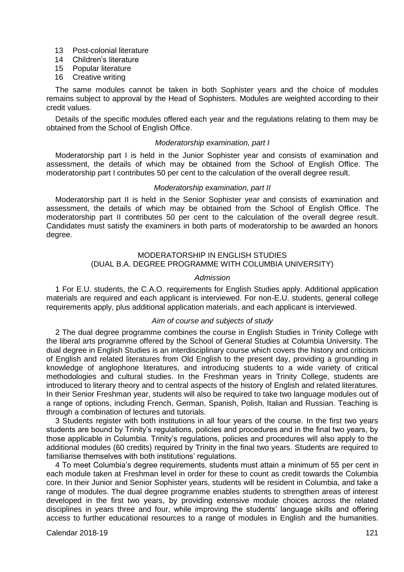- 13 Post-colonial literature
- 14 Children's literature
- 15 Popular literature
- 16 Creative writing

The same modules cannot be taken in both Sophister years and the choice of modules remains subject to approval by the Head of Sophisters. Modules are weighted according to their credit values.

Details of the specific modules offered each year and the regulations relating to them may be obtained from the School of English Office.

### *Moderatorship examination, part I*

Moderatorship part I is held in the Junior Sophister year and consists of examination and assessment, the details of which may be obtained from the School of English Office. The moderatorship part I contributes 50 per cent to the calculation of the overall degree result.

### *Moderatorship examination, part II*

Moderatorship part II is held in the Senior Sophister year and consists of examination and assessment, the details of which may be obtained from the School of English Office. The moderatorship part II contributes 50 per cent to the calculation of the overall degree result. Candidates must satisfy the examiners in both parts of moderatorship to be awarded an honors degree.

# MODERATORSHIP IN ENGLISH STUDIES (DUAL B.A. DEGREE PROGRAMME WITH COLUMBIA UNIVERSITY)

### *Admission*

1 For E.U. students, the C.A.O. requirements for English Studies apply. Additional application materials are required and each applicant is interviewed. For non-E.U. students, general college requirements apply, plus additional application materials, and each applicant is interviewed.

#### *Aim of course and subjects of study*

2 The dual degree programme combines the course in English Studies in Trinity College with the liberal arts programme offered by the School of General Studies at Columbia University. The dual degree in English Studies is an interdisciplinary course which covers the history and criticism of English and related literatures from Old English to the present day, providing a grounding in knowledge of anglophone literatures, and introducing students to a wide variety of critical methodologies and cultural studies. In the Freshman years in Trinity College, students are introduced to literary theory and to central aspects of the history of English and related literatures. In their Senior Freshman year, students will also be required to take two language modules out of a range of options, including French, German, Spanish, Polish, Italian and Russian. Teaching is through a combination of lectures and tutorials.

3 Students register with both institutions in all four years of the course. In the first two years students are bound by Trinity's regulations, policies and procedures and in the final two years, by those applicable in Columbia. Trinity's regulations, policies and procedures will also apply to the additional modules (60 credits) required by Trinity in the final two years. Students are required to familiarise themselves with both institutions' regulations.

4 To meet Columbia's degree requirements, students must attain a minimum of 55 per cent in each module taken at Freshman level in order for these to count as credit towards the Columbia core. In their Junior and Senior Sophister years, students will be resident in Columbia, and take a range of modules. The dual degree programme enables students to strengthen areas of interest developed in the first two years, by providing extensive module choices across the related disciplines in years three and four, while improving the students' language skills and offering access to further educational resources to a range of modules in English and the humanities.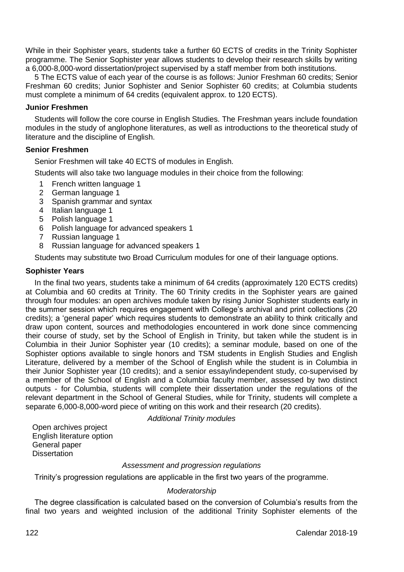While in their Sophister years, students take a further 60 ECTS of credits in the Trinity Sophister programme. The Senior Sophister year allows students to develop their research skills by writing a 6,000-8,000-word dissertation/project supervised by a staff member from both institutions.

5 The ECTS value of each year of the course is as follows: Junior Freshman 60 credits; Senior Freshman 60 credits; Junior Sophister and Senior Sophister 60 credits; at Columbia students must complete a minimum of 64 credits (equivalent approx. to 120 ECTS).

# **Junior Freshmen**

Students will follow the core course in English Studies. The Freshman years include foundation modules in the study of anglophone literatures, as well as introductions to the theoretical study of literature and the discipline of English.

# **Senior Freshmen**

Senior Freshmen will take 40 ECTS of modules in English.

Students will also take two language modules in their choice from the following:

- 1 French written language 1
- 2 German language 1
- 3 Spanish grammar and syntax
- 4 Italian language 1
- 5 Polish language 1
- 6 Polish language for advanced speakers 1
- 7 Russian language 1
- 8 Russian language for advanced speakers 1

Students may substitute two Broad Curriculum modules for one of their language options.

### **Sophister Years**

In the final two years, students take a minimum of 64 credits (approximately 120 ECTS credits) at Columbia and 60 credits at Trinity. The 60 Trinity credits in the Sophister years are gained through four modules: an open archives module taken by rising Junior Sophister students early in the summer session which requires engagement with College's archival and print collections (20 credits); a 'general paper' which requires students to demonstrate an ability to think critically and draw upon content, sources and methodologies encountered in work done since commencing their course of study, set by the School of English in Trinity, but taken while the student is in Columbia in their Junior Sophister year (10 credits); a seminar module, based on one of the Sophister options available to single honors and TSM students in English Studies and English Literature, delivered by a member of the School of English while the student is in Columbia in their Junior Sophister year (10 credits); and a senior essay/independent study, co-supervised by a member of the School of English and a Columbia faculty member, assessed by two distinct outputs - for Columbia, students will complete their dissertation under the regulations of the relevant department in the School of General Studies, while for Trinity, students will complete a separate 6,000-8,000-word piece of writing on this work and their research (20 credits).

# *Additional Trinity modules*

Open archives project English literature option General paper Dissertation

# *Assessment and progression regulations*

Trinity's progression regulations are applicable in the first two years of the programme.

# *Moderatorship*

The degree classification is calculated based on the conversion of Columbia's results from the final two years and weighted inclusion of the additional Trinity Sophister elements of the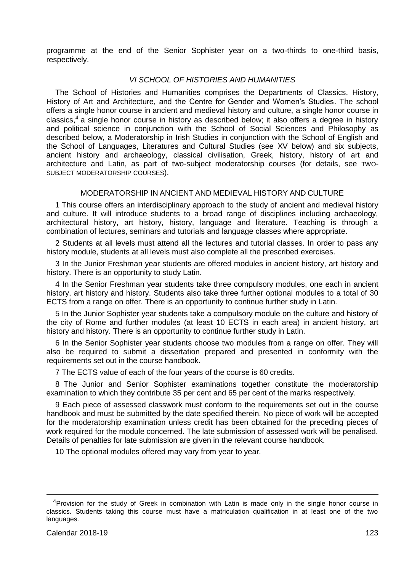programme at the end of the Senior Sophister year on a two-thirds to one-third basis, respectively.

# *VI SCHOOL OF HISTORIES AND HUMANITIES*

The School of Histories and Humanities comprises the Departments of Classics, History, History of Art and Architecture, and the Centre for Gender and Women's Studies. The school offers a single honor course in ancient and medieval history and culture, a single honor course in classics,<sup>4</sup> a single honor course in history as described below; it also offers a degree in history and political science in conjunction with the School of Social Sciences and Philosophy as described below, a Moderatorship in Irish Studies in conjunction with the School of English and the School of Languages, Literatures and Cultural Studies (see XV below) and six subjects, ancient history and archaeology, classical civilisation, Greek, history, history of art and architecture and Latin, as part of two-subject moderatorship courses (for details, see TWO-SUBJECT MODERATORSHIP COURSES).

#### MODERATORSHIP IN ANCIENT AND MEDIEVAL HISTORY AND CULTURE

1 This course offers an interdisciplinary approach to the study of ancient and medieval history and culture. It will introduce students to a broad range of disciplines including archaeology, architectural history, art history, history, language and literature. Teaching is through a combination of lectures, seminars and tutorials and language classes where appropriate.

2 Students at all levels must attend all the lectures and tutorial classes. In order to pass any history module, students at all levels must also complete all the prescribed exercises.

3 In the Junior Freshman year students are offered modules in ancient history, art history and history. There is an opportunity to study Latin.

4 In the Senior Freshman year students take three compulsory modules, one each in ancient history, art history and history. Students also take three further optional modules to a total of 30 ECTS from a range on offer. There is an opportunity to continue further study in Latin.

5 In the Junior Sophister year students take a compulsory module on the culture and history of the city of Rome and further modules (at least 10 ECTS in each area) in ancient history, art history and history. There is an opportunity to continue further study in Latin.

6 In the Senior Sophister year students choose two modules from a range on offer. They will also be required to submit a dissertation prepared and presented in conformity with the requirements set out in the course handbook.

7 The ECTS value of each of the four years of the course is 60 credits.

8 The Junior and Senior Sophister examinations together constitute the moderatorship examination to which they contribute 35 per cent and 65 per cent of the marks respectively.

9 Each piece of assessed classwork must conform to the requirements set out in the course handbook and must be submitted by the date specified therein. No piece of work will be accepted for the moderatorship examination unless credit has been obtained for the preceding pieces of work required for the module concerned. The late submission of assessed work will be penalised. Details of penalties for late submission are given in the relevant course handbook.

10 The optional modules offered may vary from year to year.

<u>.</u>

<sup>4</sup>Provision for the study of Greek in combination with Latin is made only in the single honor course in classics. Students taking this course must have a matriculation qualification in at least one of the two languages.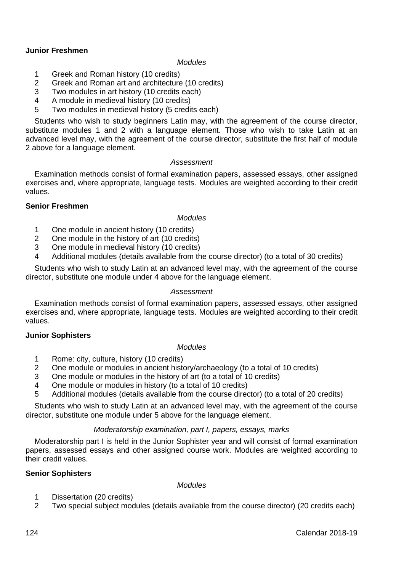# **Junior Freshmen**

#### *Modules*

- 1 Greek and Roman history (10 credits)<br>2 Greek and Roman art and architecture
- Greek and Roman art and architecture (10 credits)
- 3 Two modules in art history  $(10 \text{ credits each})$ <br>4 A module in medieval history  $(10 \text{ credits})$
- 4 A module in medieval history (10 credits)<br>5 Two modules in medieval history (5 credit
- Two modules in medieval history (5 credits each)

Students who wish to study beginners Latin may, with the agreement of the course director, substitute modules 1 and 2 with a language element. Those who wish to take Latin at an advanced level may, with the agreement of the course director, substitute the first half of module 2 above for a language element.

# *Assessment*

Examination methods consist of formal examination papers, assessed essays, other assigned exercises and, where appropriate, language tests. Modules are weighted according to their credit values.

### **Senior Freshmen**

#### *Modules*

- 1 One module in ancient history (10 credits)<br>2 One module in the history of art (10 credits)
- 2 One module in the history of art (10 credits)<br>3 One module in medieval history (10 credits)
- One module in medieval history (10 credits)
- 4 Additional modules (details available from the course director) (to a total of 30 credits)

Students who wish to study Latin at an advanced level may, with the agreement of the course director, substitute one module under 4 above for the language element.

### *Assessment*

Examination methods consist of formal examination papers, assessed essays, other assigned exercises and, where appropriate, language tests. Modules are weighted according to their credit values.

#### **Junior Sophisters**

### *Modules*

- 1 Rome: city, culture, history (10 credits)
- 2 One module or modules in ancient history/archaeology (to a total of 10 credits)
- 3 One module or modules in the history of art (to a total of 10 credits)
- 4 One module or modules in history (to a total of 10 credits)
- 5 Additional modules (details available from the course director) (to a total of 20 credits)

Students who wish to study Latin at an advanced level may, with the agreement of the course director, substitute one module under 5 above for the language element.

#### *Moderatorship examination, part I, papers, essays, marks*

Moderatorship part I is held in the Junior Sophister year and will consist of formal examination papers, assessed essays and other assigned course work. Modules are weighted according to their credit values.

### **Senior Sophisters**

*Modules*

- 1 Dissertation (20 credits)
- 2 Two special subject modules (details available from the course director) (20 credits each)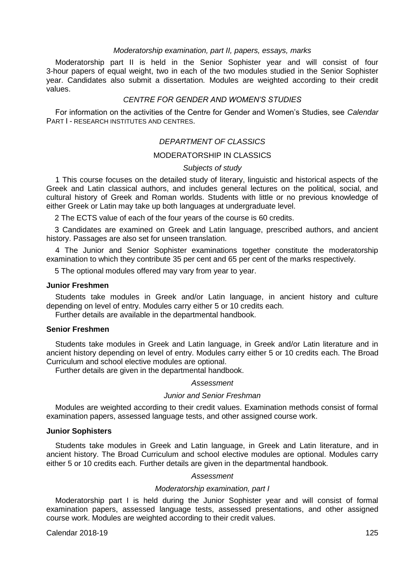### *Moderatorship examination, part II, papers, essays, marks*

Moderatorship part II is held in the Senior Sophister year and will consist of four 3-hour papers of equal weight, two in each of the two modules studied in the Senior Sophister year. Candidates also submit a dissertation. Modules are weighted according to their credit values.

# *CENTRE FOR GENDER AND WOMEN'S STUDIES*

For information on the activities of the Centre for Gender and Women's Studies, see *Calendar* PART I - RESEARCH INSTITUTES AND CENTRES.

### *DEPARTMENT OF CLASSICS*

### MODERATORSHIP IN CLASSICS

## *Subjects of study*

1 This course focuses on the detailed study of literary, linguistic and historical aspects of the Greek and Latin classical authors, and includes general lectures on the political, social, and cultural history of Greek and Roman worlds. Students with little or no previous knowledge of either Greek or Latin may take up both languages at undergraduate level.

2 The ECTS value of each of the four years of the course is 60 credits.

3 Candidates are examined on Greek and Latin language, prescribed authors, and ancient history. Passages are also set for unseen translation.

4 The Junior and Senior Sophister examinations together constitute the moderatorship examination to which they contribute 35 per cent and 65 per cent of the marks respectively.

5 The optional modules offered may vary from year to year.

### **Junior Freshmen**

Students take modules in Greek and/or Latin language, in ancient history and culture depending on level of entry. Modules carry either 5 or 10 credits each.

Further details are available in the departmental handbook.

### **Senior Freshmen**

Students take modules in Greek and Latin language, in Greek and/or Latin literature and in ancient history depending on level of entry. Modules carry either 5 or 10 credits each. The Broad Curriculum and school elective modules are optional.

Further details are given in the departmental handbook.

### *Assessment*

#### *Junior and Senior Freshman*

Modules are weighted according to their credit values. Examination methods consist of formal examination papers, assessed language tests, and other assigned course work.

#### **Junior Sophisters**

Students take modules in Greek and Latin language, in Greek and Latin literature, and in ancient history. The Broad Curriculum and school elective modules are optional. Modules carry either 5 or 10 credits each. Further details are given in the departmental handbook.

### *Assessment*

### *Moderatorship examination, part I*

Moderatorship part I is held during the Junior Sophister year and will consist of formal examination papers, assessed language tests, assessed presentations, and other assigned course work. Modules are weighted according to their credit values.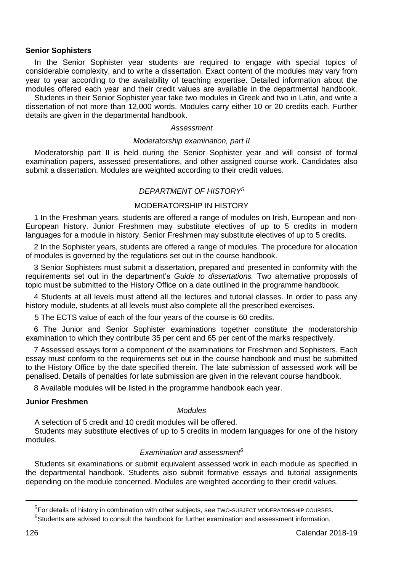### **Senior Sophisters**

In the Senior Sophister year students are required to engage with special topics of considerable complexity, and to write a dissertation. Exact content of the modules may vary from year to year according to the availability of teaching expertise. Detailed information about the modules offered each year and their credit values are available in the departmental handbook.

Students in their Senior Sophister year take two modules in Greek and two in Latin, and write a dissertation of not more than 12,000 words. Modules carry either 10 or 20 credits each. Further details are given in the departmental handbook.

#### *Assessment*

### *Moderatorship examination, part II*

Moderatorship part II is held during the Senior Sophister year and will consist of formal examination papers, assessed presentations, and other assigned course work. Candidates also submit a dissertation. Modules are weighted according to their credit values.

#### *DEPARTMENT OF HISTORY<sup>5</sup>*

# MODERATORSHIP IN HISTORY

1 In the Freshman years, students are offered a range of modules on Irish, European and non-European history. Junior Freshmen may substitute electives of up to 5 credits in modern languages for a module in history. Senior Freshmen may substitute electives of up to 5 credits.

2 In the Sophister years, students are offered a range of modules. The procedure for allocation of modules is governed by the regulations set out in the course handbook.

3 Senior Sophisters must submit a dissertation, prepared and presented in conformity with the requirements set out in the department's *Guide to dissertations.* Two alternative proposals of topic must be submitted to the History Office on a date outlined in the programme handbook.

4 Students at all levels must attend all the lectures and tutorial classes. In order to pass any history module, students at all levels must also complete all the prescribed exercises.

5 The ECTS value of each of the four years of the course is 60 credits.

6 The Junior and Senior Sophister examinations together constitute the moderatorship examination to which they contribute 35 per cent and 65 per cent of the marks respectively.

7 Assessed essays form a component of the examinations for Freshmen and Sophisters. Each essay must conform to the requirements set out in the course handbook and must be submitted to the History Office by the date specified therein. The late submission of assessed work will be penalised. Details of penalties for late submission are given in the relevant course handbook.

8 Available modules will be listed in the programme handbook each year.

### **Junior Freshmen**

### *Modules*

A selection of 5 credit and 10 credit modules will be offered.

Students may substitute electives of up to 5 credits in modern languages for one of the history modules.

### *Examination and assessment<sup>6</sup>*

Students sit examinations or submit equivalent assessed work in each module as specified in the departmental handbook. Students also submit formative essays and tutorial assignments depending on the module concerned. Modules are weighted according to their credit values.

-

<sup>&</sup>lt;sup>5</sup>For details of history in combination with other subjects, see TWO-SUBJECT MODERATORSHIP COURSES.

 $6$ Students are advised to consult the handbook for further examination and assessment information.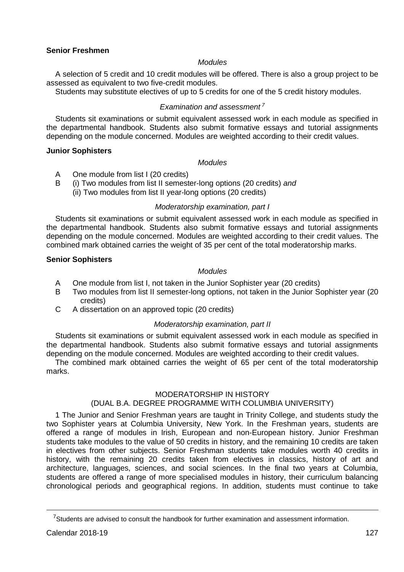# **Senior Freshmen**

### *Modules*

A selection of 5 credit and 10 credit modules will be offered. There is also a group project to be assessed as equivalent to two five-credit modules.

Students may substitute electives of up to 5 credits for one of the 5 credit history modules.

# *Examination and assessment 7*

Students sit examinations or submit equivalent assessed work in each module as specified in the departmental handbook. Students also submit formative essays and tutorial assignments depending on the module concerned. Modules are weighted according to their credit values.

### **Junior Sophisters**

### *Modules*

- A One module from list I (20 credits)
- B (i) Two modules from list II semester-long options (20 credits) *and*
	- (ii) Two modules from list II year-long options (20 credits)

# *Moderatorship examination, part I*

Students sit examinations or submit equivalent assessed work in each module as specified in the departmental handbook. Students also submit formative essays and tutorial assignments depending on the module concerned. Modules are weighted according to their credit values. The combined mark obtained carries the weight of 35 per cent of the total moderatorship marks.

### **Senior Sophisters**

# *Modules*

- A One module from list I, not taken in the Junior Sophister year (20 credits)<br>B Two modules from list II semester-long options, not taken in the Junior So
- Two modules from list II semester-long options, not taken in the Junior Sophister year (20 credits)
- C A dissertation on an approved topic (20 credits)

# *Moderatorship examination, part II*

Students sit examinations or submit equivalent assessed work in each module as specified in the departmental handbook. Students also submit formative essays and tutorial assignments depending on the module concerned. Modules are weighted according to their credit values.

The combined mark obtained carries the weight of 65 per cent of the total moderatorship marks.

# MODERATORSHIP IN HISTORY

# (DUAL B.A. DEGREE PROGRAMME WITH COLUMBIA UNIVERSITY)

1 The Junior and Senior Freshman years are taught in Trinity College, and students study the two Sophister years at Columbia University, New York. In the Freshman years, students are offered a range of modules in Irish, European and non-European history. Junior Freshman students take modules to the value of 50 credits in history, and the remaining 10 credits are taken in electives from other subjects. Senior Freshman students take modules worth 40 credits in history, with the remaining 20 credits taken from electives in classics, history of art and architecture, languages, sciences, and social sciences. In the final two years at Columbia, students are offered a range of more specialised modules in history, their curriculum balancing chronological periods and geographical regions. In addition, students must continue to take

<u>.</u>

 $7$ Students are advised to consult the handbook for further examination and assessment information.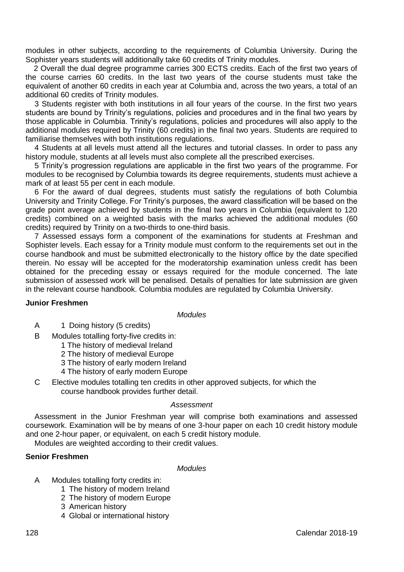modules in other subjects, according to the requirements of Columbia University. During the Sophister years students will additionally take 60 credits of Trinity modules.

2 Overall the dual degree programme carries 300 ECTS credits. Each of the first two years of the course carries 60 credits. In the last two years of the course students must take the equivalent of another 60 credits in each year at Columbia and, across the two years, a total of an additional 60 credits of Trinity modules.

3 Students register with both institutions in all four years of the course. In the first two years students are bound by Trinity's regulations, policies and procedures and in the final two years by those applicable in Columbia. Trinity's regulations, policies and procedures will also apply to the additional modules required by Trinity (60 credits) in the final two years. Students are required to familiarise themselves with both institutions regulations.

4 Students at all levels must attend all the lectures and tutorial classes. In order to pass any history module, students at all levels must also complete all the prescribed exercises.

5 Trinity's progression regulations are applicable in the first two years of the programme. For modules to be recognised by Columbia towards its degree requirements, students must achieve a mark of at least 55 per cent in each module.

6 For the award of dual degrees, students must satisfy the regulations of both Columbia University and Trinity College. For Trinity's purposes, the award classification will be based on the grade point average achieved by students in the final two years in Columbia (equivalent to 120 credits) combined on a weighted basis with the marks achieved the additional modules (60 credits) required by Trinity on a two-thirds to one-third basis.

7 Assessed essays form a component of the examinations for students at Freshman and Sophister levels. Each essay for a Trinity module must conform to the requirements set out in the course handbook and must be submitted electronically to the history office by the date specified therein. No essay will be accepted for the moderatorship examination unless credit has been obtained for the preceding essay or essays required for the module concerned. The late submission of assessed work will be penalised. Details of penalties for late submission are given in the relevant course handbook. Columbia modules are regulated by Columbia University.

### **Junior Freshmen**

#### *Modules*

- A 1 Doing history (5 credits)
- B Modules totalling forty-five credits in:
	- 1 The history of medieval Ireland
	- 2 The history of medieval Europe
	- 3 The history of early modern Ireland
	- 4 The history of early modern Europe
- C Elective modules totalling ten credits in other approved subjects, for which the course handbook provides further detail.

### *Assessment*

Assessment in the Junior Freshman year will comprise both examinations and assessed coursework. Examination will be by means of one 3-hour paper on each 10 credit history module and one 2-hour paper, or equivalent, on each 5 credit history module.

Modules are weighted according to their credit values.

# **Senior Freshmen**

# *Modules*

- A Modules totalling forty credits in:
	- 1 The history of modern Ireland
	- 2 The history of modern Europe
	- 3 American history
	- 4 Global or international history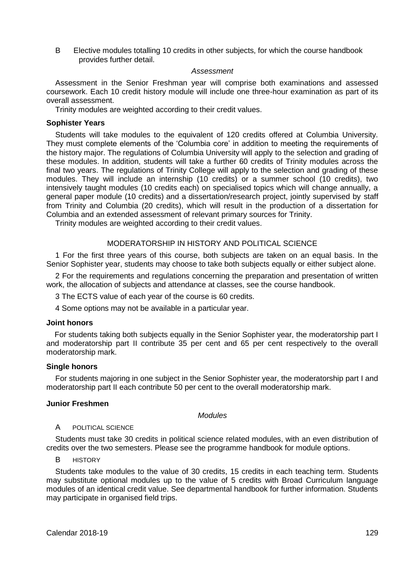B Elective modules totalling 10 credits in other subjects, for which the course handbook provides further detail.

### *Assessment*

Assessment in the Senior Freshman year will comprise both examinations and assessed coursework. Each 10 credit history module will include one three-hour examination as part of its overall assessment.

Trinity modules are weighted according to their credit values.

#### **Sophister Years**

Students will take modules to the equivalent of 120 credits offered at Columbia University. They must complete elements of the 'Columbia core' in addition to meeting the requirements of the history major. The regulations of Columbia University will apply to the selection and grading of these modules. In addition, students will take a further 60 credits of Trinity modules across the final two years. The regulations of Trinity College will apply to the selection and grading of these modules. They will include an internship (10 credits) or a summer school (10 credits), two intensively taught modules (10 credits each) on specialised topics which will change annually, a general paper module (10 credits) and a dissertation/research project, jointly supervised by staff from Trinity and Columbia (20 credits), which will result in the production of a dissertation for Columbia and an extended assessment of relevant primary sources for Trinity.

Trinity modules are weighted according to their credit values.

# MODERATORSHIP IN HISTORY AND POLITICAL SCIENCE

1 For the first three years of this course, both subjects are taken on an equal basis. In the Senior Sophister year, students may choose to take both subjects equally or either subject alone.

2 For the requirements and regulations concerning the preparation and presentation of written work, the allocation of subjects and attendance at classes, see the course handbook.

3 The ECTS value of each year of the course is 60 credits.

4 Some options may not be available in a particular year.

### **Joint honors**

For students taking both subjects equally in the Senior Sophister year, the moderatorship part I and moderatorship part II contribute 35 per cent and 65 per cent respectively to the overall moderatorship mark.

# **Single honors**

For students majoring in one subject in the Senior Sophister year, the moderatorship part I and moderatorship part II each contribute 50 per cent to the overall moderatorship mark.

### **Junior Freshmen**

#### *Modules*

### A POLITICAL SCIENCE

Students must take 30 credits in political science related modules, with an even distribution of credits over the two semesters. Please see the programme handbook for module options.

B HISTORY

Students take modules to the value of 30 credits, 15 credits in each teaching term. Students may substitute optional modules up to the value of 5 credits with Broad Curriculum language modules of an identical credit value. See departmental handbook for further information. Students may participate in organised field trips.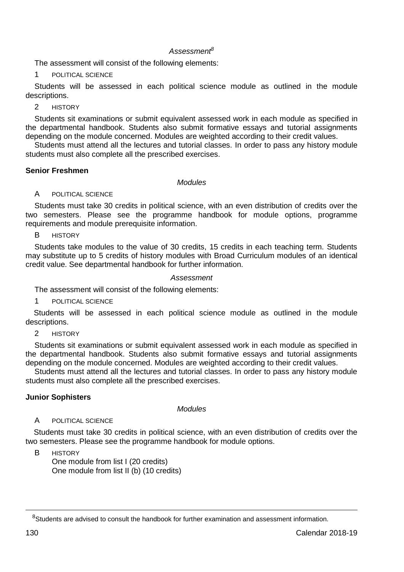# *Assessment<sup>8</sup>*

The assessment will consist of the following elements:

1 POLITICAL SCIENCE

Students will be assessed in each political science module as outlined in the module descriptions.

2 HISTORY

Students sit examinations or submit equivalent assessed work in each module as specified in the departmental handbook. Students also submit formative essays and tutorial assignments depending on the module concerned. Modules are weighted according to their credit values.

Students must attend all the lectures and tutorial classes. In order to pass any history module students must also complete all the prescribed exercises.

### **Senior Freshmen**

#### *Modules*

# A POLITICAL SCIENCE

Students must take 30 credits in political science, with an even distribution of credits over the two semesters. Please see the programme handbook for module options, programme requirements and module prerequisite information.

B HISTORY

Students take modules to the value of 30 credits, 15 credits in each teaching term. Students may substitute up to 5 credits of history modules with Broad Curriculum modules of an identical credit value. See departmental handbook for further information.

### *Assessment*

The assessment will consist of the following elements:

POLITICAL SCIENCE

Students will be assessed in each political science module as outlined in the module descriptions.

2 HISTORY

Students sit examinations or submit equivalent assessed work in each module as specified in the departmental handbook. Students also submit formative essays and tutorial assignments depending on the module concerned. Modules are weighted according to their credit values.

Students must attend all the lectures and tutorial classes. In order to pass any history module students must also complete all the prescribed exercises.

### **Junior Sophisters**

*Modules*

# A POLITICAL SCIENCE

Students must take 30 credits in political science, with an even distribution of credits over the two semesters. Please see the programme handbook for module options.

R HISTORY

One module from list I (20 credits) One module from list II (b) (10 credits)

<u>.</u>

<sup>&</sup>lt;sup>8</sup>Students are advised to consult the handbook for further examination and assessment information.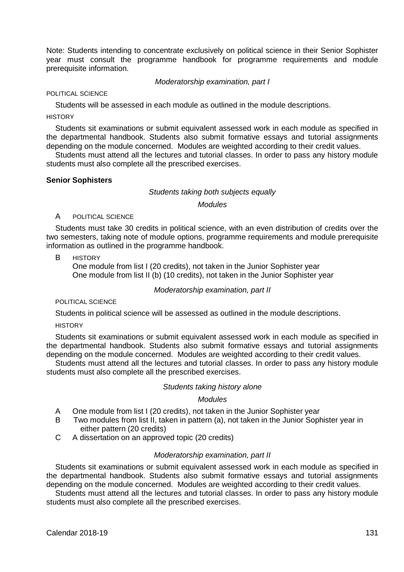Note: Students intending to concentrate exclusively on political science in their Senior Sophister year must consult the programme handbook for programme requirements and module prerequisite information.

*Moderatorship examination, part I*

POLITICAL SCIENCE

Students will be assessed in each module as outlined in the module descriptions.

**HISTORY** 

Students sit examinations or submit equivalent assessed work in each module as specified in the departmental handbook. Students also submit formative essays and tutorial assignments depending on the module concerned. Modules are weighted according to their credit values.

Students must attend all the lectures and tutorial classes. In order to pass any history module students must also complete all the prescribed exercises.

#### **Senior Sophisters**

#### *Students taking both subjects equally*

#### *Modules*

### A POLITICAL SCIENCE

Students must take 30 credits in political science, with an even distribution of credits over the two semesters, taking note of module options, programme requirements and module prerequisite information as outlined in the programme handbook.

R HISTORY

One module from list I (20 credits), not taken in the Junior Sophister year One module from list II (b) (10 credits), not taken in the Junior Sophister year

#### *Moderatorship examination, part II*

POLITICAL SCIENCE

Students in political science will be assessed as outlined in the module descriptions.

**HISTORY** 

Students sit examinations or submit equivalent assessed work in each module as specified in the departmental handbook. Students also submit formative essays and tutorial assignments depending on the module concerned. Modules are weighted according to their credit values.

Students must attend all the lectures and tutorial classes. In order to pass any history module students must also complete all the prescribed exercises.

### *Students taking history alone*

# *Modules*

- A One module from list I (20 credits), not taken in the Junior Sophister year
- B Two modules from list II, taken in pattern (a), not taken in the Junior Sophister year in either pattern (20 credits)
- C A dissertation on an approved topic (20 credits)

#### *Moderatorship examination, part II*

Students sit examinations or submit equivalent assessed work in each module as specified in the departmental handbook. Students also submit formative essays and tutorial assignments depending on the module concerned. Modules are weighted according to their credit values.

Students must attend all the lectures and tutorial classes. In order to pass any history module students must also complete all the prescribed exercises.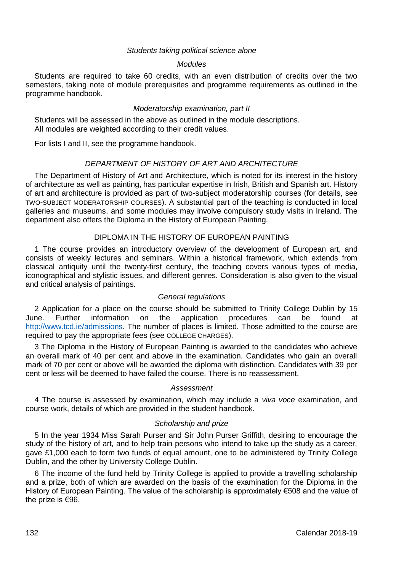### *Students taking political science alone*

### *Modules*

Students are required to take 60 credits, with an even distribution of credits over the two semesters, taking note of module prerequisites and programme requirements as outlined in the programme handbook.

### *Moderatorship examination, part II*

Students will be assessed in the above as outlined in the module descriptions. All modules are weighted according to their credit values.

For lists I and II, see the programme handbook.

## *DEPARTMENT OF HISTORY OF ART AND ARCHITECTURE*

The Department of History of Art and Architecture, which is noted for its interest in the history of architecture as well as painting, has particular expertise in Irish, British and Spanish art. History of art and architecture is provided as part of two-subject moderatorship courses (for details, see TWO-SUBJECT MODERATORSHIP COURSES). A substantial part of the teaching is conducted in local galleries and museums, and some modules may involve compulsory study visits in Ireland. The department also offers the Diploma in the History of European Painting.

### DIPLOMA IN THE HISTORY OF EUROPEAN PAINTING

1 The course provides an introductory overview of the development of European art, and consists of weekly lectures and seminars. Within a historical framework, which extends from classical antiquity until the twenty-first century, the teaching covers various types of media, iconographical and stylistic issues, and different genres. Consideration is also given to the visual and critical analysis of paintings.

### *General regulations*

2 Application for a place on the course should be submitted to Trinity College Dublin by 15 June. Further information on the application procedures can be found at [http://www.tcd.ie/admissions.](http://www.tcd.ie/admissions) The number of places is limited. Those admitted to the course are required to pay the appropriate fees (see COLLEGE CHARGES).

3 The Diploma in the History of European Painting is awarded to the candidates who achieve an overall mark of 40 per cent and above in the examination. Candidates who gain an overall mark of 70 per cent or above will be awarded the diploma with distinction. Candidates with 39 per cent or less will be deemed to have failed the course. There is no reassessment.

### *Assessment*

4 The course is assessed by examination, which may include a *viva voce* examination, and course work, details of which are provided in the student handbook.

### *Scholarship and prize*

5 In the year 1934 Miss Sarah Purser and Sir John Purser Griffith, desiring to encourage the study of the history of art, and to help train persons who intend to take up the study as a career, gave £1,000 each to form two funds of equal amount, one to be administered by Trinity College Dublin, and the other by University College Dublin.

6 The income of the fund held by Trinity College is applied to provide a travelling scholarship and a prize, both of which are awarded on the basis of the examination for the Diploma in the History of European Painting. The value of the scholarship is approximately €508 and the value of the prize is €96.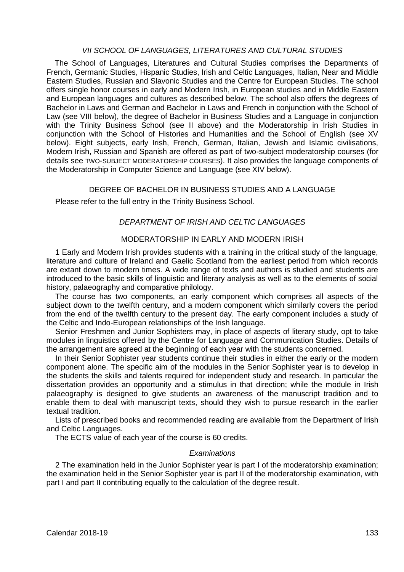### *VII SCHOOL OF LANGUAGES, LITERATURES AND CULTURAL STUDIES*

The School of Languages, Literatures and Cultural Studies comprises the Departments of French, Germanic Studies, Hispanic Studies, Irish and Celtic Languages, Italian, Near and Middle Eastern Studies, Russian and Slavonic Studies and the Centre for European Studies. The school offers single honor courses in early and Modern Irish, in European studies and in Middle Eastern and European languages and cultures as described below. The school also offers the degrees of Bachelor in Laws and German and Bachelor in Laws and French in conjunction with the School of Law (see VIII below), the degree of Bachelor in Business Studies and a Language in conjunction with the Trinity Business School (see II above) and the Moderatorship in Irish Studies in conjunction with the School of Histories and Humanities and the School of English (see XV below). Eight subjects, early Irish, French, German, Italian, Jewish and Islamic civilisations, Modern Irish, Russian and Spanish are offered as part of two-subject moderatorship courses (for details see TWO-SUBJECT MODERATORSHIP COURSES). It also provides the language components of the Moderatorship in Computer Science and Language (see XIV below).

### DEGREE OF BACHELOR IN BUSINESS STUDIES AND A LANGUAGE

Please refer to the full entry in the Trinity Business School.

# *DEPARTMENT OF IRISH AND CELTIC LANGUAGES*

# MODERATORSHIP IN EARLY AND MODERN IRISH

1 Early and Modern Irish provides students with a training in the critical study of the language, literature and culture of Ireland and Gaelic Scotland from the earliest period from which records are extant down to modern times. A wide range of texts and authors is studied and students are introduced to the basic skills of linguistic and literary analysis as well as to the elements of social history, palaeography and comparative philology.

The course has two components, an early component which comprises all aspects of the subject down to the twelfth century, and a modern component which similarly covers the period from the end of the twelfth century to the present day. The early component includes a study of the Celtic and Indo-European relationships of the Irish language.

Senior Freshmen and Junior Sophisters may, in place of aspects of literary study, opt to take modules in linguistics offered by the Centre for Language and Communication Studies. Details of the arrangement are agreed at the beginning of each year with the students concerned.

In their Senior Sophister year students continue their studies in either the early or the modern component alone. The specific aim of the modules in the Senior Sophister year is to develop in the students the skills and talents required for independent study and research. In particular the dissertation provides an opportunity and a stimulus in that direction; while the module in Irish palaeography is designed to give students an awareness of the manuscript tradition and to enable them to deal with manuscript texts, should they wish to pursue research in the earlier textual tradition.

Lists of prescribed books and recommended reading are available from the Department of Irish and Celtic Languages.

The ECTS value of each year of the course is 60 credits.

### *Examinations*

2 The examination held in the Junior Sophister year is part I of the moderatorship examination; the examination held in the Senior Sophister year is part II of the moderatorship examination, with part I and part II contributing equally to the calculation of the degree result.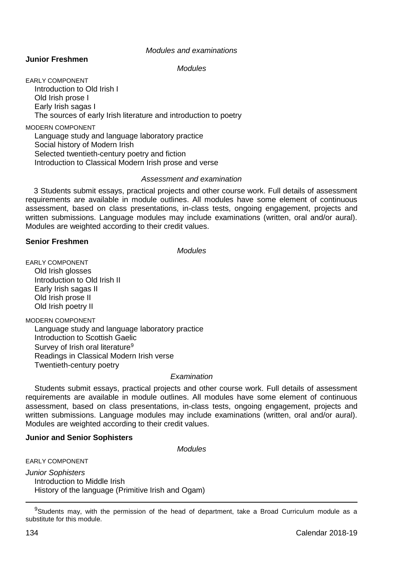#### *Modules and examinations*

# **Junior Freshmen**

*Modules*

EARLY COMPONENT Introduction to Old Irish I Old Irish prose I Early Irish sagas I The sources of early Irish literature and introduction to poetry

MODERN COMPONENT Language study and language laboratory practice Social history of Modern Irish Selected twentieth-century poetry and fiction Introduction to Classical Modern Irish prose and verse

#### *Assessment and examination*

3 Students submit essays, practical projects and other course work. Full details of assessment requirements are available in module outlines. All modules have some element of continuous assessment, based on class presentations, in-class tests, ongoing engagement, projects and written submissions. Language modules may include examinations (written, oral and/or aural). Modules are weighted according to their credit values.

# **Senior Freshmen**

*Modules*

EARLY COMPONENT Old Irish glosses Introduction to Old Irish II Early Irish sagas II Old Irish prose II Old Irish poetry II

MODERN COMPONENT

Language study and language laboratory practice Introduction to Scottish Gaelic Survey of Irish oral literature<sup>9</sup> Readings in Classical Modern Irish verse Twentieth-century poetry

## *Examination*

Students submit essays, practical projects and other course work. Full details of assessment requirements are available in module outlines. All modules have some element of continuous assessment, based on class presentations, in-class tests, ongoing engagement, projects and written submissions. Language modules may include examinations (written, oral and/or aural). Modules are weighted according to their credit values.

### **Junior and Senior Sophisters**

*Modules*

EARLY COMPONENT

*Junior Sophisters* Introduction to Middle Irish History of the language (Primitive Irish and Ogam)

<sup>9</sup>Students may, with the permission of the head of department, take a Broad Curriculum module as a substitute for this module.

-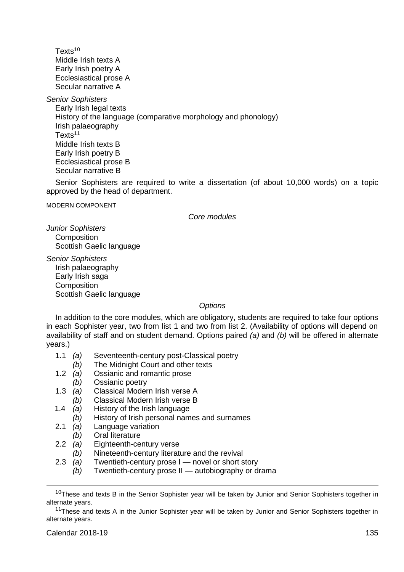Texts<sup>10</sup> Middle Irish texts A Early Irish poetry A Ecclesiastical prose A Secular narrative A

*Senior Sophisters*

Early Irish legal texts History of the language (comparative morphology and phonology) Irish palaeography Texts<sup>11</sup> Middle Irish texts B Early Irish poetry B Ecclesiastical prose B Secular narrative B

Senior Sophisters are required to write a dissertation (of about 10,000 words) on a topic approved by the head of department.

MODERN COMPONENT

*Core modules*

*Junior Sophisters* **Composition** Scottish Gaelic language

*Senior Sophisters* Irish palaeography Early Irish saga **Composition** Scottish Gaelic language

*Options*

In addition to the core modules, which are obligatory, students are required to take four options in each Sophister year, two from list 1 and two from list 2. (Availability of options will depend on availability of staff and on student demand. Options paired *(a)* and *(b)* will be offered in alternate years.)

- 1.1 *(a)* Seventeenth-century post-Classical poetry
- *(b)* The Midnight Court and other texts 1.2 *(a)* Ossianic and romantic prose
- 1.2 *(a)* Ossianic and romantic prose
	- *(b)* Ossianic poetry
- 1.3 *(a)* Classical Modern Irish verse A
- *(b)* Classical Modern Irish verse B<br>1.4 *(a)* History of the Irish language
- 1.4 *(a)* History of the Irish language
- *(b)* History of Irish personal names and surnames
- 2.1 *(a)* Language variation
- *(b)* Oral literature<br>2.2 *(a)* Eighteenth-ce
- 2.2 *(a)* Eighteenth-century verse
- *(b)* Nineteenth-century literature and the revival 2.3 *(a)* Twentieth-century prose I novel or short s
	- Twentieth-century prose I novel or short story
	- *(b)* Twentieth-century prose II autobiography or drama

-

<sup>&</sup>lt;sup>10</sup>These and texts B in the Senior Sophister year will be taken by Junior and Senior Sophisters together in alternate years.

<sup>&</sup>lt;sup>11</sup>These and texts A in the Junior Sophister year will be taken by Junior and Senior Sophisters together in alternate years.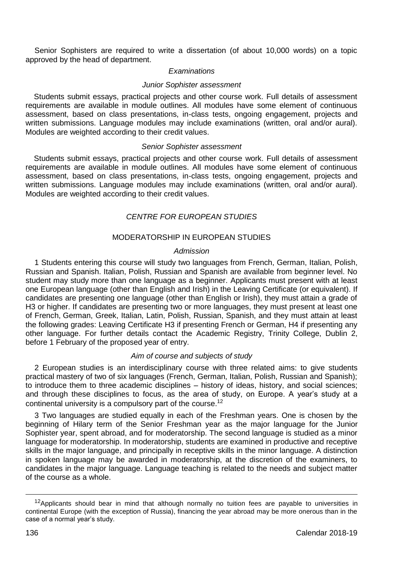Senior Sophisters are required to write a dissertation (of about 10,000 words) on a topic approved by the head of department.

### *Examinations*

### *Junior Sophister assessment*

Students submit essays, practical projects and other course work. Full details of assessment requirements are available in module outlines. All modules have some element of continuous assessment, based on class presentations, in-class tests, ongoing engagement, projects and written submissions. Language modules may include examinations (written, oral and/or aural). Modules are weighted according to their credit values.

### *Senior Sophister assessment*

Students submit essays, practical projects and other course work. Full details of assessment requirements are available in module outlines. All modules have some element of continuous assessment, based on class presentations, in-class tests, ongoing engagement, projects and written submissions. Language modules may include examinations (written, oral and/or aural). Modules are weighted according to their credit values.

# *CENTRE FOR EUROPEAN STUDIES*

### MODERATORSHIP IN EUROPEAN STUDIES

### *Admission*

1 Students entering this course will study two languages from French, German, Italian, Polish, Russian and Spanish. Italian, Polish, Russian and Spanish are available from beginner level. No student may study more than one language as a beginner. Applicants must present with at least one European language (other than English and Irish) in the Leaving Certificate (or equivalent). If candidates are presenting one language (other than English or Irish), they must attain a grade of H3 or higher. If candidates are presenting two or more languages, they must present at least one of French, German, Greek, Italian, Latin, Polish, Russian, Spanish, and they must attain at least the following grades: Leaving Certificate H3 if presenting French or German, H4 if presenting any other language. For further details contact the [Academic Registry,](https://www.tcd.ie/academicregistry/index.php) Trinity College, Dublin 2, before 1 February of the proposed year of entry.

# *Aim of course and subjects of study*

2 European studies is an interdisciplinary course with three related aims: to give students practical mastery of two of six languages (French, German, Italian, Polish, Russian and Spanish); to introduce them to three academic disciplines – history of ideas, history, and social sciences; and through these disciplines to focus, as the area of study, on Europe. A year's study at a continental university is a compulsory part of the course.<sup>12</sup>

3 Two languages are studied equally in each of the Freshman years. One is chosen by the beginning of Hilary term of the Senior Freshman year as the major language for the Junior Sophister year, spent abroad, and for moderatorship. The second language is studied as a minor language for moderatorship. In moderatorship, students are examined in productive and receptive skills in the major language, and principally in receptive skills in the minor language. A distinction in spoken language may be awarded in moderatorship, at the discretion of the examiners, to candidates in the major language. Language teaching is related to the needs and subject matter of the course as a whole.

<u>.</u>

 $12$ Applicants should bear in mind that although normally no tuition fees are payable to universities in continental Europe (with the exception of Russia), financing the year abroad may be more onerous than in the case of a normal year's study.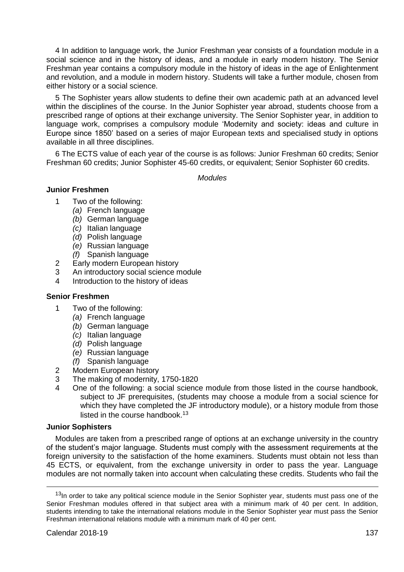4 In addition to language work, the Junior Freshman year consists of a foundation module in a social science and in the history of ideas, and a module in early modern history. The Senior Freshman year contains a compulsory module in the history of ideas in the age of Enlightenment and revolution, and a module in modern history. Students will take a further module, chosen from either history or a social science.

5 The Sophister years allow students to define their own academic path at an advanced level within the disciplines of the course. In the Junior Sophister year abroad, students choose from a prescribed range of options at their exchange university. The Senior Sophister year, in addition to language work, comprises a compulsory module 'Modernity and society: ideas and culture in Europe since 1850' based on a series of major European texts and specialised study in options available in all three disciplines.

6 The ECTS value of each year of the course is as follows: Junior Freshman 60 credits; Senior Freshman 60 credits; Junior Sophister 45-60 credits, or equivalent; Senior Sophister 60 credits.

*Modules*

# **Junior Freshmen**

- 1 Two of the following:
	- *(a)* French language
	- *(b)* German language
	- *(c)* Italian language
	- *(d)* Polish language
	- *(e)* Russian language
	- *(f)* Spanish language
- 2 Early modern European history
- 3 An introductory social science module
- Introduction to the history of ideas

# **Senior Freshmen**

- 1 Two of the following:
	- *(a)* French language
	- *(b)* German language
	- *(c)* Italian language
	- *(d)* Polish language
	- *(e)* Russian language
	- *(f)* Spanish language
- 2 Modern European history
- 3 The making of modernity, 1750-1820
- One of the following: a social science module from those listed in the course handbook, subject to JF prerequisites, (students may choose a module from a social science for which they have completed the JF introductory module), or a history module from those listed in the course handbook.<sup>13</sup>

## **Junior Sophisters**

Modules are taken from a prescribed range of options at an exchange university in the country of the student's major language. Students must comply with the assessment requirements at the foreign university to the satisfaction of the home examiners. Students must obtain not less than 45 ECTS, or equivalent, from the exchange university in order to pass the year. Language modules are not normally taken into account when calculating these credits. Students who fail the

-

<sup>&</sup>lt;sup>13</sup>In order to take any political science module in the Senior Sophister year, students must pass one of the Senior Freshman modules offered in that subject area with a minimum mark of 40 per cent. In addition, students intending to take the international relations module in the Senior Sophister year must pass the Senior Freshman international relations module with a minimum mark of 40 per cent.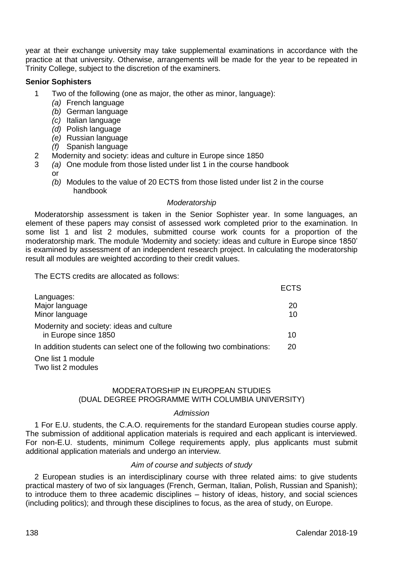year at their exchange university may take supplemental examinations in accordance with the practice at that university. Otherwise, arrangements will be made for the year to be repeated in Trinity College, subject to the discretion of the examiners.

# **Senior Sophisters**

- 1 Two of the following (one as major, the other as minor, language):
	- *(a)* French language
	- *(b)* German language
	- *(c)* Italian language
	- *(d)* Polish language
	- *(e)* Russian language
	- *(f)* Spanish language
- 2 Modernity and society: ideas and culture in Europe since 1850<br>2 (a) One module from those listed under list 1 in the course has
	- 3 *(a)* One module from those listed under list 1 in the course handbook or
		- *(b)* Modules to the value of 20 ECTS from those listed under list 2 in the course handbook

## *Moderatorship*

Moderatorship assessment is taken in the Senior Sophister year. In some languages, an element of these papers may consist of assessed work completed prior to the examination. In some list 1 and list 2 modules, submitted course work counts for a proportion of the moderatorship mark. The module 'Modernity and society: ideas and culture in Europe since 1850' is examined by assessment of an independent research project. In calculating the moderatorship result all modules are weighted according to their credit values.

The ECTS credits are allocated as follows:

|                                                                        | ECIS     |
|------------------------------------------------------------------------|----------|
| Languages:<br>Major language<br>Minor language                         | 20<br>10 |
| Modernity and society: ideas and culture<br>in Europe since 1850       | 10       |
| In addition students can select one of the following two combinations: | 20       |
| One list 1 module<br>Two list 2 modules                                |          |

# MODERATORSHIP IN EUROPEAN STUDIES (DUAL DEGREE PROGRAMME WITH COLUMBIA UNIVERSITY)

#### *Admission*

1 For E.U. students, the C.A.O. requirements for the standard European studies course apply. The submission of additional application materials is required and each applicant is interviewed. For non-E.U. students, minimum College requirements apply, plus applicants must submit additional application materials and undergo an interview.

# *Aim of course and subjects of study*

2 European studies is an interdisciplinary course with three related aims: to give students practical mastery of two of six languages (French, German, Italian, Polish, Russian and Spanish); to introduce them to three academic disciplines – history of ideas, history, and social sciences (including politics); and through these disciplines to focus, as the area of study, on Europe.

 $=$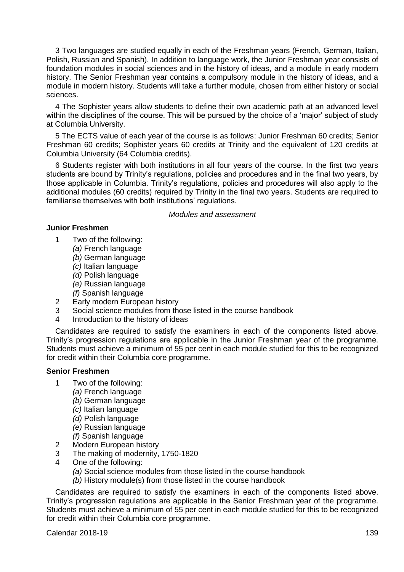3 Two languages are studied equally in each of the Freshman years (French, German, Italian, Polish, Russian and Spanish). In addition to language work, the Junior Freshman year consists of foundation modules in social sciences and in the history of ideas, and a module in early modern history. The Senior Freshman year contains a compulsory module in the history of ideas, and a module in modern history. Students will take a further module, chosen from either history or social sciences.

4 The Sophister years allow students to define their own academic path at an advanced level within the disciplines of the course. This will be pursued by the choice of a 'major' subject of study at Columbia University.

5 The ECTS value of each year of the course is as follows: Junior Freshman 60 credits; Senior Freshman 60 credits; Sophister years 60 credits at Trinity and the equivalent of 120 credits at Columbia University (64 Columbia credits).

6 Students register with both institutions in all four years of the course. In the first two years students are bound by Trinity's regulations, policies and procedures and in the final two years, by those applicable in Columbia. Trinity's regulations, policies and procedures will also apply to the additional modules (60 credits) required by Trinity in the final two years. Students are required to familiarise themselves with both institutions' regulations.

*Modules and assessment*

## **Junior Freshmen**

- 1 Two of the following:
	- *(a)* French language
	- *(b)* German language
	- *(c)* Italian language
	- *(d)* Polish language
	- *(e)* Russian language *(f)* Spanish language
- 2 Farly modern Furopean history
- 3 Social science modules from those listed in the course handbook
- 4 Introduction to the history of ideas

Candidates are required to satisfy the examiners in each of the components listed above. Trinity's progression regulations are applicable in the Junior Freshman year of the programme. Students must achieve a minimum of 55 per cent in each module studied for this to be recognized for credit within their Columbia core programme.

# **Senior Freshmen**

- 1 Two of the following:
	- *(a)* French language
	- *(b)* German language
	- *(c)* Italian language
	- *(d)* Polish language
	- *(e)* Russian language
	- *(f)* Spanish language
- 2 Modern European history
- 3 The making of modernity, 1750-1820
- 4 One of the following:
	- *(a)* Social science modules from those listed in the course handbook
	- *(b)* History module(s) from those listed in the course handbook

Candidates are required to satisfy the examiners in each of the components listed above. Trinity's progression regulations are applicable in the Senior Freshman year of the programme. Students must achieve a minimum of 55 per cent in each module studied for this to be recognized for credit within their Columbia core programme.

**Calendar 2018-19** 139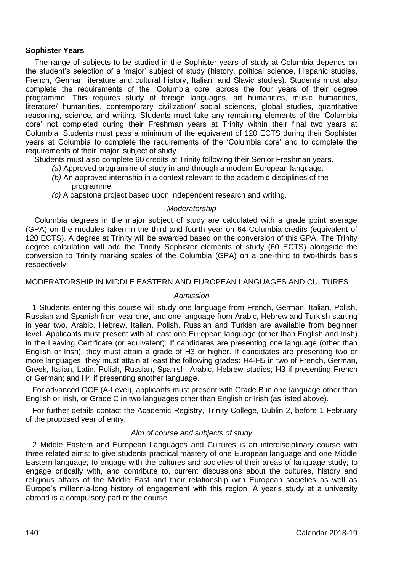# **Sophister Years**

The range of subjects to be studied in the Sophister years of study at Columbia depends on the student's selection of a 'major' subject of study (history, political science, Hispanic studies, French, German literature and cultural history, Italian, and Slavic studies). Students must also complete the requirements of the 'Columbia core' across the four years of their degree programme. This requires study of foreign languages, art humanities, music humanities, literature/ humanities, contemporary civilization/ social sciences, global studies, quantitative reasoning, science, and writing. Students must take any remaining elements of the 'Columbia core' not completed during their Freshman years at Trinity within their final two years at Columbia. Students must pass a minimum of the equivalent of 120 ECTS during their Sophister years at Columbia to complete the requirements of the 'Columbia core' and to complete the requirements of their 'major' subject of study.

Students must also complete 60 credits at Trinity following their Senior Freshman years.

- *(a)* Approved programme of study in and through a modern European language.
- *(b)* An approved internship in a context relevant to the academic disciplines of the programme.
- *(c)* A capstone project based upon independent research and writing.

## *Moderatorship*

Columbia degrees in the major subject of study are calculated with a grade point average (GPA) on the modules taken in the third and fourth year on 64 Columbia credits (equivalent of 120 ECTS). A degree at Trinity will be awarded based on the conversion of this GPA. The Trinity degree calculation will add the Trinity Sophister elements of study (60 ECTS) alongside the conversion to Trinity marking scales of the Columbia (GPA) on a one-third to two-thirds basis respectively.

## MODERATORSHIP IN MIDDLE EASTERN AND EUROPEAN LANGUAGES AND CULTURES

## *Admission*

1 Students entering this course will study one language from French, German, Italian, Polish, Russian and Spanish from year one, and one language from Arabic, Hebrew and Turkish starting in year two. Arabic, Hebrew, Italian, Polish, Russian and Turkish are available from beginner level. Applicants must present with at least one European language (other than English and Irish) in the Leaving Certificate (or equivalent). If candidates are presenting one language (other than English or Irish), they must attain a grade of H3 or higher. If candidates are presenting two or more languages, they must attain at least the following grades: H4-H5 in two of French, German, Greek, Italian, Latin, Polish, Russian, Spanish, Arabic, Hebrew studies; H3 if presenting French or German; and H4 if presenting another language.

For advanced GCE (A-Level), applicants must present with Grade B in one language other than English or Irish, or Grade C in two languages other than English or Irish (as listed above).

For further details contact the Academic Registry, Trinity College, Dublin 2, before 1 February of the proposed year of entry.

## *Aim of course and subjects of study*

2 Middle Eastern and European Languages and Cultures is an interdisciplinary course with three related aims: to give students practical mastery of one European language and one Middle Eastern language; to engage with the cultures and societies of their areas of language study; to engage critically with, and contribute to, current discussions about the cultures, history and religious affairs of the Middle East and their relationship with European societies as well as Europe's millennia-long history of engagement with this region. A year's study at a university abroad is a compulsory part of the course.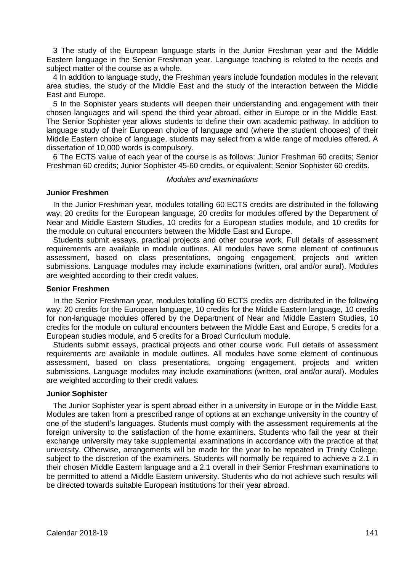3 The study of the European language starts in the Junior Freshman year and the Middle Eastern language in the Senior Freshman year. Language teaching is related to the needs and subject matter of the course as a whole.

4 In addition to language study, the Freshman years include foundation modules in the relevant area studies, the study of the Middle East and the study of the interaction between the Middle East and Europe.

5 In the Sophister years students will deepen their understanding and engagement with their chosen languages and will spend the third year abroad, either in Europe or in the Middle East. The Senior Sophister year allows students to define their own academic pathway. In addition to language study of their European choice of language and (where the student chooses) of their Middle Eastern choice of language, students may select from a wide range of modules offered. A dissertation of 10,000 words is compulsory.

6 The ECTS value of each year of the course is as follows: Junior Freshman 60 credits; Senior Freshman 60 credits; Junior Sophister 45-60 credits, or equivalent; Senior Sophister 60 credits.

#### *Modules and examinations*

## **Junior Freshmen**

In the Junior Freshman year, modules totalling 60 ECTS credits are distributed in the following way: 20 credits for the European language, 20 credits for modules offered by the Department of Near and Middle Eastern Studies, 10 credits for a European studies module, and 10 credits for the module on cultural encounters between the Middle East and Europe.

Students submit essays, practical projects and other course work. Full details of assessment requirements are available in module outlines. All modules have some element of continuous assessment, based on class presentations, ongoing engagement, projects and written submissions. Language modules may include examinations (written, oral and/or aural). Modules are weighted according to their credit values.

# **Senior Freshmen**

In the Senior Freshman year, modules totalling 60 ECTS credits are distributed in the following way: 20 credits for the European language, 10 credits for the Middle Eastern language, 10 credits for non-language modules offered by the Department of Near and Middle Eastern Studies, 10 credits for the module on cultural encounters between the Middle East and Europe, 5 credits for a European studies module, and 5 credits for a Broad Curriculum module.

Students submit essays, practical projects and other course work. Full details of assessment requirements are available in module outlines. All modules have some element of continuous assessment, based on class presentations, ongoing engagement, projects and written submissions. Language modules may include examinations (written, oral and/or aural). Modules are weighted according to their credit values.

# **Junior Sophister**

The Junior Sophister year is spent abroad either in a university in Europe or in the Middle East. Modules are taken from a prescribed range of options at an exchange university in the country of one of the student's languages. Students must comply with the assessment requirements at the foreign university to the satisfaction of the home examiners. Students who fail the year at their exchange university may take supplemental examinations in accordance with the practice at that university. Otherwise, arrangements will be made for the year to be repeated in Trinity College, subject to the discretion of the examiners. Students will normally be required to achieve a 2.1 in their chosen Middle Eastern language and a 2.1 overall in their Senior Freshman examinations to be permitted to attend a Middle Eastern university. Students who do not achieve such results will be directed towards suitable European institutions for their year abroad.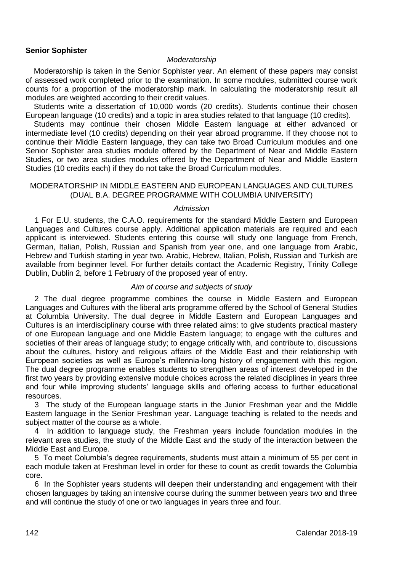## **Senior Sophister**

#### *Moderatorship*

Moderatorship is taken in the Senior Sophister year. An element of these papers may consist of assessed work completed prior to the examination. In some modules, submitted course work counts for a proportion of the moderatorship mark. In calculating the moderatorship result all modules are weighted according to their credit values.

Students write a dissertation of 10,000 words (20 credits). Students continue their chosen European language (10 credits) and a topic in area studies related to that language (10 credits).

Students may continue their chosen Middle Eastern language at either advanced or intermediate level (10 credits) depending on their year abroad programme. If they choose not to continue their Middle Eastern language, they can take two Broad Curriculum modules and one Senior Sophister area studies module offered by the Department of Near and Middle Eastern Studies, or two area studies modules offered by the Department of Near and Middle Eastern Studies (10 credits each) if they do not take the Broad Curriculum modules.

## MODERATORSHIP IN MIDDLE EASTERN AND EUROPEAN LANGUAGES AND CULTURES (DUAL B.A. DEGREE PROGRAMME WITH COLUMBIA UNIVERSITY)

#### *Admission*

1 For E.U. students, the C.A.O. requirements for the standard Middle Eastern and European Languages and Cultures course apply. Additional application materials are required and each applicant is interviewed. Students entering this course will study one language from French, German, Italian, Polish, Russian and Spanish from year one, and one language from Arabic, Hebrew and Turkish starting in year two. Arabic, Hebrew, Italian, Polish, Russian and Turkish are available from beginner level. For further details contact the Academic Registry, Trinity College Dublin, Dublin 2, before 1 February of the proposed year of entry.

## *Aim of course and subjects of study*

2 The dual degree programme combines the course in Middle Eastern and European Languages and Cultures with the liberal arts programme offered by the School of General Studies at Columbia University. The dual degree in Middle Eastern and European Languages and Cultures is an interdisciplinary course with three related aims: to give students practical mastery of one European language and one Middle Eastern language; to engage with the cultures and societies of their areas of language study; to engage critically with, and contribute to, discussions about the cultures, history and religious affairs of the Middle East and their relationship with European societies as well as Europe's millennia-long history of engagement with this region. The dual degree programme enables students to strengthen areas of interest developed in the first two years by providing extensive module choices across the related disciplines in years three and four while improving students' language skills and offering access to further educational resources.

3 The study of the European language starts in the Junior Freshman year and the Middle Eastern language in the Senior Freshman year. Language teaching is related to the needs and subject matter of the course as a whole.

4 In addition to language study, the Freshman years include foundation modules in the relevant area studies, the study of the Middle East and the study of the interaction between the Middle East and Europe.

5 To meet Columbia's degree requirements, students must attain a minimum of 55 per cent in each module taken at Freshman level in order for these to count as credit towards the Columbia core.

6 In the Sophister years students will deepen their understanding and engagement with their chosen languages by taking an intensive course during the summer between years two and three and will continue the study of one or two languages in years three and four.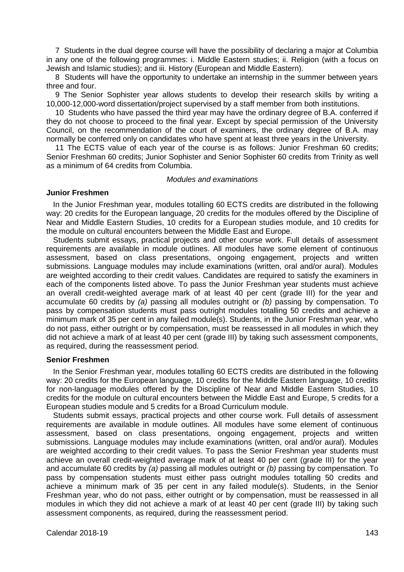7 Students in the dual degree course will have the possibility of declaring a major at Columbia in any one of the following programmes: i. Middle Eastern studies; ii. Religion (with a focus on Jewish and Islamic studies); and iii. History (European and Middle Eastern).

8 Students will have the opportunity to undertake an internship in the summer between years three and four.

9 The Senior Sophister year allows students to develop their research skills by writing a 10,000-12,000-word dissertation/project supervised by a staff member from both institutions.

10 Students who have passed the third year may have the ordinary degree of B.A. conferred if they do not choose to proceed to the final year. Except by special permission of the University Council, on the recommendation of the court of examiners, the ordinary degree of B.A. may normally be conferred only on candidates who have spent at least three years in the University.

11 The ECTS value of each year of the course is as follows: Junior Freshman 60 credits; Senior Freshman 60 credits; Junior Sophister and Senior Sophister 60 credits from Trinity as well as a minimum of 64 credits from Columbia.

#### *Modules and examinations*

#### **Junior Freshmen**

In the Junior Freshman year, modules totalling 60 ECTS credits are distributed in the following way: 20 credits for the European language, 20 credits for the modules offered by the Discipline of Near and Middle Eastern Studies, 10 credits for a European studies module, and 10 credits for the module on cultural encounters between the Middle East and Europe.

Students submit essays, practical projects and other course work. Full details of assessment requirements are available in module outlines. All modules have some element of continuous assessment, based on class presentations, ongoing engagement, projects and written submissions. Language modules may include examinations (written, oral and/or aural). Modules are weighted according to their credit values. Candidates are required to satisfy the examiners in each of the components listed above. To pass the Junior Freshman year students must achieve an overall credit-weighted average mark of at least 40 per cent (grade III) for the year and accumulate 60 credits by *(a)* passing all modules outright or *(b)* passing by compensation. To pass by compensation students must pass outright modules totalling 50 credits and achieve a minimum mark of 35 per cent in any failed module(s). Students, in the Junior Freshman year, who do not pass, either outright or by compensation, must be reassessed in all modules in which they did not achieve a mark of at least 40 per cent (grade III) by taking such assessment components, as required, during the reassessment period.

#### **Senior Freshmen**

In the Senior Freshman year, modules totalling 60 ECTS credits are distributed in the following way: 20 credits for the European language, 10 credits for the Middle Eastern language, 10 credits for non-language modules offered by the Discipline of Near and Middle Eastern Studies, 10 credits for the module on cultural encounters between the Middle East and Europe, 5 credits for a European studies module and 5 credits for a Broad Curriculum module.

Students submit essays, practical projects and other course work. Full details of assessment requirements are available in module outlines. All modules have some element of continuous assessment, based on class presentations, ongoing engagement, projects and written submissions. Language modules may include examinations (written, oral and/or aural). Modules are weighted according to their credit values. To pass the Senior Freshman year students must achieve an overall credit-weighted average mark of at least 40 per cent (grade III) for the year and accumulate 60 credits by *(a)* passing all modules outright or *(b)* passing by compensation. To pass by compensation students must either pass outright modules totalling 50 credits and achieve a minimum mark of 35 per cent in any failed module(s). Students, in the Senior Freshman year, who do not pass, either outright or by compensation, must be reassessed in all modules in which they did not achieve a mark of at least 40 per cent (grade III) by taking such assessment components, as required, during the reassessment period.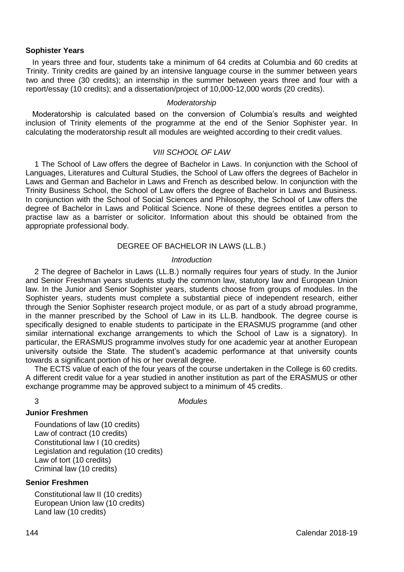#### **Sophister Years**

In years three and four, students take a minimum of 64 credits at Columbia and 60 credits at Trinity. Trinity credits are gained by an intensive language course in the summer between years two and three (30 credits); an internship in the summer between years three and four with a report/essay (10 credits); and a dissertation/project of 10,000-12,000 words (20 credits).

#### *Moderatorship*

Moderatorship is calculated based on the conversion of Columbia's results and weighted inclusion of Trinity elements of the programme at the end of the Senior Sophister year. In calculating the moderatorship result all modules are weighted according to their credit values.

# *VIII SCHOOL OF LAW*

1 The School of Law offers the degree of Bachelor in Laws. In conjunction with the School of Languages, Literatures and Cultural Studies, the School of Law offers the degrees of Bachelor in Laws and German and Bachelor in Laws and French as described below. In conjunction with the Trinity Business School, the School of Law offers the degree of Bachelor in Laws and Business. In conjunction with the School of Social Sciences and Philosophy, the School of Law offers the degree of Bachelor in Laws and Political Science. None of these degrees entitles a person to practise law as a barrister or solicitor. Information about this should be obtained from the appropriate professional body.

## DEGREE OF BACHELOR IN LAWS (LL.B.)

#### *Introduction*

2 The degree of Bachelor in Laws (LL.B.) normally requires four years of study. In the Junior and Senior Freshman years students study the common law, statutory law and European Union law. In the Junior and Senior Sophister years, students choose from groups of modules. In the Sophister years, students must complete a substantial piece of independent research, either through the Senior Sophister research project module, or as part of a study abroad programme, in the manner prescribed by the School of Law in its LL.B. handbook. The degree course is specifically designed to enable students to participate in the ERASMUS programme (and other similar international exchange arrangements to which the School of Law is a signatory). In particular, the ERASMUS programme involves study for one academic year at another European university outside the State. The student's academic performance at that university counts towards a significant portion of his or her overall degree.

The ECTS value of each of the four years of the course undertaken in the College is 60 credits. A different credit value for a year studied in another institution as part of the ERASMUS or other exchange programme may be approved subject to a minimum of 45 credits.

3 *Modules*

#### **Junior Freshmen**

Foundations of law (10 credits) Law of contract (10 credits) Constitutional law I (10 credits) Legislation and regulation (10 credits) Law of tort (10 credits) Criminal law (10 credits)

## **Senior Freshmen**

Constitutional law II (10 credits) European Union law (10 credits) Land law (10 credits)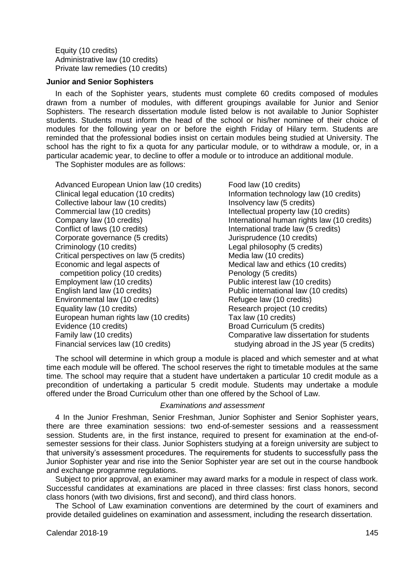Equity (10 credits) Administrative law (10 credits) Private law remedies (10 credits)

## **Junior and Senior Sophisters**

In each of the Sophister years, students must complete 60 credits composed of modules drawn from a number of modules, with different groupings available for Junior and Senior Sophisters. The research dissertation module listed below is not available to Junior Sophister students. Students must inform the head of the school or his/her nominee of their choice of modules for the following year on or before the eighth Friday of Hilary term. Students are reminded that the professional bodies insist on certain modules being studied at University. The school has the right to fix a quota for any particular module, or to withdraw a module, or, in a particular academic year, to decline to offer a module or to introduce an additional module.

The Sophister modules are as follows:

Advanced European Union law (10 credits) Food law (10 credits) Clinical legal education (10 credits) Information technology law (10 credits)<br>Collective labour law (10 credits) Insolvency law (5 credits) Collective labour law (10 credits)<br>Commercial law (10 credits) Company law (10 credits)  $\begin{array}{ccc} \hbox{International human rights law (10 credits)} \\ \hbox{Conflict of laws (10 credits)} \end{array}$  International trade law (5 credits) Corporate governance (5 credits)<br>Criminology (10 credits) Critical perspectives on law (5 credits) Media law (10 credits) Economic and legal aspects of Medical law and ethics (10 credits)<br>
competition policy (10 credits) Penology (5 credits) competition policy (10 credits)<br>Employment law (10 credits) Employment law (10 credits)<br>
Fublic interest law (10 credits)<br>
Public international law (10 cre Environmental law (10 credits)<br>Equality law (10 credits) European human rights law (10 credits) Evidence (10 credits) Broad Curriculum (5 credits) Family law (10 credits) **Comparative law dissertation for students**<br>
Financial services law (10 credits) **Comparative studying abroad in the JS** vear (5 credits

Intellectual property law (10 credits) International trade law (5 credits)<br>Jurisprudence (10 credits) Legal philosophy (5 credits) Public international law (10 credits)<br>Refugee law (10 credits) Research project (10 credits)<br>Tax law (10 credits) studying abroad in the JS year (5 credits)

The school will determine in which group a module is placed and which semester and at what time each module will be offered. The school reserves the right to timetable modules at the same time. The school may require that a student have undertaken a particular 10 credit module as a precondition of undertaking a particular 5 credit module. Students may undertake a module offered under the Broad Curriculum other than one offered by the School of Law.

#### *Examinations and assessment*

4 In the Junior Freshman, Senior Freshman, Junior Sophister and Senior Sophister years, there are three examination sessions: two end-of-semester sessions and a reassessment session. Students are, in the first instance, required to present for examination at the end-ofsemester sessions for their class. Junior Sophisters studying at a foreign university are subject to that university's assessment procedures. The requirements for students to successfully pass the Junior Sophister year and rise into the Senior Sophister year are set out in the course handbook and exchange programme regulations.

Subject to prior approval, an examiner may award marks for a module in respect of class work. Successful candidates at examinations are placed in three classes: first class honors, second class honors (with two divisions, first and second), and third class honors.

The School of Law examination conventions are determined by the court of examiners and provide detailed guidelines on examination and assessment, including the research dissertation.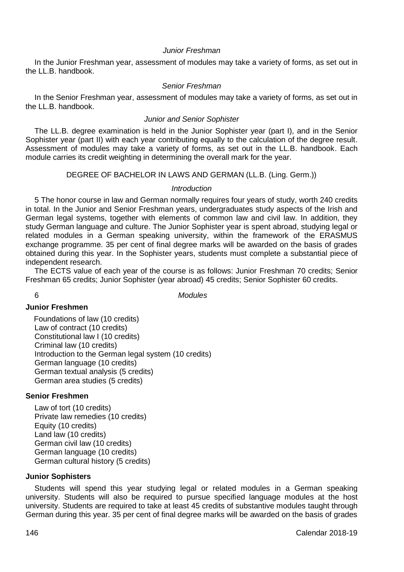# *Junior Freshman*

In the Junior Freshman year, assessment of modules may take a variety of forms, as set out in the LL.B. handbook.

# *Senior Freshman*

In the Senior Freshman year, assessment of modules may take a variety of forms, as set out in the LL.B. handbook.

## *Junior and Senior Sophister*

The LL.B. degree examination is held in the Junior Sophister year (part I), and in the Senior Sophister year (part II) with each year contributing equally to the calculation of the degree result. Assessment of modules may take a variety of forms, as set out in the LL.B. handbook. Each module carries its credit weighting in determining the overall mark for the year.

# DEGREE OF BACHELOR IN LAWS AND GERMAN (LL.B. (Ling. Germ.))

# *Introduction*

5 The honor course in law and German normally requires four years of study, worth 240 credits in total. In the Junior and Senior Freshman years, undergraduates study aspects of the Irish and German legal systems, together with elements of common law and civil law. In addition, they study German language and culture. The Junior Sophister year is spent abroad, studying legal or related modules in a German speaking university, within the framework of the ERASMUS exchange programme. 35 per cent of final degree marks will be awarded on the basis of grades obtained during this year. In the Sophister years, students must complete a substantial piece of independent research.

The ECTS value of each year of the course is as follows: Junior Freshman 70 credits; Senior Freshman 65 credits; Junior Sophister (year abroad) 45 credits; Senior Sophister 60 credits.

6 *Modules*

# **Junior Freshmen**

Foundations of law (10 credits) Law of contract (10 credits) Constitutional law I (10 credits) Criminal law (10 credits) Introduction to the German legal system (10 credits) German language (10 credits) German textual analysis (5 credits) German area studies (5 credits)

# **Senior Freshmen**

Law of tort (10 credits) Private law remedies (10 credits) Equity (10 credits) Land law (10 credits) German civil law (10 credits) German language (10 credits) German cultural history (5 credits)

## **Junior Sophisters**

Students will spend this year studying legal or related modules in a German speaking university. Students will also be required to pursue specified language modules at the host university. Students are required to take at least 45 credits of substantive modules taught through German during this year. 35 per cent of final degree marks will be awarded on the basis of grades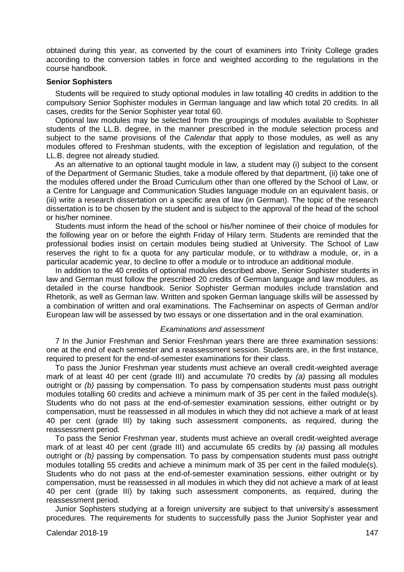obtained during this year, as converted by the court of examiners into Trinity College grades according to the conversion tables in force and weighted according to the regulations in the course handbook.

#### **Senior Sophisters**

Students will be required to study optional modules in law totalling 40 credits in addition to the compulsory Senior Sophister modules in German language and law which total 20 credits. In all cases, credits for the Senior Sophister year total 60.

Optional law modules may be selected from the groupings of modules available to Sophister students of the LL.B. degree, in the manner prescribed in the module selection process and subject to the same provisions of the *Calendar* that apply to those modules, as well as any modules offered to Freshman students, with the exception of legislation and regulation, of the LL.B. degree not already studied.

As an alternative to an optional taught module in law, a student may (i) subject to the consent of the Department of Germanic Studies, take a module offered by that department, (ii) take one of the modules offered under the Broad Curriculum other than one offered by the School of Law, or a Centre for Language and Communication Studies language module on an equivalent basis, or (iii) write a research dissertation on a specific area of law (in German). The topic of the research dissertation is to be chosen by the student and is subject to the approval of the head of the school or his/her nominee.

Students must inform the head of the school or his/her nominee of their choice of modules for the following year on or before the eighth Friday of Hilary term. Students are reminded that the professional bodies insist on certain modules being studied at University. The School of Law reserves the right to fix a quota for any particular module, or to withdraw a module, or, in a particular academic year, to decline to offer a module or to introduce an additional module.

In addition to the 40 credits of optional modules described above, Senior Sophister students in law and German must follow the prescribed 20 credits of German language and law modules, as detailed in the course handbook. Senior Sophister German modules include translation and Rhetorik, as well as German law. Written and spoken German language skills will be assessed by a combination of written and oral examinations. The Fachseminar on aspects of German and/or European law will be assessed by two essays or one dissertation and in the oral examination.

#### *Examinations and assessment*

7 In the Junior Freshman and Senior Freshman years there are three examination sessions: one at the end of each semester and a reassessment session. Students are, in the first instance, required to present for the end-of-semester examinations for their class.

To pass the Junior Freshman year students must achieve an overall credit-weighted average mark of at least 40 per cent (grade III) and accumulate 70 credits by *(a)* passing all modules outright or *(b)* passing by compensation. To pass by compensation students must pass outright modules totalling 60 credits and achieve a minimum mark of 35 per cent in the failed module(s). Students who do not pass at the end-of-semester examination sessions, either outright or by compensation, must be reassessed in all modules in which they did not achieve a mark of at least 40 per cent (grade III) by taking such assessment components, as required, during the reassessment period.

To pass the Senior Freshman year, students must achieve an overall credit-weighted average mark of at least 40 per cent (grade III) and accumulate 65 credits by *(a)* passing all modules outright or *(b)* passing by compensation. To pass by compensation students must pass outright modules totalling 55 credits and achieve a minimum mark of 35 per cent in the failed module(s). Students who do not pass at the end-of-semester examination sessions, either outright or by compensation, must be reassessed in all modules in which they did not achieve a mark of at least 40 per cent (grade III) by taking such assessment components, as required, during the reassessment period.

Junior Sophisters studying at a foreign university are subject to that university's assessment procedures. The requirements for students to successfully pass the Junior Sophister year and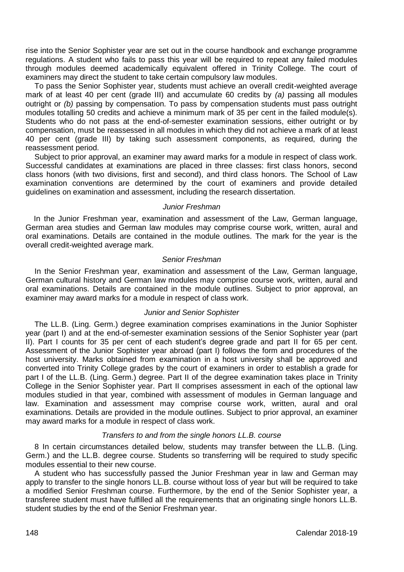rise into the Senior Sophister year are set out in the course handbook and exchange programme regulations. A student who fails to pass this year will be required to repeat any failed modules through modules deemed academically equivalent offered in Trinity College. The court of examiners may direct the student to take certain compulsory law modules.

To pass the Senior Sophister year, students must achieve an overall credit-weighted average mark of at least 40 per cent (grade III) and accumulate 60 credits by *(a)* passing all modules outright or *(b)* passing by compensation. To pass by compensation students must pass outright modules totalling 50 credits and achieve a minimum mark of 35 per cent in the failed module(s). Students who do not pass at the end-of-semester examination sessions, either outright or by compensation, must be reassessed in all modules in which they did not achieve a mark of at least 40 per cent (grade III) by taking such assessment components, as required, during the reassessment period.

Subject to prior approval, an examiner may award marks for a module in respect of class work. Successful candidates at examinations are placed in three classes: first class honors, second class honors (with two divisions, first and second), and third class honors. The School of Law examination conventions are determined by the court of examiners and provide detailed guidelines on examination and assessment, including the research dissertation.

# *Junior Freshman*

In the Junior Freshman year, examination and assessment of the Law, German language, German area studies and German law modules may comprise course work, written, aural and oral examinations. Details are contained in the module outlines. The mark for the year is the overall credit-weighted average mark.

#### *Senior Freshman*

In the Senior Freshman year, examination and assessment of the Law, German language, German cultural history and German law modules may comprise course work, written, aural and oral examinations. Details are contained in the module outlines. Subject to prior approval, an examiner may award marks for a module in respect of class work.

### *Junior and Senior Sophister*

The LL.B. (Ling. Germ.) degree examination comprises examinations in the Junior Sophister year (part I) and at the end-of-semester examination sessions of the Senior Sophister year (part II). Part I counts for 35 per cent of each student's degree grade and part II for 65 per cent. Assessment of the Junior Sophister year abroad (part I) follows the form and procedures of the host university. Marks obtained from examination in a host university shall be approved and converted into Trinity College grades by the court of examiners in order to establish a grade for part I of the LL.B. (Ling. Germ.) degree. Part II of the degree examination takes place in Trinity College in the Senior Sophister year. Part II comprises assessment in each of the optional law modules studied in that year, combined with assessment of modules in German language and law. Examination and assessment may comprise course work, written, aural and oral examinations. Details are provided in the module outlines. Subject to prior approval, an examiner may award marks for a module in respect of class work.

#### *Transfers to and from the single honors LL.B. course*

8 In certain circumstances detailed below, students may transfer between the LL.B. (Ling. Germ.) and the LL.B. degree course. Students so transferring will be required to study specific modules essential to their new course.

A student who has successfully passed the Junior Freshman year in law and German may apply to transfer to the single honors LL.B. course without loss of year but will be required to take a modified Senior Freshman course. Furthermore, by the end of the Senior Sophister year, a transferee student must have fulfilled all the requirements that an originating single honors LL.B. student studies by the end of the Senior Freshman year.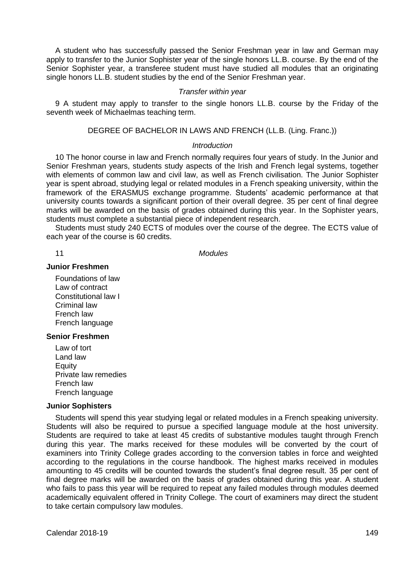A student who has successfully passed the Senior Freshman year in law and German may apply to transfer to the Junior Sophister year of the single honors LL.B. course. By the end of the Senior Sophister year, a transferee student must have studied all modules that an originating single honors LL.B. student studies by the end of the Senior Freshman year.

#### *Transfer within year*

9 A student may apply to transfer to the single honors LL.B. course by the Friday of the seventh week of Michaelmas teaching term.

DEGREE OF BACHELOR IN LAWS AND FRENCH (LL.B. (Ling. Franc.))

## *Introduction*

10 The honor course in law and French normally requires four years of study. In the Junior and Senior Freshman years, students study aspects of the Irish and French legal systems, together with elements of common law and civil law, as well as French civilisation. The Junior Sophister year is spent abroad, studying legal or related modules in a French speaking university, within the framework of the ERASMUS exchange programme. Students' academic performance at that university counts towards a significant portion of their overall degree. 35 per cent of final degree marks will be awarded on the basis of grades obtained during this year. In the Sophister years, students must complete a substantial piece of independent research.

Students must study 240 ECTS of modules over the course of the degree. The ECTS value of each year of the course is 60 credits.

11 *Modules*

#### **Junior Freshmen**

Foundations of law Law of contract Constitutional law I Criminal law French law French language

## **Senior Freshmen**

Law of tort Land law **Equity** Private law remedies French law French language

#### **Junior Sophisters**

Students will spend this year studying legal or related modules in a French speaking university. Students will also be required to pursue a specified language module at the host university. Students are required to take at least 45 credits of substantive modules taught through French during this year. The marks received for these modules will be converted by the court of examiners into Trinity College grades according to the conversion tables in force and weighted according to the regulations in the course handbook. The highest marks received in modules amounting to 45 credits will be counted towards the student's final degree result. 35 per cent of final degree marks will be awarded on the basis of grades obtained during this year. A student who fails to pass this year will be required to repeat any failed modules through modules deemed academically equivalent offered in Trinity College. The court of examiners may direct the student to take certain compulsory law modules.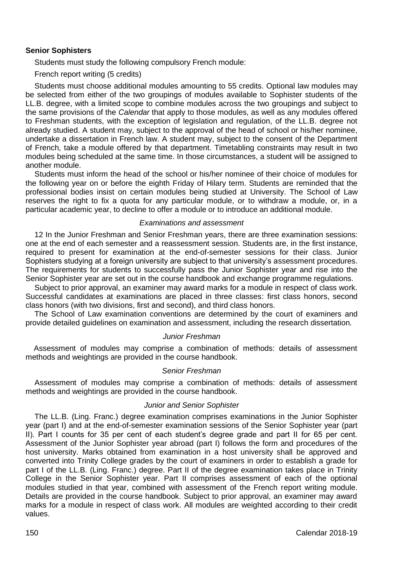# **Senior Sophisters**

Students must study the following compulsory French module:

French report writing (5 credits)

Students must choose additional modules amounting to 55 credits. Optional law modules may be selected from either of the two groupings of modules available to Sophister students of the LL.B. degree, with a limited scope to combine modules across the two groupings and subject to the same provisions of the *Calendar* that apply to those modules, as well as any modules offered to Freshman students, with the exception of legislation and regulation, of the LL.B. degree not already studied. A student may, subject to the approval of the head of school or his/her nominee, undertake a dissertation in French law. A student may, subject to the consent of the Department of French, take a module offered by that department. Timetabling constraints may result in two modules being scheduled at the same time. In those circumstances, a student will be assigned to another module.

Students must inform the head of the school or his/her nominee of their choice of modules for the following year on or before the eighth Friday of Hilary term. Students are reminded that the professional bodies insist on certain modules being studied at University. The School of Law reserves the right to fix a quota for any particular module, or to withdraw a module, or, in a particular academic year, to decline to offer a module or to introduce an additional module.

## *Examinations and assessment*

12 In the Junior Freshman and Senior Freshman years, there are three examination sessions: one at the end of each semester and a reassessment session. Students are, in the first instance, required to present for examination at the end-of-semester sessions for their class. Junior Sophisters studying at a foreign university are subject to that university's assessment procedures. The requirements for students to successfully pass the Junior Sophister year and rise into the Senior Sophister year are set out in the course handbook and exchange programme regulations.

Subject to prior approval, an examiner may award marks for a module in respect of class work. Successful candidates at examinations are placed in three classes: first class honors, second class honors (with two divisions, first and second), and third class honors.

The School of Law examination conventions are determined by the court of examiners and provide detailed guidelines on examination and assessment, including the research dissertation.

# *Junior Freshman*

Assessment of modules may comprise a combination of methods: details of assessment methods and weightings are provided in the course handbook.

# *Senior Freshman*

Assessment of modules may comprise a combination of methods: details of assessment methods and weightings are provided in the course handbook.

## *Junior and Senior Sophister*

The LL.B. (Ling. Franc.) degree examination comprises examinations in the Junior Sophister year (part I) and at the end-of-semester examination sessions of the Senior Sophister year (part II). Part I counts for 35 per cent of each student's degree grade and part II for 65 per cent. Assessment of the Junior Sophister year abroad (part I) follows the form and procedures of the host university. Marks obtained from examination in a host university shall be approved and converted into Trinity College grades by the court of examiners in order to establish a grade for part I of the LL.B. (Ling. Franc.) degree. Part II of the degree examination takes place in Trinity College in the Senior Sophister year. Part II comprises assessment of each of the optional modules studied in that year, combined with assessment of the French report writing module. Details are provided in the course handbook. Subject to prior approval, an examiner may award marks for a module in respect of class work. All modules are weighted according to their credit values.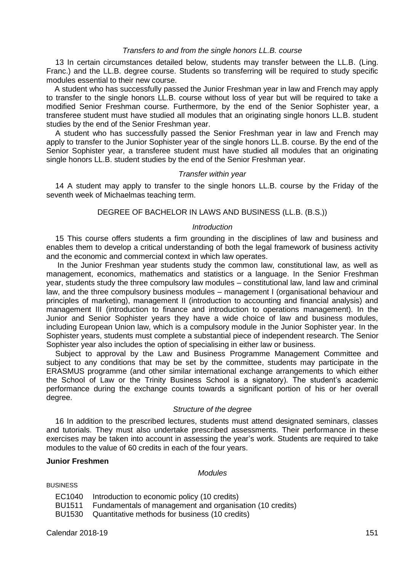## *Transfers to and from the single honors LL.B. course*

13 In certain circumstances detailed below, students may transfer between the LL.B. (Ling. Franc.) and the LL.B. degree course. Students so transferring will be required to study specific modules essential to their new course.

A student who has successfully passed the Junior Freshman year in law and French may apply to transfer to the single honors LL.B. course without loss of year but will be required to take a modified Senior Freshman course. Furthermore, by the end of the Senior Sophister year, a transferee student must have studied all modules that an originating single honors LL.B. student studies by the end of the Senior Freshman year.

A student who has successfully passed the Senior Freshman year in law and French may apply to transfer to the Junior Sophister year of the single honors LL.B. course. By the end of the Senior Sophister year, a transferee student must have studied all modules that an originating single honors LL.B. student studies by the end of the Senior Freshman year.

#### *Transfer within year*

14 A student may apply to transfer to the single honors LL.B. course by the Friday of the seventh week of Michaelmas teaching term.

#### DEGREE OF BACHELOR IN LAWS AND BUSINESS (LL.B. (B.S.))

## *Introduction*

15 This course offers students a firm grounding in the disciplines of law and business and enables them to develop a critical understanding of both the legal framework of business activity and the economic and commercial context in which law operates.

In the Junior Freshman year students study the common law, constitutional law, as well as management, economics, mathematics and statistics or a language. In the Senior Freshman year, students study the three compulsory law modules – constitutional law, land law and criminal law, and the three compulsory business modules – management I (organisational behaviour and principles of marketing), management II (introduction to accounting and financial analysis) and management III (introduction to finance and introduction to operations management). In the Junior and Senior Sophister years they have a wide choice of law and business modules, including European Union law, which is a compulsory module in the Junior Sophister year. In the Sophister years, students must complete a substantial piece of independent research. The Senior Sophister year also includes the option of specialising in either law or business.

Subject to approval by the Law and Business Programme Management Committee and subject to any conditions that may be set by the committee, students may participate in the ERASMUS programme (and other similar international exchange arrangements to which either the School of Law or the Trinity Business School is a signatory). The student's academic performance during the exchange counts towards a significant portion of his or her overall degree.

## *Structure of the degree*

16 In addition to the prescribed lectures, students must attend designated seminars, classes and tutorials. They must also undertake prescribed assessments. Their performance in these exercises may be taken into account in assessing the year's work. Students are required to take modules to the value of 60 credits in each of the four years.

# **Junior Freshmen**

*Modules*

**BUSINESS** 

| EC1040 | Introduction to economic policy (10 credits) |  |  |
|--------|----------------------------------------------|--|--|
|--------|----------------------------------------------|--|--|

- BU1511 Fundamentals of management and organisation (10 credits)
- BU1530 Quantitative methods for business (10 credits)

Calendar 2018-19 151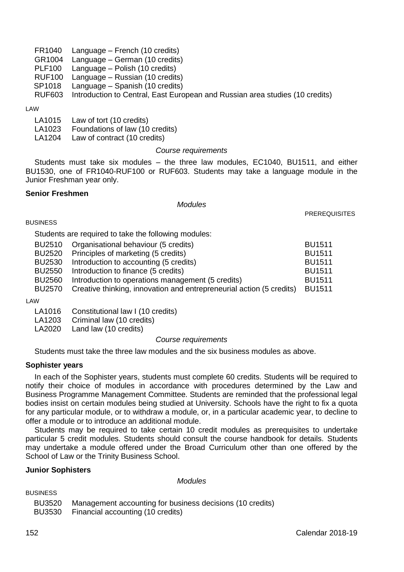|                    | FR1040 Language – French (10 credits)                                        |
|--------------------|------------------------------------------------------------------------------|
| GR1004             | Language – German (10 credits)                                               |
| PLF100             | Language – Polish (10 credits)                                               |
| RUF100             | Language – Russian (10 credits)                                              |
| SP <sub>1018</sub> | Language – Spanish (10 credits)                                              |
| RUF603             | Introduction to Central, East European and Russian area studies (10 credits) |
|                    |                                                                              |

#### LAW

- LA1015 Law of tort (10 credits)
- LA1023 Foundations of law (10 credits)
- LA1204 Law of contract (10 credits)

#### *Course requirements*

Students must take six modules – the three law modules, EC1040, BU1511, and either BU1530, one of FR1040-RUF100 or RUF603. Students may take a language module in the Junior Freshman year only.

#### **Senior Freshmen**

#### *Modules*

**PREREQUISITES** 

**BUSINESS** 

Students are required to take the following modules:

| BU2510        | Organisational behaviour (5 credits)                                 | <b>BU1511</b> |
|---------------|----------------------------------------------------------------------|---------------|
| BU2520        | Principles of marketing (5 credits)                                  | <b>BU1511</b> |
| BU2530        | Introduction to accounting (5 credits)                               | <b>BU1511</b> |
| BU2550        | Introduction to finance (5 credits)                                  | <b>BU1511</b> |
| <b>BU2560</b> | Introduction to operations management (5 credits)                    | <b>BU1511</b> |
| BU2570        | Creative thinking, innovation and entrepreneurial action (5 credits) | <b>BU1511</b> |
| ،۸۸           |                                                                      |               |

LAW

LA1016 Constitutional law I (10 credits)<br>LA1203 Criminal law (10 credits)

Criminal law (10 credits)

LA2020 Land law (10 credits)

*Course requirements*

Students must take the three law modules and the six business modules as above.

## **Sophister years**

In each of the Sophister years, students must complete 60 credits. Students will be required to notify their choice of modules in accordance with procedures determined by the Law and Business Programme Management Committee. Students are reminded that the professional legal bodies insist on certain modules being studied at University. Schools have the right to fix a quota for any particular module, or to withdraw a module, or, in a particular academic year, to decline to offer a module or to introduce an additional module.

Students may be required to take certain 10 credit modules as prerequisites to undertake particular 5 credit modules. Students should consult the course handbook for details. Students may undertake a module offered under the Broad Curriculum other than one offered by the School of Law or the Trinity Business School.

# **Junior Sophisters**

*Modules*

BUSINESS

| <b>BU3520</b> | Management accounting for business decisions (10 credits) |
|---------------|-----------------------------------------------------------|
| <b>BU3530</b> | Financial accounting (10 credits)                         |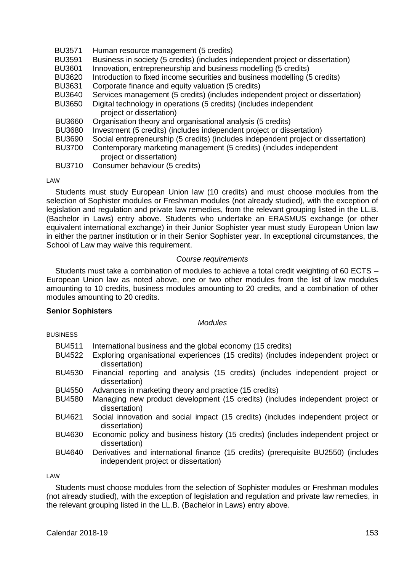| <b>BU3571</b> | Human resource management (5 credits)                                              |
|---------------|------------------------------------------------------------------------------------|
| <b>BU3591</b> | Business in society (5 credits) (includes independent project or dissertation)     |
| <b>BU3601</b> | Innovation, entrepreneurship and business modelling (5 credits)                    |
| <b>BU3620</b> | Introduction to fixed income securities and business modelling (5 credits)         |
| <b>BU3631</b> | Corporate finance and equity valuation (5 credits)                                 |
| <b>BU3640</b> | Services management (5 credits) (includes independent project or dissertation)     |
| <b>BU3650</b> | Digital technology in operations (5 credits) (includes independent                 |
|               | project or dissertation)                                                           |
| <b>BU3660</b> | Organisation theory and organisational analysis (5 credits)                        |
| <b>BU3680</b> | Investment (5 credits) (includes independent project or dissertation)              |
| <b>BU3690</b> | Social entrepreneurship (5 credits) (includes independent project or dissertation) |
| <b>BU3700</b> | Contemporary marketing management (5 credits) (includes independent                |
|               | project or dissertation)                                                           |
| <b>BU3710</b> | Consumer behaviour (5 credits)                                                     |

#### LAW

Students must study European Union law (10 credits) and must choose modules from the selection of Sophister modules or Freshman modules (not already studied), with the exception of legislation and regulation and private law remedies, from the relevant grouping listed in the LL.B. (Bachelor in Laws) entry above. Students who undertake an ERASMUS exchange (or other equivalent international exchange) in their Junior Sophister year must study European Union law in either the partner institution or in their Senior Sophister year. In exceptional circumstances, the School of Law may waive this requirement.

#### *Course requirements*

Students must take a combination of modules to achieve a total credit weighting of 60 ECTS – European Union law as noted above, one or two other modules from the list of law modules amounting to 10 credits, business modules amounting to 20 credits, and a combination of other modules amounting to 20 credits.

## **Senior Sophisters**

#### *Modules*

| <b>BUSINESS</b> |  |
|-----------------|--|
|-----------------|--|

| <b>BU4511</b><br><b>BU4522</b> | International business and the global economy (15 credits)<br>Exploring organisational experiences (15 credits) (includes independent project or<br>dissertation) |
|--------------------------------|-------------------------------------------------------------------------------------------------------------------------------------------------------------------|
|                                |                                                                                                                                                                   |
| <b>BU4530</b>                  | Financial reporting and analysis (15 credits) (includes independent project or<br>dissertation)                                                                   |
| <b>BU4550</b>                  | Advances in marketing theory and practice (15 credits)                                                                                                            |
| <b>BU4580</b>                  | Managing new product development (15 credits) (includes independent project or<br>dissertation)                                                                   |
| BU4621                         | Social innovation and social impact (15 credits) (includes independent project or<br>dissertation)                                                                |
| BU4630                         | Economic policy and business history (15 credits) (includes independent project or<br>dissertation)                                                               |
| <b>BU4640</b>                  | Derivatives and international finance (15 credits) (prerequisite BU2550) (includes<br>independent project or dissertation)                                        |
|                                |                                                                                                                                                                   |

LAW

Students must choose modules from the selection of Sophister modules or Freshman modules (not already studied), with the exception of legislation and regulation and private law remedies, in the relevant grouping listed in the LL.B. (Bachelor in Laws) entry above.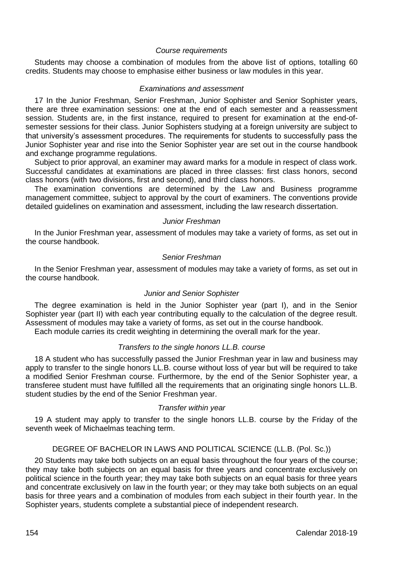#### *Course requirements*

Students may choose a combination of modules from the above list of options, totalling 60 credits. Students may choose to emphasise either business or law modules in this year.

#### *Examinations and assessment*

17 In the Junior Freshman, Senior Freshman, Junior Sophister and Senior Sophister years, there are three examination sessions: one at the end of each semester and a reassessment session. Students are, in the first instance, required to present for examination at the end-ofsemester sessions for their class. Junior Sophisters studying at a foreign university are subject to that university's assessment procedures. The requirements for students to successfully pass the Junior Sophister year and rise into the Senior Sophister year are set out in the course handbook and exchange programme regulations.

Subject to prior approval, an examiner may award marks for a module in respect of class work. Successful candidates at examinations are placed in three classes: first class honors, second class honors (with two divisions, first and second), and third class honors.

The examination conventions are determined by the Law and Business programme management committee, subject to approval by the court of examiners. The conventions provide detailed guidelines on examination and assessment, including the law research dissertation.

#### *Junior Freshman*

In the Junior Freshman year, assessment of modules may take a variety of forms, as set out in the course handbook.

#### *Senior Freshman*

In the Senior Freshman year, assessment of modules may take a variety of forms, as set out in the course handbook.

## *Junior and Senior Sophister*

The degree examination is held in the Junior Sophister year (part I), and in the Senior Sophister year (part II) with each year contributing equally to the calculation of the degree result. Assessment of modules may take a variety of forms, as set out in the course handbook.

Each module carries its credit weighting in determining the overall mark for the year.

# *Transfers to the single honors LL.B. course*

18 A student who has successfully passed the Junior Freshman year in law and business may apply to transfer to the single honors LL.B. course without loss of year but will be required to take a modified Senior Freshman course. Furthermore, by the end of the Senior Sophister year, a transferee student must have fulfilled all the requirements that an originating single honors LL.B. student studies by the end of the Senior Freshman year.

## *Transfer within year*

19 A student may apply to transfer to the single honors LL.B. course by the Friday of the seventh week of Michaelmas teaching term.

# DEGREE OF BACHELOR IN LAWS AND POLITICAL SCIENCE (LL.B. (Pol. Sc.))

20 Students may take both subjects on an equal basis throughout the four years of the course; they may take both subjects on an equal basis for three years and concentrate exclusively on political science in the fourth year; they may take both subjects on an equal basis for three years and concentrate exclusively on law in the fourth year; or they may take both subjects on an equal basis for three years and a combination of modules from each subject in their fourth year. In the Sophister years, students complete a substantial piece of independent research.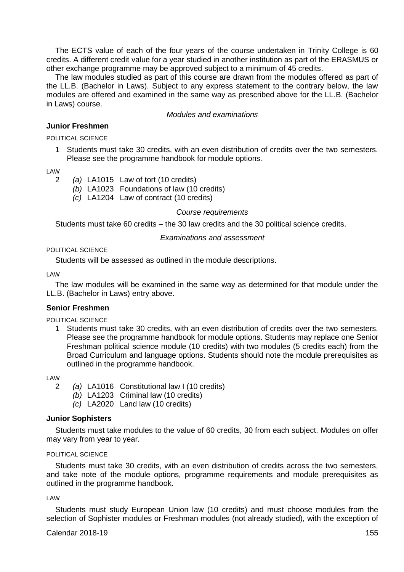The ECTS value of each of the four years of the course undertaken in Trinity College is 60 credits. A different credit value for a year studied in another institution as part of the ERASMUS or other exchange programme may be approved subject to a minimum of 45 credits.

The law modules studied as part of this course are drawn from the modules offered as part of the LL.B. (Bachelor in Laws). Subject to any express statement to the contrary below, the law modules are offered and examined in the same way as prescribed above for the LL.B. (Bachelor in Laws) course.

## *Modules and examinations*

#### **Junior Freshmen**

POLITICAL SCIENCE

1 Students must take 30 credits, with an even distribution of credits over the two semesters. Please see the programme handbook for module options.

LAW

- 2 *(a)* LA1015 Law of tort (10 credits)
	- *(b)* LA1023 Foundations of law (10 credits)
	- *(c)* LA1204 Law of contract (10 credits)

## *Course requirements*

Students must take 60 credits – the 30 law credits and the 30 political science credits.

#### *Examinations and assessment*

#### POLITICAL SCIENCE

Students will be assessed as outlined in the module descriptions.

LAW

The law modules will be examined in the same way as determined for that module under the LL.B. (Bachelor in Laws) entry above.

#### **Senior Freshmen**

POLITICAL SCIENCE

1 Students must take 30 credits, with an even distribution of credits over the two semesters. Please see the programme handbook for module options. Students may replace one Senior Freshman political science module (10 credits) with two modules (5 credits each) from the Broad Curriculum and language options. Students should note the module prerequisites as outlined in the programme handbook.

LAW

- 2 *(a)* LA1016 Constitutional law I (10 credits)
	- *(b)* LA1203 Criminal law (10 credits)
	- *(c)* LA2020 Land law (10 credits)

## **Junior Sophisters**

Students must take modules to the value of 60 credits, 30 from each subject. Modules on offer may vary from year to year.

## POLITICAL SCIENCE

Students must take 30 credits, with an even distribution of credits across the two semesters, and take note of the module options, programme requirements and module prerequisites as outlined in the programme handbook.

#### LAW

Students must study European Union law (10 credits) and must choose modules from the selection of Sophister modules or Freshman modules (not already studied), with the exception of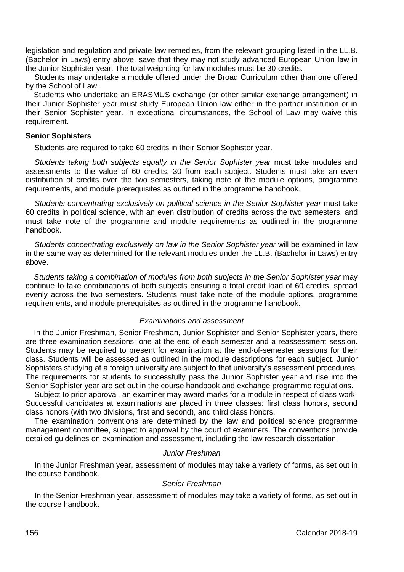legislation and regulation and private law remedies, from the relevant grouping listed in the LL.B. (Bachelor in Laws) entry above, save that they may not study advanced European Union law in the Junior Sophister year. The total weighting for law modules must be 30 credits.

Students may undertake a module offered under the Broad Curriculum other than one offered by the School of Law.

Students who undertake an ERASMUS exchange (or other similar exchange arrangement) in their Junior Sophister year must study European Union law either in the partner institution or in their Senior Sophister year. In exceptional circumstances, the School of Law may waive this requirement.

#### **Senior Sophisters**

Students are required to take 60 credits in their Senior Sophister year.

*Students taking both subjects equally in the Senior Sophister year* must take modules and assessments to the value of 60 credits, 30 from each subject. Students must take an even distribution of credits over the two semesters, taking note of the module options, programme requirements, and module prerequisites as outlined in the programme handbook.

*Students concentrating exclusively on political science in the Senior Sophister year* must take 60 credits in political science, with an even distribution of credits across the two semesters, and must take note of the programme and module requirements as outlined in the programme handbook.

*Students concentrating exclusively on law in the Senior Sophister year* will be examined in law in the same way as determined for the relevant modules under the LL.B. (Bachelor in Laws) entry above.

*Students taking a combination of modules from both subjects in the Senior Sophister year* may continue to take combinations of both subjects ensuring a total credit load of 60 credits, spread evenly across the two semesters. Students must take note of the module options, programme requirements, and module prerequisites as outlined in the programme handbook.

## *Examinations and assessment*

In the Junior Freshman, Senior Freshman, Junior Sophister and Senior Sophister years, there are three examination sessions: one at the end of each semester and a reassessment session. Students may be required to present for examination at the end-of-semester sessions for their class. Students will be assessed as outlined in the module descriptions for each subject. Junior Sophisters studying at a foreign university are subject to that university's assessment procedures. The requirements for students to successfully pass the Junior Sophister year and rise into the Senior Sophister year are set out in the course handbook and exchange programme regulations.

Subject to prior approval, an examiner may award marks for a module in respect of class work. Successful candidates at examinations are placed in three classes: first class honors, second class honors (with two divisions, first and second), and third class honors.

The examination conventions are determined by the law and political science programme management committee, subject to approval by the court of examiners. The conventions provide detailed guidelines on examination and assessment, including the law research dissertation.

#### *Junior Freshman*

In the Junior Freshman year, assessment of modules may take a variety of forms, as set out in the course handbook.

## *Senior Freshman*

In the Senior Freshman year, assessment of modules may take a variety of forms, as set out in the course handbook.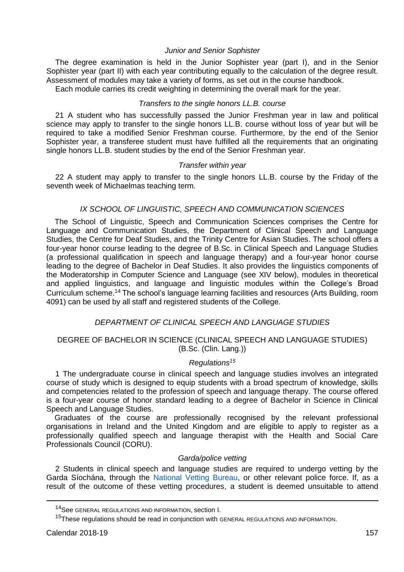#### *Junior and Senior Sophister*

The degree examination is held in the Junior Sophister year (part I), and in the Senior Sophister year (part II) with each year contributing equally to the calculation of the degree result. Assessment of modules may take a variety of forms, as set out in the course handbook.

Each module carries its credit weighting in determining the overall mark for the year.

## *Transfers to the single honors LL.B. course*

21 A student who has successfully passed the Junior Freshman year in law and political science may apply to transfer to the single honors LL.B. course without loss of year but will be required to take a modified Senior Freshman course. Furthermore, by the end of the Senior Sophister year, a transferee student must have fulfilled all the requirements that an originating single honors LL.B. student studies by the end of the Senior Freshman year.

#### *Transfer within year*

22 A student may apply to transfer to the single honors LL.B. course by the Friday of the seventh week of Michaelmas teaching term.

#### *IX SCHOOL OF LINGUISTIC, SPEECH AND COMMUNICATION SCIENCES*

The School of Linguistic, Speech and Communication Sciences comprises the Centre for Language and Communication Studies, the Department of Clinical Speech and Language Studies, the Centre for Deaf Studies, and the Trinity Centre for Asian Studies. The school offers a four-year honor course leading to the degree of B.Sc. in Clinical Speech and Language Studies (a professional qualification in speech and language therapy) and a four-year honor course leading to the degree of Bachelor in Deaf Studies. It also provides the linguistics components of the Moderatorship in Computer Science and Language (see XIV below), modules in theoretical and applied linguistics, and language and linguistic modules within the College's Broad Curriculum scheme.<sup>14</sup> The school's language learning facilities and resources (Arts Building, room 4091) can be used by all staff and registered students of the College.

# *DEPARTMENT OF CLINICAL SPEECH AND LANGUAGE STUDIES*

# DEGREE OF BACHELOR IN SCIENCE (CLINICAL SPEECH AND LANGUAGE STUDIES) (B.Sc. (Clin. Lang.))

# *Regulations<sup>15</sup>*

1 The undergraduate course in clinical speech and language studies involves an integrated course of study which is designed to equip students with a broad spectrum of knowledge, skills and competencies related to the profession of speech and language therapy. The course offered is a four-year course of honor standard leading to a degree of Bachelor in Science in Clinical Speech and Language Studies.

Graduates of the course are professionally recognised by the relevant professional organisations in Ireland and the United Kingdom and are eligible to apply to register as a professionally qualified speech and language therapist with the Health and Social Care Professionals Council (CORU).

## *Garda/police vetting*

2 Students in clinical speech and language studies are required to undergo vetting by the Garda Síochána, through the [National Vetting Bureau,](https://vetting.garda.ie/) or other relevant police force. If, as a result of the outcome of these vetting procedures, a student is deemed unsuitable to attend

-

<sup>14</sup>See GENERAL REGULATIONS AND INFORMATION, section I.

<sup>&</sup>lt;sup>15</sup>These regulations should be read in conjunction with GENERAL REGULATIONS AND INFORMATION.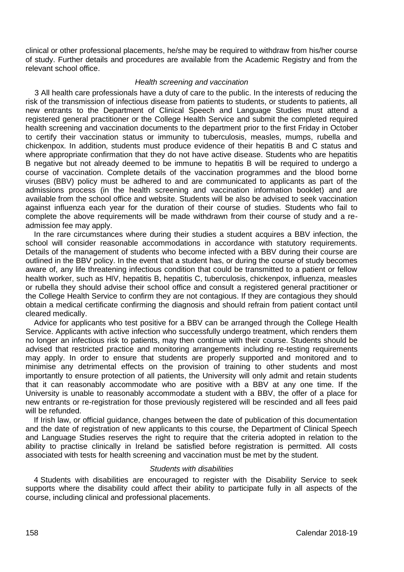clinical or other professional placements, he/she may be required to withdraw from his/her course of study. Further details and procedures are available from the Academic Registry and from the relevant school office.

#### *Health screening and vaccination*

3 All health care professionals have a duty of care to the public. In the interests of reducing the risk of the transmission of infectious disease from patients to students, or students to patients, all new entrants to the Department of Clinical Speech and Language Studies must attend a registered general practitioner or the College Health Service and submit the completed required health screening and vaccination documents to the department prior to the first Friday in October to certify their vaccination status or immunity to tuberculosis, measles, mumps, rubella and chickenpox. In addition, students must produce evidence of their hepatitis B and C status and where appropriate confirmation that they do not have active disease. Students who are hepatitis B negative but not already deemed to be immune to hepatitis B will be required to undergo a course of vaccination. Complete details of the vaccination programmes and the blood borne viruses (BBV) policy must be adhered to and are communicated to applicants as part of the admissions process (in the health screening and vaccination information booklet) and are available from the school office and website. Students will be also be advised to seek vaccination against influenza each year for the duration of their course of studies. Students who fail to complete the above requirements will be made withdrawn from their course of study and a readmission fee may apply.

In the rare circumstances where during their studies a student acquires a BBV infection, the school will consider reasonable accommodations in accordance with statutory requirements. Details of the management of students who become infected with a BBV during their course are outlined in the BBV policy. In the event that a student has, or during the course of study becomes aware of, any life threatening infectious condition that could be transmitted to a patient or fellow health worker, such as HIV, hepatitis B, hepatitis C, tuberculosis, chickenpox, influenza, measles or rubella they should advise their school office and consult a registered general practitioner or the College Health Service to confirm they are not contagious. If they are contagious they should obtain a medical certificate confirming the diagnosis and should refrain from patient contact until cleared medically.

Advice for applicants who test positive for a BBV can be arranged through the College Health Service. Applicants with active infection who successfully undergo treatment, which renders them no longer an infectious risk to patients, may then continue with their course. Students should be advised that restricted practice and monitoring arrangements including re-testing requirements may apply. In order to ensure that students are properly supported and monitored and to minimise any detrimental effects on the provision of training to other students and most importantly to ensure protection of all patients, the University will only admit and retain students that it can reasonably accommodate who are positive with a BBV at any one time. If the University is unable to reasonably accommodate a student with a BBV, the offer of a place for new entrants or re-registration for those previously registered will be rescinded and all fees paid will be refunded.

If Irish law, or official guidance, changes between the date of publication of this documentation and the date of registration of new applicants to this course, the Department of Clinical Speech and Language Studies reserves the right to require that the criteria adopted in relation to the ability to practise clinically in Ireland be satisfied before registration is permitted. All costs associated with tests for health screening and vaccination must be met by the student.

#### *Students with disabilities*

4 Students with disabilities are encouraged to register with the Disability Service to seek supports where the disability could affect their ability to participate fully in all aspects of the course, including clinical and professional placements.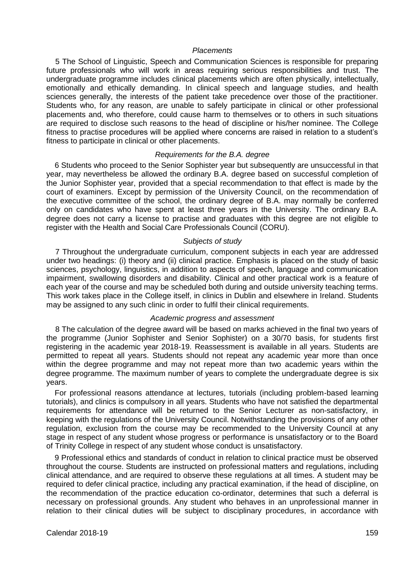## *Placements*

5 The School of Linguistic, Speech and Communication Sciences is responsible for preparing future professionals who will work in areas requiring serious responsibilities and trust. The undergraduate programme includes clinical placements which are often physically, intellectually, emotionally and ethically demanding. In clinical speech and language studies, and health sciences generally, the interests of the patient take precedence over those of the practitioner. Students who, for any reason, are unable to safely participate in clinical or other professional placements and, who therefore, could cause harm to themselves or to others in such situations are required to disclose such reasons to the head of discipline or his/her nominee. The College fitness to practise procedures will be applied where concerns are raised in relation to a student's fitness to participate in clinical or other placements.

## *Requirements for the B.A. degree*

6 Students who proceed to the Senior Sophister year but subsequently are unsuccessful in that year, may nevertheless be allowed the ordinary B.A. degree based on successful completion of the Junior Sophister year, provided that a special recommendation to that effect is made by the court of examiners. Except by permission of the University Council, on the recommendation of the executive committee of the school, the ordinary degree of B.A. may normally be conferred only on candidates who have spent at least three years in the University. The ordinary B.A. degree does not carry a license to practise and graduates with this degree are not eligible to register with the Health and Social Care Professionals Council (CORU).

#### *Subjects of study*

7 Throughout the undergraduate curriculum, component subjects in each year are addressed under two headings: (i) theory and (ii) clinical practice. Emphasis is placed on the study of basic sciences, psychology, linguistics, in addition to aspects of speech, language and communication impairment, swallowing disorders and disability. Clinical and other practical work is a feature of each year of the course and may be scheduled both during and outside university teaching terms. This work takes place in the College itself, in clinics in Dublin and elsewhere in Ireland. Students may be assigned to any such clinic in order to fulfil their clinical requirements.

#### *Academic progress and assessment*

8 The calculation of the degree award will be based on marks achieved in the final two years of the programme (Junior Sophister and Senior Sophister) on a 30/70 basis, for students first registering in the academic year 2018-19. Reassessment is available in all years. Students are permitted to repeat all years. Students should not repeat any academic year more than once within the degree programme and may not repeat more than two academic years within the degree programme. The maximum number of years to complete the undergraduate degree is six years.

For professional reasons attendance at lectures, tutorials (including problem-based learning tutorials), and clinics is compulsory in all years. Students who have not satisfied the departmental requirements for attendance will be returned to the Senior Lecturer as non-satisfactory, in keeping with the regulations of the University Council. Notwithstanding the provisions of any other regulation, exclusion from the course may be recommended to the University Council at any stage in respect of any student whose progress or performance is unsatisfactory or to the Board of Trinity College in respect of any student whose conduct is unsatisfactory.

9 Professional ethics and standards of conduct in relation to clinical practice must be observed throughout the course. Students are instructed on professional matters and regulations, including clinical attendance, and are required to observe these regulations at all times. A student may be required to defer clinical practice, including any practical examination, if the head of discipline, on the recommendation of the practice education co-ordinator, determines that such a deferral is necessary on professional grounds. Any student who behaves in an unprofessional manner in relation to their clinical duties will be subject to disciplinary procedures, in accordance with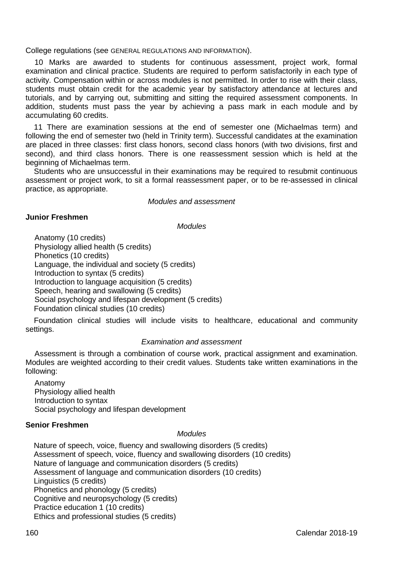College regulations (see GENERAL REGULATIONS AND INFORMATION).

10 Marks are awarded to students for continuous assessment, project work, formal examination and clinical practice. Students are required to perform satisfactorily in each type of activity. Compensation within or across modules is not permitted. In order to rise with their class, students must obtain credit for the academic year by satisfactory attendance at lectures and tutorials, and by carrying out, submitting and sitting the required assessment components. In addition, students must pass the year by achieving a pass mark in each module and by accumulating 60 credits.

11 There are examination sessions at the end of semester one (Michaelmas term) and following the end of semester two (held in Trinity term). Successful candidates at the examination are placed in three classes: first class honors, second class honors (with two divisions, first and second), and third class honors. There is one reassessment session which is held at the beginning of Michaelmas term.

Students who are unsuccessful in their examinations may be required to resubmit continuous assessment or project work, to sit a formal reassessment paper, or to be re-assessed in clinical practice, as appropriate.

#### *Modules and assessment*

#### **Junior Freshmen**

#### *Modules*

Anatomy (10 credits) Physiology allied health (5 credits) Phonetics (10 credits) Language, the individual and society (5 credits) Introduction to syntax (5 credits) Introduction to language acquisition (5 credits) Speech, hearing and swallowing (5 credits) Social psychology and lifespan development (5 credits) Foundation clinical studies (10 credits)

Foundation clinical studies will include visits to healthcare, educational and community settings.

## *Examination and assessment*

Assessment is through a combination of course work, practical assignment and examination. Modules are weighted according to their credit values. Students take written examinations in the following:

Anatomy Physiology allied health Introduction to syntax Social psychology and lifespan development

## **Senior Freshmen**

# *Modules*

Nature of speech, voice, fluency and swallowing disorders (5 credits) Assessment of speech, voice, fluency and swallowing disorders (10 credits) Nature of language and communication disorders (5 credits) Assessment of language and communication disorders (10 credits) Linguistics (5 credits) Phonetics and phonology (5 credits) Cognitive and neuropsychology (5 credits) Practice education 1 (10 credits) Ethics and professional studies (5 credits)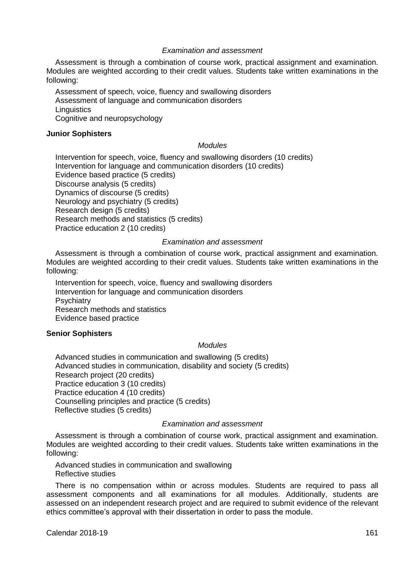#### *Examination and assessment*

Assessment is through a combination of course work, practical assignment and examination. Modules are weighted according to their credit values. Students take written examinations in the following:

Assessment of speech, voice, fluency and swallowing disorders Assessment of language and communication disorders **Linguistics** Cognitive and neuropsychology

#### **Junior Sophisters**

## *Modules*

Intervention for speech, voice, fluency and swallowing disorders (10 credits) Intervention for language and communication disorders (10 credits) Evidence based practice (5 credits) Discourse analysis (5 credits) Dynamics of discourse (5 credits) Neurology and psychiatry (5 credits) Research design (5 credits) Research methods and statistics (5 credits) Practice education 2 (10 credits)

#### *Examination and assessment*

Assessment is through a combination of course work, practical assignment and examination. Modules are weighted according to their credit values. Students take written examinations in the following:

Intervention for speech, voice, fluency and swallowing disorders Intervention for language and communication disorders **Psychiatry** Research methods and statistics Evidence based practice

#### **Senior Sophisters**

#### *Modules*

Advanced studies in communication and swallowing (5 credits) Advanced studies in communication, disability and society (5 credits) Research project (20 credits) Practice education 3 (10 credits) Practice education 4 (10 credits) Counselling principles and practice (5 credits) Reflective studies (5 credits)

#### *Examination and assessment*

Assessment is through a combination of course work, practical assignment and examination. Modules are weighted according to their credit values. Students take written examinations in the following:

Advanced studies in communication and swallowing Reflective studies

There is no compensation within or across modules. Students are required to pass all assessment components and all examinations for all modules. Additionally, students are assessed on an independent research project and are required to submit evidence of the relevant ethics committee's approval with their dissertation in order to pass the module.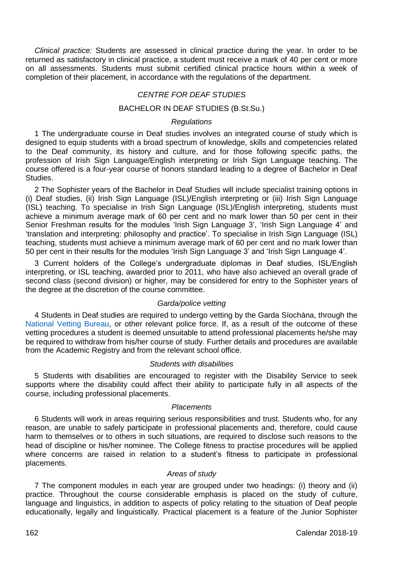*Clinical practice:* Students are assessed in clinical practice during the year. In order to be returned as satisfactory in clinical practice, a student must receive a mark of 40 per cent or more on all assessments. Students must submit certified clinical practice hours within a week of completion of their placement, in accordance with the regulations of the department.

#### *CENTRE FOR DEAF STUDIES*

## BACHELOR IN DEAF STUDIES (B.St.Su.)

#### *Regulations*

1 The undergraduate course in Deaf studies involves an integrated course of study which is designed to equip students with a broad spectrum of knowledge, skills and competencies related to the Deaf community, its history and culture, and for those following specific paths, the profession of Irish Sign Language/English interpreting or Irish Sign Language teaching. The course offered is a four-year course of honors standard leading to a degree of Bachelor in Deaf Studies.

2 The Sophister years of the Bachelor in Deaf Studies will include specialist training options in (i) Deaf studies, (ii) Irish Sign Language (ISL)/English interpreting or (iii) Irish Sign Language (ISL) teaching. To specialise in Irish Sign Language (ISL)/English interpreting, students must achieve a minimum average mark of 60 per cent and no mark lower than 50 per cent in their Senior Freshman results for the modules 'Irish Sign Language 3', 'Irish Sign Language 4' and 'translation and interpreting: philosophy and practice'. To specialise in Irish Sign Language (ISL) teaching, students must achieve a minimum average mark of 60 per cent and no mark lower than 50 per cent in their results for the modules 'Irish Sign Language 3' and 'Irish Sign Language 4'.

3 Current holders of the College's undergraduate diplomas in Deaf studies, ISL/English interpreting, or ISL teaching, awarded prior to 2011, who have also achieved an overall grade of second class (second division) or higher, may be considered for entry to the Sophister years of the degree at the discretion of the course committee.

#### *Garda/police vetting*

4 Students in Deaf studies are required to undergo vetting by the Garda Síochána, through the [National Vetting Bureau,](https://vetting.garda.ie/) or other relevant police force. If, as a result of the outcome of these vetting procedures a student is deemed unsuitable to attend professional placements he/she may be required to withdraw from his/her course of study. Further details and procedures are available from the Academic Registry and from the relevant school office.

#### *Students with disabilities*

5 Students with disabilities are encouraged to register with the Disability Service to seek supports where the disability could affect their ability to participate fully in all aspects of the course, including professional placements.

#### *Placements*

6 Students will work in areas requiring serious responsibilities and trust. Students who, for any reason, are unable to safely participate in professional placements and, therefore, could cause harm to themselves or to others in such situations, are required to disclose such reasons to the head of discipline or his/her nominee. The College fitness to practise procedures will be applied where concerns are raised in relation to a student's fitness to participate in professional placements.

## *Areas of study*

7 The component modules in each year are grouped under two headings: (i) theory and (ii) practice. Throughout the course considerable emphasis is placed on the study of culture, language and linguistics, in addition to aspects of policy relating to the situation of Deaf people educationally, legally and linguistically. Practical placement is a feature of the Junior Sophister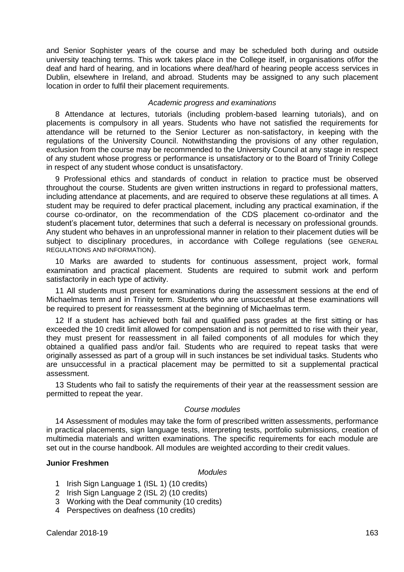and Senior Sophister years of the course and may be scheduled both during and outside university teaching terms. This work takes place in the College itself, in organisations of/for the deaf and hard of hearing, and in locations where deaf/hard of hearing people access services in Dublin, elsewhere in Ireland, and abroad. Students may be assigned to any such placement location in order to fulfil their placement requirements.

## *Academic progress and examinations*

8 Attendance at lectures, tutorials (including problem-based learning tutorials), and on placements is compulsory in all years. Students who have not satisfied the requirements for attendance will be returned to the Senior Lecturer as non-satisfactory, in keeping with the regulations of the University Council. Notwithstanding the provisions of any other regulation, exclusion from the course may be recommended to the University Council at any stage in respect of any student whose progress or performance is unsatisfactory or to the Board of Trinity College in respect of any student whose conduct is unsatisfactory.

9 Professional ethics and standards of conduct in relation to practice must be observed throughout the course. Students are given written instructions in regard to professional matters, including attendance at placements, and are required to observe these regulations at all times. A student may be required to defer practical placement, including any practical examination, if the course co-ordinator, on the recommendation of the CDS placement co-ordinator and the student's placement tutor, determines that such a deferral is necessary on professional grounds. Any student who behaves in an unprofessional manner in relation to their placement duties will be subject to disciplinary procedures, in accordance with College regulations (see GENERAL REGULATIONS AND INFORMATION).

10 Marks are awarded to students for continuous assessment, project work, formal examination and practical placement. Students are required to submit work and perform satisfactorily in each type of activity.

11 All students must present for examinations during the assessment sessions at the end of Michaelmas term and in Trinity term. Students who are unsuccessful at these examinations will be required to present for reassessment at the beginning of Michaelmas term.

12 If a student has achieved both fail and qualified pass grades at the first sitting or has exceeded the 10 credit limit allowed for compensation and is not permitted to rise with their year, they must present for reassessment in all failed components of all modules for which they obtained a qualified pass and/or fail. Students who are required to repeat tasks that were originally assessed as part of a group will in such instances be set individual tasks. Students who are unsuccessful in a practical placement may be permitted to sit a supplemental practical assessment.

13 Students who fail to satisfy the requirements of their year at the reassessment session are permitted to repeat the year.

#### *Course modules*

14 Assessment of modules may take the form of prescribed written assessments, performance in practical placements, sign language tests, interpreting tests, portfolio submissions, creation of multimedia materials and written examinations. The specific requirements for each module are set out in the course handbook. All modules are weighted according to their credit values.

# **Junior Freshmen**

#### *Modules*

- 1 Irish Sign Language 1 (ISL 1) (10 credits)
- 2 Irish Sign Language 2 (ISL 2) (10 credits)
- 3 Working with the Deaf community (10 credits)
- 4 Perspectives on deafness (10 credits)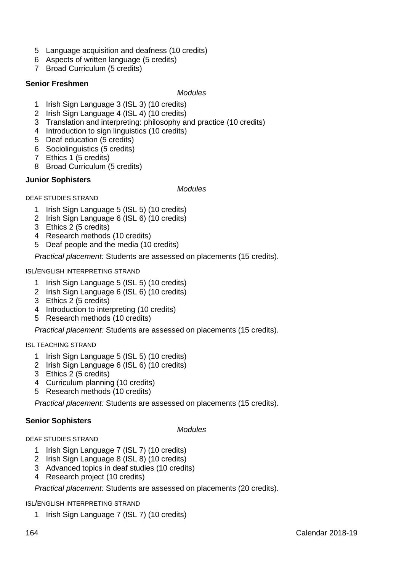- Language acquisition and deafness (10 credits)
- Aspects of written language (5 credits)
- Broad Curriculum (5 credits)

## **Senior Freshmen**

#### *Modules*

- Irish Sign Language 3 (ISL 3) (10 credits)
- Irish Sign Language 4 (ISL 4) (10 credits)
- Translation and interpreting: philosophy and practice (10 credits)
- Introduction to sign linguistics (10 credits)
- Deaf education (5 credits)
- Sociolinguistics (5 credits)
- Ethics 1 (5 credits)
- Broad Curriculum (5 credits)

# **Junior Sophisters**

#### *Modules*

DEAF STUDIES STRAND

- Irish Sign Language 5 (ISL 5) (10 credits)
- Irish Sign Language 6 (ISL 6) (10 credits)
- Ethics 2 (5 credits)
- Research methods (10 credits)
- Deaf people and the media (10 credits)

*Practical placement:* Students are assessed on placements (15 credits).

ISL/ENGLISH INTERPRETING STRAND

- Irish Sign Language 5 (ISL 5) (10 credits)
- Irish Sign Language 6 (ISL 6) (10 credits)
- Ethics 2 (5 credits)
- Introduction to interpreting (10 credits)
- Research methods (10 credits)

*Practical placement:* Students are assessed on placements (15 credits).

ISL TEACHING STRAND

- Irish Sign Language 5 (ISL 5) (10 credits)
- 2 Irish Sign Language 6 (ISL 6) (10 credits)
- Ethics 2 (5 credits)
- Curriculum planning (10 credits)
- Research methods (10 credits)

*Practical placement:* Students are assessed on placements (15 credits).

# **Senior Sophisters**

*Modules*

#### DEAF STUDIES STRAND

- Irish Sign Language 7 (ISL 7) (10 credits)
- Irish Sign Language 8 (ISL 8) (10 credits)
- Advanced topics in deaf studies (10 credits)
- Research project (10 credits)

*Practical placement:* Students are assessed on placements (20 credits).

#### ISL/ENGLISH INTERPRETING STRAND

Irish Sign Language 7 (ISL 7) (10 credits)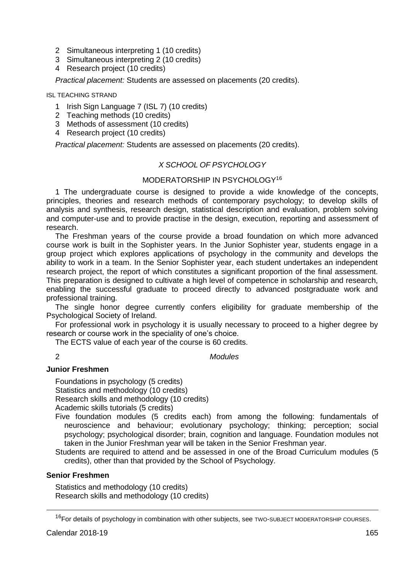- 2 Simultaneous interpreting 1 (10 credits)
- 3 Simultaneous interpreting 2 (10 credits)
- 4 Research project (10 credits)

*Practical placement:* Students are assessed on placements (20 credits).

# ISL TEACHING STRAND

- 1 Irish Sign Language 7 (ISL 7) (10 credits)
- 2 Teaching methods (10 credits)
- 3 Methods of assessment (10 credits)
- 4 Research project (10 credits)

*Practical placement:* Students are assessed on placements (20 credits).

# *X SCHOOL OF PSYCHOLOGY*

## MODERATORSHIP IN PSYCHOLOGY<sup>16</sup>

1 The undergraduate course is designed to provide a wide knowledge of the concepts, principles, theories and research methods of contemporary psychology; to develop skills of analysis and synthesis, research design, statistical description and evaluation, problem solving and computer-use and to provide practise in the design, execution, reporting and assessment of research.

The Freshman years of the course provide a broad foundation on which more advanced course work is built in the Sophister years. In the Junior Sophister year, students engage in a group project which explores applications of psychology in the community and develops the ability to work in a team. In the Senior Sophister year, each student undertakes an independent research project, the report of which constitutes a significant proportion of the final assessment. This preparation is designed to cultivate a high level of competence in scholarship and research, enabling the successful graduate to proceed directly to advanced postgraduate work and professional training.

The single honor degree currently confers eligibility for graduate membership of the Psychological Society of Ireland.

For professional work in psychology it is usually necessary to proceed to a higher degree by research or course work in the speciality of one's choice.

The ECTS value of each year of the course is 60 credits.

# 2 *Modules*

# **Junior Freshmen**

Foundations in psychology (5 credits) Statistics and methodology (10 credits) Research skills and methodology (10 credits)

- Academic skills tutorials (5 credits)
- Five foundation modules (5 credits each) from among the following: fundamentals of neuroscience and behaviour; evolutionary psychology; thinking; perception; social psychology; psychological disorder; brain, cognition and language. Foundation modules not taken in the Junior Freshman year will be taken in the Senior Freshman year.
- Students are required to attend and be assessed in one of the Broad Curriculum modules (5 credits), other than that provided by the School of Psychology.

# **Senior Freshmen**

Statistics and methodology (10 credits) Research skills and methodology (10 credits)

<u>.</u>

<sup>&</sup>lt;sup>16</sup>For details of psychology in combination with other subjects, see TWO-SUBJECT MODERATORSHIP COURSES.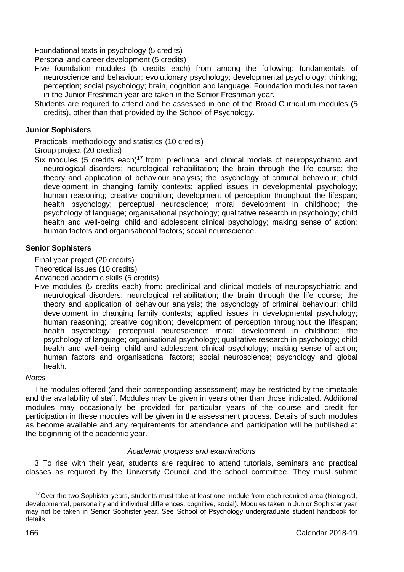Foundational texts in psychology (5 credits)

Personal and career development (5 credits)

- Five foundation modules (5 credits each) from among the following: fundamentals of neuroscience and behaviour; evolutionary psychology; developmental psychology; thinking; perception; social psychology; brain, cognition and language. Foundation modules not taken in the Junior Freshman year are taken in the Senior Freshman year.
- Students are required to attend and be assessed in one of the Broad Curriculum modules (5 credits), other than that provided by the School of Psychology.

## **Junior Sophisters**

Practicals, methodology and statistics (10 credits)

Group project (20 credits)

Six modules (5 credits each)<sup>17</sup> from: preclinical and clinical models of neuropsychiatric and neurological disorders; neurological rehabilitation; the brain through the life course; the theory and application of behaviour analysis; the psychology of criminal behaviour; child development in changing family contexts; applied issues in developmental psychology; human reasoning; creative cognition; development of perception throughout the lifespan; health psychology; perceptual neuroscience; moral development in childhood; the psychology of language; organisational psychology; qualitative research in psychology; child health and well-being; child and adolescent clinical psychology; making sense of action; human factors and organisational factors; social neuroscience.

# **Senior Sophisters**

Final year project (20 credits)

Theoretical issues (10 credits)

Advanced academic skills (5 credits)

Five modules (5 credits each) from: preclinical and clinical models of neuropsychiatric and neurological disorders; neurological rehabilitation; the brain through the life course; the theory and application of behaviour analysis; the psychology of criminal behaviour; child development in changing family contexts; applied issues in developmental psychology; human reasoning; creative cognition; development of perception throughout the lifespan; health psychology; perceptual neuroscience; moral development in childhood; the psychology of language; organisational psychology; qualitative research in psychology; child health and well-being; child and adolescent clinical psychology; making sense of action; human factors and organisational factors; social neuroscience; psychology and global health.

## *Notes*

The modules offered (and their corresponding assessment) may be restricted by the timetable and the availability of staff. Modules may be given in years other than those indicated. Additional modules may occasionally be provided for particular years of the course and credit for participation in these modules will be given in the assessment process. Details of such modules as become available and any requirements for attendance and participation will be published at the beginning of the academic year.

# *Academic progress and examinations*

3 To rise with their year, students are required to attend tutorials, seminars and practical classes as required by the University Council and the school committee. They must submit

-

<sup>&</sup>lt;sup>17</sup>Over the two Sophister years, students must take at least one module from each required area (biological, developmental, personality and individual differences, cognitive, social). Modules taken in Junior Sophister year may not be taken in Senior Sophister year. See School of Psychology undergraduate student handbook for details.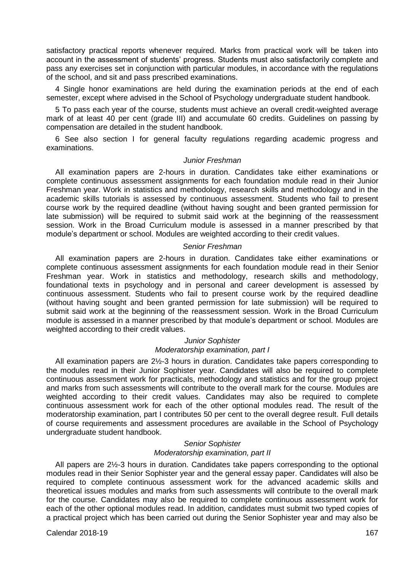satisfactory practical reports whenever required. Marks from practical work will be taken into account in the assessment of students' progress. Students must also satisfactorily complete and pass any exercises set in conjunction with particular modules, in accordance with the regulations of the school, and sit and pass prescribed examinations.

4 Single honor examinations are held during the examination periods at the end of each semester, except where advised in the School of Psychology undergraduate student handbook.

5 To pass each year of the course, students must achieve an overall credit-weighted average mark of at least 40 per cent (grade III) and accumulate 60 credits. Guidelines on passing by compensation are detailed in the student handbook.

6 See also section I for general faculty regulations regarding academic progress and examinations.

#### *Junior Freshman*

All examination papers are 2-hours in duration. Candidates take either examinations or complete continuous assessment assignments for each foundation module read in their Junior Freshman year. Work in statistics and methodology, research skills and methodology and in the academic skills tutorials is assessed by continuous assessment. Students who fail to present course work by the required deadline (without having sought and been granted permission for late submission) will be required to submit said work at the beginning of the reassessment session. Work in the Broad Curriculum module is assessed in a manner prescribed by that module's department or school. Modules are weighted according to their credit values.

#### *Senior Freshman*

All examination papers are 2-hours in duration. Candidates take either examinations or complete continuous assessment assignments for each foundation module read in their Senior Freshman year. Work in statistics and methodology, research skills and methodology, foundational texts in psychology and in personal and career development is assessed by continuous assessment. Students who fail to present course work by the required deadline (without having sought and been granted permission for late submission) will be required to submit said work at the beginning of the reassessment session. Work in the Broad Curriculum module is assessed in a manner prescribed by that module's department or school. Modules are weighted according to their credit values.

#### *Junior Sophister Moderatorship examination, part I*

All examination papers are 2½-3 hours in duration. Candidates take papers corresponding to the modules read in their Junior Sophister year. Candidates will also be required to complete continuous assessment work for practicals, methodology and statistics and for the group project and marks from such assessments will contribute to the overall mark for the course. Modules are weighted according to their credit values. Candidates may also be required to complete continuous assessment work for each of the other optional modules read. The result of the moderatorship examination, part I contributes 50 per cent to the overall degree result. Full details of course requirements and assessment procedures are available in the School of Psychology undergraduate student handbook.

## *Senior Sophister Moderatorship examination, part II*

All papers are 2½-3 hours in duration. Candidates take papers corresponding to the optional modules read in their Senior Sophister year and the general essay paper. Candidates will also be required to complete continuous assessment work for the advanced academic skills and theoretical issues modules and marks from such assessments will contribute to the overall mark for the course. Candidates may also be required to complete continuous assessment work for each of the other optional modules read. In addition, candidates must submit two typed copies of a practical project which has been carried out during the Senior Sophister year and may also be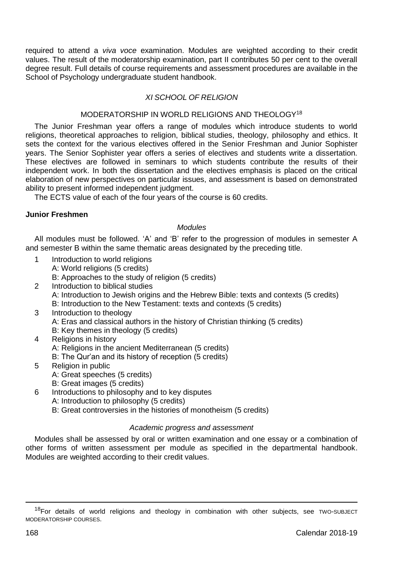required to attend a *viva voce* examination. Modules are weighted according to their credit values. The result of the moderatorship examination, part II contributes 50 per cent to the overall degree result. Full details of course requirements and assessment procedures are available in the School of Psychology undergraduate student handbook.

# *XI SCHOOL OF RELIGION*

# MODERATORSHIP IN WORLD RELIGIONS AND THEOLOGY<sup>18</sup>

The Junior Freshman year offers a range of modules which introduce students to world religions, theoretical approaches to religion, biblical studies, theology, philosophy and ethics. It sets the context for the various electives offered in the Senior Freshman and Junior Sophister years. The Senior Sophister year offers a series of electives and students write a dissertation. These electives are followed in seminars to which students contribute the results of their independent work. In both the dissertation and the electives emphasis is placed on the critical elaboration of new perspectives on particular issues, and assessment is based on demonstrated ability to present informed independent judgment.

The ECTS value of each of the four years of the course is 60 credits.

#### **Junior Freshmen**

#### *Modules*

All modules must be followed. 'A' and 'B' refer to the progression of modules in semester A and semester B within the same thematic areas designated by the preceding title.

- 1 Introduction to world religions
	- A: World religions (5 credits)
	- B: Approaches to the study of religion (5 credits)
- 2 Introduction to biblical studies A: Introduction to Jewish origins and the Hebrew Bible: texts and contexts (5 credits) B: Introduction to the New Testament: texts and contexts (5 credits)
- 3 Introduction to theology A: Eras and classical authors in the history of Christian thinking (5 credits) B: Key themes in theology (5 credits)
- 4 Religions in history A: Religions in the ancient Mediterranean (5 credits) B: The Qur'an and its history of reception (5 credits)
- 5 Religion in public A: Great speeches (5 credits) B: Great images (5 credits)
- 6 Introductions to philosophy and to key disputes
	- A: Introduction to philosophy (5 credits)
		- B: Great controversies in the histories of monotheism (5 credits)

# *Academic progress and assessment*

Modules shall be assessed by oral or written examination and one essay or a combination of other forms of written assessment per module as specified in the departmental handbook. Modules are weighted according to their credit values.

-

 $18$ For details of world religions and theology in combination with other subjects, see TWO-SUBJECT MODERATORSHIP COURSES.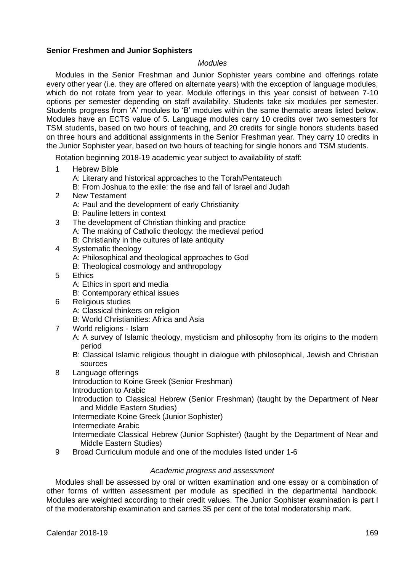#### **Senior Freshmen and Junior Sophisters**

#### *Modules*

Modules in the Senior Freshman and Junior Sophister years combine and offerings rotate every other year (i.e. they are offered on alternate years) with the exception of language modules, which do not rotate from year to year. Module offerings in this year consist of between 7-10 options per semester depending on staff availability. Students take six modules per semester. Students progress from 'A' modules to 'B' modules within the same thematic areas listed below. Modules have an ECTS value of 5. Language modules carry 10 credits over two semesters for TSM students, based on two hours of teaching, and 20 credits for single honors students based on three hours and additional assignments in the Senior Freshman year. They carry 10 credits in the Junior Sophister year, based on two hours of teaching for single honors and TSM students.

Rotation beginning 2018-19 academic year subject to availability of staff:

1 Hebrew Bible

A: Literary and historical approaches to the Torah/Pentateuch

B: From Joshua to the exile: the rise and fall of Israel and Judah

- 2 New Testament A: Paul and the development of early Christianity B: Pauline letters in context
- 3 The development of Christian thinking and practice A: The making of Catholic theology: the medieval period B: Christianity in the cultures of late antiquity
- 4 Systematic theology
	- A: Philosophical and theological approaches to God
	- B: Theological cosmology and anthropology
- 5 Ethics
	- A: Ethics in sport and media
	- B: Contemporary ethical issues
- 6 Religious studies
	- A: Classical thinkers on religion
	- B: World Christianities: Africa and Asia
- 7 World religions Islam
	- A: A survey of Islamic theology, mysticism and philosophy from its origins to the modern period
	- B: Classical Islamic religious thought in dialogue with philosophical, Jewish and Christian sources
- 8 Language offerings

Introduction to Koine Greek (Senior Freshman) Introduction to Arabic

Introduction to Classical Hebrew (Senior Freshman) (taught by the Department of Near and Middle Eastern Studies)

Intermediate Koine Greek (Junior Sophister)

Intermediate Arabic

Intermediate Classical Hebrew (Junior Sophister) (taught by the Department of Near and Middle Eastern Studies)

9 Broad Curriculum module and one of the modules listed under 1-6

#### *Academic progress and assessment*

Modules shall be assessed by oral or written examination and one essay or a combination of other forms of written assessment per module as specified in the departmental handbook. Modules are weighted according to their credit values. The Junior Sophister examination is part I of the moderatorship examination and carries 35 per cent of the total moderatorship mark.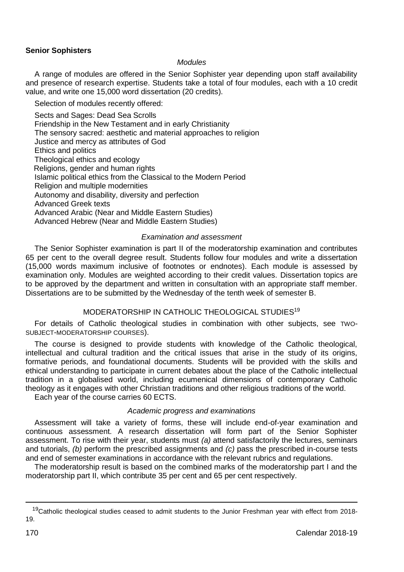# **Senior Sophisters**

#### *Modules*

A range of modules are offered in the Senior Sophister year depending upon staff availability and presence of research expertise. Students take a total of four modules, each with a 10 credit value, and write one 15,000 word dissertation (20 credits).

Selection of modules recently offered:

Sects and Sages: Dead Sea Scrolls Friendship in the New Testament and in early Christianity The sensory sacred: aesthetic and material approaches to religion Justice and mercy as attributes of God Ethics and politics Theological ethics and ecology Religions, gender and human rights Islamic political ethics from the Classical to the Modern Period Religion and multiple modernities Autonomy and disability, diversity and perfection Advanced Greek texts Advanced Arabic (Near and Middle Eastern Studies) Advanced Hebrew (Near and Middle Eastern Studies)

## *Examination and assessment*

The Senior Sophister examination is part II of the moderatorship examination and contributes 65 per cent to the overall degree result. Students follow four modules and write a dissertation (15,000 words maximum inclusive of footnotes or endnotes). Each module is assessed by examination only. Modules are weighted according to their credit values. Dissertation topics are to be approved by the department and written in consultation with an appropriate staff member. Dissertations are to be submitted by the Wednesday of the tenth week of semester B.

## MODERATORSHIP IN CATHOLIC THEOLOGICAL STUDIES 19

For details of Catholic theological studies in combination with other subjects, see TWO-SUBJECT-MODERATORSHIP COURSES).

The course is designed to provide students with knowledge of the Catholic theological, intellectual and cultural tradition and the critical issues that arise in the study of its origins, formative periods, and foundational documents. Students will be provided with the skills and ethical understanding to participate in current debates about the place of the Catholic intellectual tradition in a globalised world, including ecumenical dimensions of contemporary Catholic theology as it engages with other Christian traditions and other religious traditions of the world.

Each year of the course carries 60 ECTS.

## *Academic progress and examinations*

Assessment will take a variety of forms, these will include end-of-year examination and continuous assessment. A research dissertation will form part of the Senior Sophister assessment. To rise with their year, students must *(a)* attend satisfactorily the lectures, seminars and tutorials, *(b)* perform the prescribed assignments and *(c)* pass the prescribed in-course tests and end of semester examinations in accordance with the relevant rubrics and regulations.

The moderatorship result is based on the combined marks of the moderatorship part I and the moderatorship part II, which contribute 35 per cent and 65 per cent respectively.

-

<sup>&</sup>lt;sup>19</sup>Catholic theological studies ceased to admit students to the Junior Freshman year with effect from 2018-19.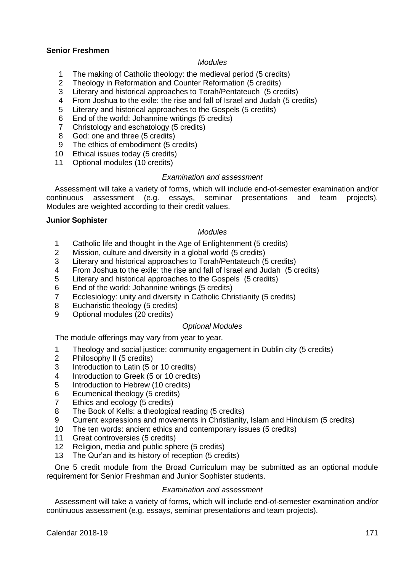# **Senior Freshmen**

#### *Modules*

- 1 The making of Catholic theology: the medieval period (5 credits)<br>2 Theology in Reformation and Counter Reformation (5 credits)
- 2 Theology in Reformation and Counter Reformation (5 credits)<br>3 Literary and historical approaches to Torah/Pentateuch (5 cre
- 3 Literary and historical approaches to Torah/Pentateuch (5 credits)<br>4 Erom Joshua to the exile: the rise and fall of Israel and Judah (5 cr
- 4 From Joshua to the exile: the rise and fall of Israel and Judah (5 credits)<br>5 Literary and historical approaches to the Gospels (5 credits)
- 5 Literary and historical approaches to the Gospels (5 credits)
- 6 End of the world: Johannine writings (5 credits)
- 7 Christology and eschatology (5 credits)
- 8 God: one and three (5 credits)
- 9 The ethics of embodiment (5 credits)
- 10 Ethical issues today (5 credits)
- 11 Optional modules (10 credits)

## *Examination and assessment*

Assessment will take a variety of forms, which will include end-of-semester examination and/or<br>
ntinuous assessment (e.g. essays, seminar presentations and team projects). continuous assessment (e.g. essays, seminar Modules are weighted according to their credit values.

#### **Junior Sophister**

# *Modules*

- 1 Catholic life and thought in the Age of Enlightenment (5 credits)
- 2 Mission, culture and diversity in a global world (5 credits)<br>3 Literary and historical approaches to Torah/Pentateuch (f
- Literary and historical approaches to Torah/Pentateuch (5 credits)
- 4 From Joshua to the exile: the rise and fall of Israel and Judah (5 credits)<br>5 Literary and historical approaches to the Gospels (5 credits)
- 5 Literary and historical approaches to the Gospels (5 credits)
- 6 End of the world: Johannine writings (5 credits)
- 7 Ecclesiology: unity and diversity in Catholic Christianity (5 credits)
- 8 Eucharistic theology (5 credits)<br>9 Optional modules (20 credits)
- Optional modules (20 credits)

## *Optional Modules*

The module offerings may vary from year to year.

- 1 Theology and social justice: community engagement in Dublin city (5 credits)
- 2 Philosophy II (5 credits)<br>3 Introduction to Latin (5 o
- Introduction to Latin (5 or 10 credits)
- 4 Introduction to Greek (5 or 10 credits)<br>5 Introduction to Hebrew (10 credits)
- 5 Introduction to Hebrew (10 credits)<br>6 Ecumenical theology (5 credits)
- Ecumenical theology (5 credits)
- 7 Ethics and ecology (5 credits)
- 8 The Book of Kells: a theological reading (5 credits)<br>9 Current expressions and movements in Christianity
- 9 Current expressions and movements in Christianity, Islam and Hinduism (5 credits)
- 10 The ten words: ancient ethics and contemporary issues (5 credits)
- 11 Great controversies (5 credits)
- 12 Religion, media and public sphere (5 credits)
- 13 The Qur'an and its history of reception (5 credits)

One 5 credit module from the Broad Curriculum may be submitted as an optional module requirement for Senior Freshman and Junior Sophister students.

## *Examination and assessment*

Assessment will take a variety of forms, which will include end-of-semester examination and/or continuous assessment (e.g. essays, seminar presentations and team projects).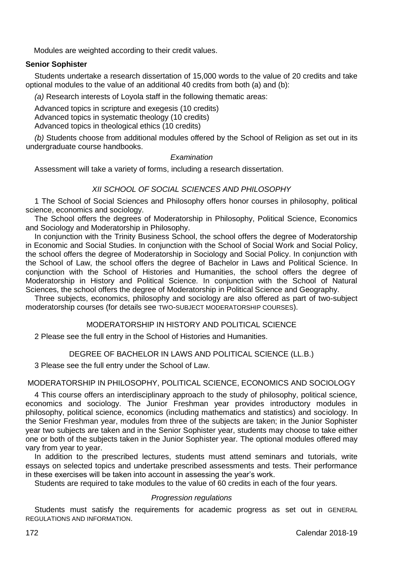Modules are weighted according to their credit values.

# **Senior Sophister**

Students undertake a research dissertation of 15,000 words to the value of 20 credits and take optional modules to the value of an additional 40 credits from both (a) and (b):

*(a)* Research interests of Loyola staff in the following thematic areas:

Advanced topics in scripture and exegesis (10 credits)

Advanced topics in systematic theology (10 credits)

Advanced topics in theological ethics (10 credits)

*(b)* Students choose from additional modules offered by the School of Religion as set out in its undergraduate course handbooks.

## *Examination*

Assessment will take a variety of forms, including a research dissertation.

# *XII SCHOOL OF SOCIAL SCIENCES AND PHILOSOPHY*

1 The School of Social Sciences and Philosophy offers honor courses in philosophy, political science, economics and sociology.

The School offers the degrees of Moderatorship in Philosophy, Political Science, Economics and Sociology and Moderatorship in Philosophy.

In conjunction with the Trinity Business School, the school offers the degree of Moderatorship in Economic and Social Studies. In conjunction with the School of Social Work and Social Policy, the school offers the degree of Moderatorship in Sociology and Social Policy. In conjunction with the School of Law, the school offers the degree of Bachelor in Laws and Political Science. In conjunction with the School of Histories and Humanities, the school offers the degree of Moderatorship in History and Political Science. In conjunction with the School of Natural Sciences, the school offers the degree of Moderatorship in Political Science and Geography.

Three subjects, economics, philosophy and sociology are also offered as part of two-subject moderatorship courses (for details see TWO-SUBJECT MODERATORSHIP COURSES).

# MODERATORSHIP IN HISTORY AND POLITICAL SCIENCE

2 Please see the full entry in the School of Histories and Humanities.

DEGREE OF BACHELOR IN LAWS AND POLITICAL SCIENCE (LL.B.)

3 Please see the full entry under the School of Law.

## MODERATORSHIP IN PHILOSOPHY, POLITICAL SCIENCE, ECONOMICS AND SOCIOLOGY

4 This course offers an interdisciplinary approach to the study of philosophy, political science, economics and sociology. The Junior Freshman year provides introductory modules in philosophy, political science, economics (including mathematics and statistics) and sociology. In the Senior Freshman year, modules from three of the subjects are taken; in the Junior Sophister year two subjects are taken and in the Senior Sophister year, students may choose to take either one or both of the subjects taken in the Junior Sophister year. The optional modules offered may vary from year to year.

In addition to the prescribed lectures, students must attend seminars and tutorials, write essays on selected topics and undertake prescribed assessments and tests. Their performance in these exercises will be taken into account in assessing the year's work.

Students are required to take modules to the value of 60 credits in each of the four years.

# *Progression regulations*

Students must satisfy the requirements for academic progress as set out in GENERAL REGULATIONS AND INFORMATION.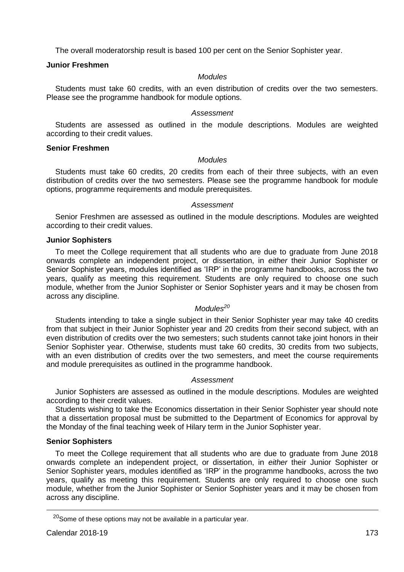The overall moderatorship result is based 100 per cent on the Senior Sophister year.

## **Junior Freshmen**

# *Modules*

Students must take 60 credits, with an even distribution of credits over the two semesters. Please see the programme handbook for module options.

## *Assessment*

Students are assessed as outlined in the module descriptions. Modules are weighted according to their credit values.

## **Senior Freshmen**

## *Modules*

Students must take 60 credits, 20 credits from each of their three subjects, with an even distribution of credits over the two semesters. Please see the programme handbook for module options, programme requirements and module prerequisites.

### *Assessment*

Senior Freshmen are assessed as outlined in the module descriptions. Modules are weighted according to their credit values.

### **Junior Sophisters**

To meet the College requirement that all students who are due to graduate from June 2018 onwards complete an independent project, or dissertation, in *either* their Junior Sophister or Senior Sophister years, modules identified as 'IRP' in the programme handbooks, across the two years, qualify as meeting this requirement. Students are only required to choose one such module, whether from the Junior Sophister or Senior Sophister years and it may be chosen from across any discipline.

## *Modules<sup>20</sup>*

Students intending to take a single subject in their Senior Sophister year may take 40 credits from that subject in their Junior Sophister year and 20 credits from their second subject, with an even distribution of credits over the two semesters; such students cannot take joint honors in their Senior Sophister year. Otherwise, students must take 60 credits, 30 credits from two subjects, with an even distribution of credits over the two semesters, and meet the course requirements and module prerequisites as outlined in the programme handbook.

### *Assessment*

Junior Sophisters are assessed as outlined in the module descriptions. Modules are weighted according to their credit values.

Students wishing to take the Economics dissertation in their Senior Sophister year should note that a dissertation proposal must be submitted to the Department of Economics for approval by the Monday of the final teaching week of Hilary term in the Junior Sophister year.

## **Senior Sophisters**

To meet the College requirement that all students who are due to graduate from June 2018 onwards complete an independent project, or dissertation, in *either* their Junior Sophister or Senior Sophister years, modules identified as 'IRP' in the programme handbooks, across the two years, qualify as meeting this requirement. Students are only required to choose one such module, whether from the Junior Sophister or Senior Sophister years and it may be chosen from across any discipline.

 $20$ Some of these options may not be available in a particular year.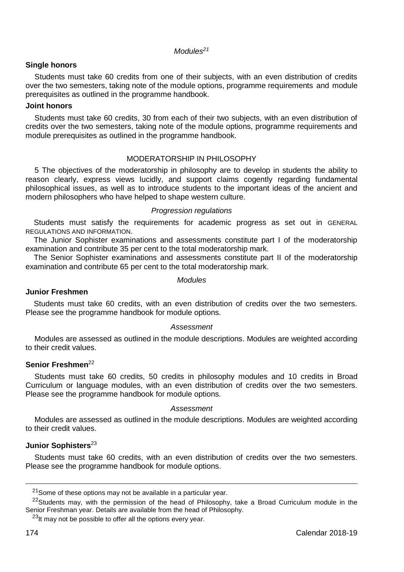*Modules<sup>21</sup>*

# **Single honors**

Students must take 60 credits from one of their subjects, with an even distribution of credits over the two semesters, taking note of the module options, programme requirements and module prerequisites as outlined in the programme handbook.

## **Joint honors**

Students must take 60 credits, 30 from each of their two subjects, with an even distribution of credits over the two semesters, taking note of the module options, programme requirements and module prerequisites as outlined in the programme handbook.

# MODERATORSHIP IN PHILOSOPHY

5 The objectives of the moderatorship in philosophy are to develop in students the ability to reason clearly, express views lucidly, and support claims cogently regarding fundamental philosophical issues, as well as to introduce students to the important ideas of the ancient and modern philosophers who have helped to shape western culture.

## *Progression regulations*

Students must satisfy the requirements for academic progress as set out in GENERAL REGULATIONS AND INFORMATION.

The Junior Sophister examinations and assessments constitute part I of the moderatorship examination and contribute 35 per cent to the total moderatorship mark.

The Senior Sophister examinations and assessments constitute part II of the moderatorship examination and contribute 65 per cent to the total moderatorship mark.

### *Modules*

# **Junior Freshmen**

Students must take 60 credits, with an even distribution of credits over the two semesters. Please see the programme handbook for module options.

## *Assessment*

Modules are assessed as outlined in the module descriptions. Modules are weighted according to their credit values.

# **Senior Freshmen**<sup>22</sup>

Students must take 60 credits, 50 credits in philosophy modules and 10 credits in Broad Curriculum or language modules, with an even distribution of credits over the two semesters. Please see the programme handbook for module options.

## *Assessment*

Modules are assessed as outlined in the module descriptions. Modules are weighted according to their credit values.

# **Junior Sophisters**<sup>23</sup>

Students must take 60 credits, with an even distribution of credits over the two semesters. Please see the programme handbook for module options.

<sup>&</sup>lt;sup>21</sup> Some of these options may not be available in a particular year.

<sup>&</sup>lt;sup>22</sup>Students may, with the permission of the head of Philosophy, take a Broad Curriculum module in the Senior Freshman year. Details are available from the head of Philosophy.

 $^{23}$ It may not be possible to offer all the options every year.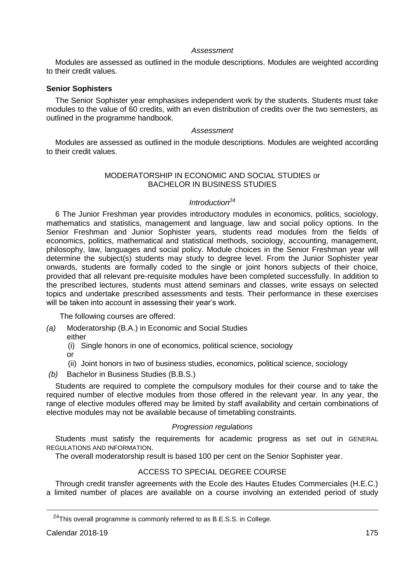## *Assessment*

Modules are assessed as outlined in the module descriptions. Modules are weighted according to their credit values.

# **Senior Sophisters**

The Senior Sophister year emphasises independent work by the students. Students must take modules to the value of 60 credits, with an even distribution of credits over the two semesters, as outlined in the programme handbook.

## *Assessment*

Modules are assessed as outlined in the module descriptions. Modules are weighted according to their credit values.

## MODERATORSHIP IN ECONOMIC AND SOCIAL STUDIES or BACHELOR IN BUSINESS STUDIES

# *Introduction<sup>24</sup>*

6 The Junior Freshman year provides introductory modules in economics, politics, sociology, mathematics and statistics, management and language, law and social policy options. In the Senior Freshman and Junior Sophister years, students read modules from the fields of economics, politics, mathematical and statistical methods, sociology, accounting, management, philosophy, law, languages and social policy. Module choices in the Senior Freshman year will determine the subject(s) students may study to degree level. From the Junior Sophister year onwards, students are formally coded to the single or joint honors subjects of their choice, provided that all relevant pre-requisite modules have been completed successfully. In addition to the prescribed lectures, students must attend seminars and classes, write essays on selected topics and undertake prescribed assessments and tests. Their performance in these exercises will be taken into account in assessing their year's work.

The following courses are offered:

- *(a)* Moderatorship (B.A.) in Economic and Social Studies either
	- (i) Single honors in one of economics, political science, sociology
	- or
	- (ii) Joint honors in two of business studies, economics, political science, sociology
- *(b)* Bachelor in Business Studies (B.B.S.)

Students are required to complete the compulsory modules for their course and to take the required number of elective modules from those offered in the relevant year. In any year, the range of elective modules offered may be limited by staff availability and certain combinations of elective modules may not be available because of timetabling constraints.

### *Progression regulations*

Students must satisfy the requirements for academic progress as set out in GENERAL REGULATIONS AND INFORMATION.

The overall moderatorship result is based 100 per cent on the Senior Sophister year.

## ACCESS TO SPECIAL DEGREE COURSE

Through credit transfer agreements with the Ecole des Hautes Etudes Commerciales (H.E.C.) a limited number of places are available on a course involving an extended period of study

<sup>&</sup>lt;sup>24</sup>This overall programme is commonly referred to as B.E.S.S. in College.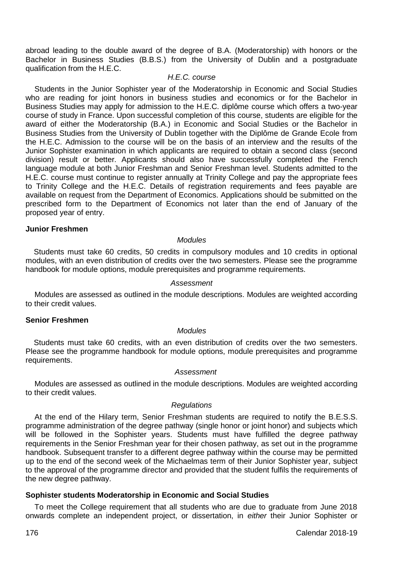abroad leading to the double award of the degree of B.A. (Moderatorship) with honors or the Bachelor in Business Studies (B.B.S.) from the University of Dublin and a postgraduate qualification from the H.E.C.

# *H.E.C. course*

Students in the Junior Sophister year of the Moderatorship in Economic and Social Studies who are reading for joint honors in business studies and economics or for the Bachelor in Business Studies may apply for admission to the H.E.C. diplôme course which offers a two-year course of study in France. Upon successful completion of this course, students are eligible for the award of either the Moderatorship (B.A.) in Economic and Social Studies or the Bachelor in Business Studies from the University of Dublin together with the Diplôme de Grande Ecole from the H.E.C. Admission to the course will be on the basis of an interview and the results of the Junior Sophister examination in which applicants are required to obtain a second class (second division) result or better. Applicants should also have successfully completed the French language module at both Junior Freshman and Senior Freshman level. Students admitted to the H.E.C. course must continue to register annually at Trinity College and pay the appropriate fees to Trinity College and the H.E.C. Details of registration requirements and fees payable are available on request from the Department of Economics. Applications should be submitted on the prescribed form to the Department of Economics not later than the end of January of the proposed year of entry.

## **Junior Freshmen**

## *Modules*

Students must take 60 credits, 50 credits in compulsory modules and 10 credits in optional modules, with an even distribution of credits over the two semesters. Please see the programme handbook for module options, module prerequisites and programme requirements.

### *Assessment*

Modules are assessed as outlined in the module descriptions. Modules are weighted according to their credit values.

## **Senior Freshmen**

### *Modules*

Students must take 60 credits, with an even distribution of credits over the two semesters. Please see the programme handbook for module options, module prerequisites and programme requirements.

#### *Assessment*

Modules are assessed as outlined in the module descriptions. Modules are weighted according to their credit values.

## *Regulations*

At the end of the Hilary term, Senior Freshman students are required to notify the B.E.S.S. programme administration of the degree pathway (single honor or joint honor) and subjects which will be followed in the Sophister years. Students must have fulfilled the degree pathway requirements in the Senior Freshman year for their chosen pathway, as set out in the programme handbook. Subsequent transfer to a different degree pathway within the course may be permitted up to the end of the second week of the Michaelmas term of their Junior Sophister year, subject to the approval of the programme director and provided that the student fulfils the requirements of the new degree pathway.

## **Sophister students Moderatorship in Economic and Social Studies**

To meet the College requirement that all students who are due to graduate from June 2018 onwards complete an independent project, or dissertation, in *either* their Junior Sophister or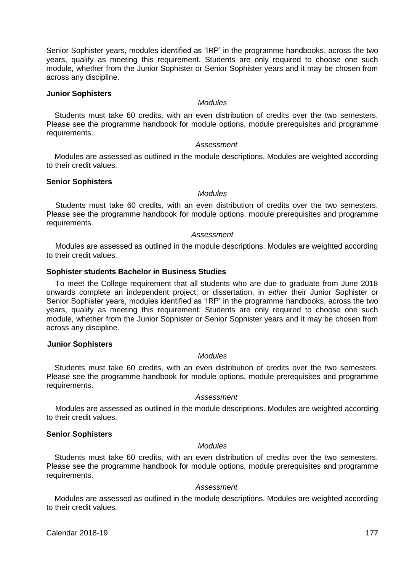Senior Sophister years, modules identified as 'IRP' in the programme handbooks, across the two years, qualify as meeting this requirement. Students are only required to choose one such module, whether from the Junior Sophister or Senior Sophister years and it may be chosen from across any discipline.

## **Junior Sophisters**

# *Modules*

Students must take 60 credits, with an even distribution of credits over the two semesters. Please see the programme handbook for module options, module prerequisites and programme requirements.

### *Assessment*

Modules are assessed as outlined in the module descriptions. Modules are weighted according to their credit values.

## **Senior Sophisters**

### *Modules*

Students must take 60 credits, with an even distribution of credits over the two semesters. Please see the programme handbook for module options, module prerequisites and programme requirements.

### *Assessment*

Modules are assessed as outlined in the module descriptions. Modules are weighted according to their credit values.

## **Sophister students Bachelor in Business Studies**

To meet the College requirement that all students who are due to graduate from June 2018 onwards complete an independent project, or dissertation, in *either* their Junior Sophister or Senior Sophister years, modules identified as 'IRP' in the programme handbooks, across the two years, qualify as meeting this requirement. Students are only required to choose one such module, whether from the Junior Sophister or Senior Sophister years and it may be chosen from across any discipline.

### **Junior Sophisters**

# *Modules*

Students must take 60 credits, with an even distribution of credits over the two semesters. Please see the programme handbook for module options, module prerequisites and programme requirements.

## *Assessment*

Modules are assessed as outlined in the module descriptions. Modules are weighted according to their credit values.

# **Senior Sophisters**

# *Modules*

Students must take 60 credits, with an even distribution of credits over the two semesters. Please see the programme handbook for module options, module prerequisites and programme requirements.

### *Assessment*

Modules are assessed as outlined in the module descriptions. Modules are weighted according to their credit values.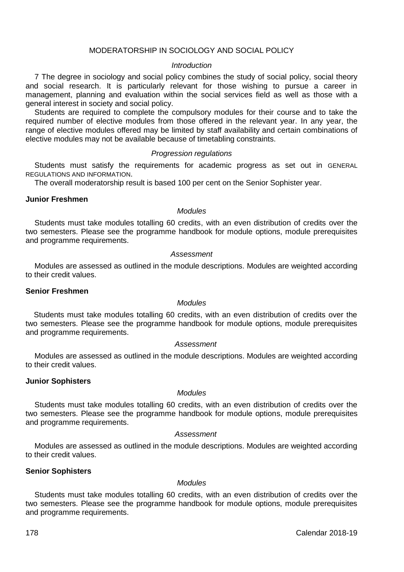# MODERATORSHIP IN SOCIOLOGY AND SOCIAL POLICY

### *Introduction*

7 The degree in sociology and social policy combines the study of social policy, social theory and social research. It is particularly relevant for those wishing to pursue a career in management, planning and evaluation within the social services field as well as those with a general interest in society and social policy.

Students are required to complete the compulsory modules for their course and to take the required number of elective modules from those offered in the relevant year. In any year, the range of elective modules offered may be limited by staff availability and certain combinations of elective modules may not be available because of timetabling constraints.

### *Progression regulations*

Students must satisfy the requirements for academic progress as set out in GENERAL REGULATIONS AND INFORMATION.

The overall moderatorship result is based 100 per cent on the Senior Sophister year.

## **Junior Freshmen**

### *Modules*

Students must take modules totalling 60 credits, with an even distribution of credits over the two semesters. Please see the programme handbook for module options, module prerequisites and programme requirements.

### *Assessment*

Modules are assessed as outlined in the module descriptions. Modules are weighted according to their credit values.

### **Senior Freshmen**

## *Modules*

Students must take modules totalling 60 credits, with an even distribution of credits over the two semesters. Please see the programme handbook for module options, module prerequisites and programme requirements.

## *Assessment*

Modules are assessed as outlined in the module descriptions. Modules are weighted according to their credit values.

### **Junior Sophisters**

# *Modules*

Students must take modules totalling 60 credits, with an even distribution of credits over the two semesters. Please see the programme handbook for module options, module prerequisites and programme requirements.

## *Assessment*

Modules are assessed as outlined in the module descriptions. Modules are weighted according to their credit values.

## **Senior Sophisters**

## *Modules*

Students must take modules totalling 60 credits, with an even distribution of credits over the two semesters. Please see the programme handbook for module options, module prerequisites and programme requirements.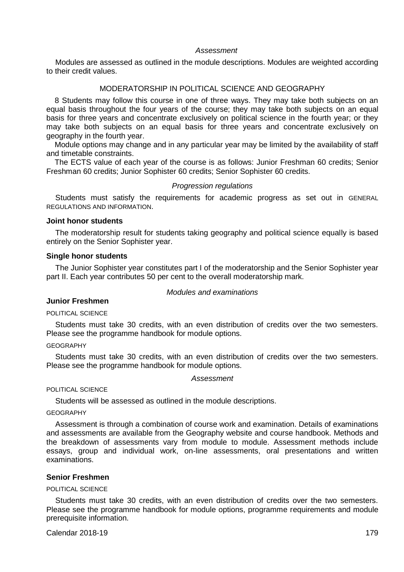# *Assessment*

Modules are assessed as outlined in the module descriptions. Modules are weighted according to their credit values.

# MODERATORSHIP IN POLITICAL SCIENCE AND GEOGRAPHY

8 Students may follow this course in one of three ways. They may take both subjects on an equal basis throughout the four years of the course; they may take both subjects on an equal basis for three years and concentrate exclusively on political science in the fourth year; or they may take both subjects on an equal basis for three years and concentrate exclusively on geography in the fourth year.

Module options may change and in any particular year may be limited by the availability of staff and timetable constraints.

The ECTS value of each year of the course is as follows: Junior Freshman 60 credits; Senior Freshman 60 credits; Junior Sophister 60 credits; Senior Sophister 60 credits.

### *Progression regulations*

Students must satisfy the requirements for academic progress as set out in GENERAL REGULATIONS AND INFORMATION.

## **Joint honor students**

The moderatorship result for students taking geography and political science equally is based entirely on the Senior Sophister year.

## **Single honor students**

The Junior Sophister year constitutes part I of the moderatorship and the Senior Sophister year part II. Each year contributes 50 per cent to the overall moderatorship mark.

## *Modules and examinations*

# **Junior Freshmen**

POLITICAL SCIENCE

Students must take 30 credits, with an even distribution of credits over the two semesters. Please see the programme handbook for module options.

### **GEOGRAPHY**

Students must take 30 credits, with an even distribution of credits over the two semesters. Please see the programme handbook for module options.

## *Assessment*

POLITICAL SCIENCE

Students will be assessed as outlined in the module descriptions.

## GEOGRAPHY

Assessment is through a combination of course work and examination. Details of examinations and assessments are available from the Geography website and course handbook. Methods and the breakdown of assessments vary from module to module. Assessment methods include essays, group and individual work, on-line assessments, oral presentations and written examinations.

## **Senior Freshmen**

#### POLITICAL SCIENCE

Students must take 30 credits, with an even distribution of credits over the two semesters. Please see the programme handbook for module options, programme requirements and module prerequisite information.

Calendar 2018-19 179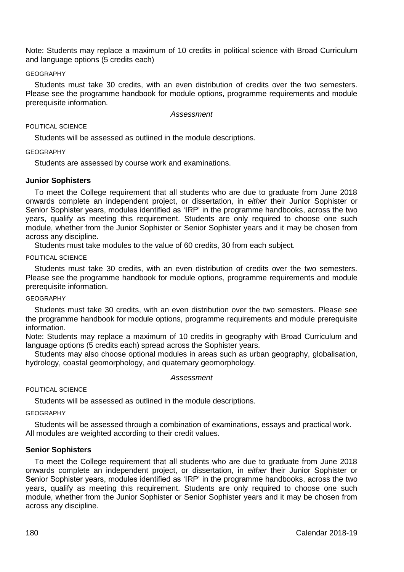Note: Students may replace a maximum of 10 credits in political science with Broad Curriculum and language options (5 credits each)

## GEOGRAPHY

Students must take 30 credits, with an even distribution of credits over the two semesters. Please see the programme handbook for module options, programme requirements and module prerequisite information.

#### *Assessment*

### POLITICAL SCIENCE

Students will be assessed as outlined in the module descriptions.

### GEOGRAPHY

Students are assessed by course work and examinations.

### **Junior Sophisters**

To meet the College requirement that all students who are due to graduate from June 2018 onwards complete an independent project, or dissertation, in *either* their Junior Sophister or Senior Sophister years, modules identified as 'IRP' in the programme handbooks, across the two years, qualify as meeting this requirement. Students are only required to choose one such module, whether from the Junior Sophister or Senior Sophister years and it may be chosen from across any discipline.

Students must take modules to the value of 60 credits, 30 from each subject.

#### POLITICAL SCIENCE

Students must take 30 credits, with an even distribution of credits over the two semesters. Please see the programme handbook for module options, programme requirements and module prerequisite information.

## **GEOGRAPHY**

Students must take 30 credits, with an even distribution over the two semesters. Please see the programme handbook for module options, programme requirements and module prerequisite information.

Note: Students may replace a maximum of 10 credits in geography with Broad Curriculum and language options (5 credits each) spread across the Sophister years.

Students may also choose optional modules in areas such as urban geography, globalisation, hydrology, coastal geomorphology, and quaternary geomorphology.

#### *Assessment*

### POLITICAL SCIENCE

Students will be assessed as outlined in the module descriptions.

#### **GEOGRAPHY**

Students will be assessed through a combination of examinations, essays and practical work. All modules are weighted according to their credit values.

### **Senior Sophisters**

To meet the College requirement that all students who are due to graduate from June 2018 onwards complete an independent project, or dissertation, in *either* their Junior Sophister or Senior Sophister years, modules identified as 'IRP' in the programme handbooks, across the two years, qualify as meeting this requirement. Students are only required to choose one such module, whether from the Junior Sophister or Senior Sophister years and it may be chosen from across any discipline.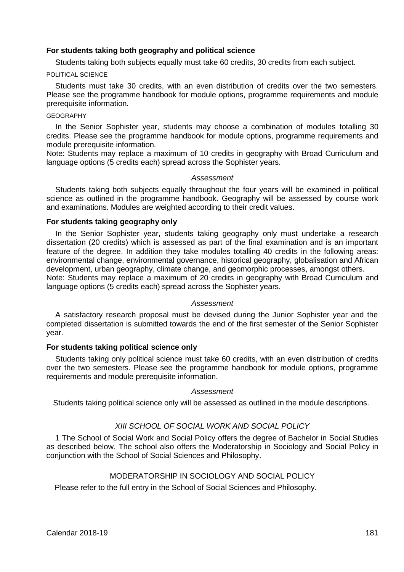## **For students taking both geography and political science**

Students taking both subjects equally must take 60 credits, 30 credits from each subject.

### POLITICAL SCIENCE

Students must take 30 credits, with an even distribution of credits over the two semesters. Please see the programme handbook for module options, programme requirements and module prerequisite information.

## GEOGRAPHY

In the Senior Sophister year, students may choose a combination of modules totalling 30 credits. Please see the programme handbook for module options, programme requirements and module prerequisite information.

Note: Students may replace a maximum of 10 credits in geography with Broad Curriculum and language options (5 credits each) spread across the Sophister years.

### *Assessment*

Students taking both subjects equally throughout the four years will be examined in political science as outlined in the programme handbook. Geography will be assessed by course work and examinations. Modules are weighted according to their credit values.

# **For students taking geography only**

In the Senior Sophister year, students taking geography only must undertake a research dissertation (20 credits) which is assessed as part of the final examination and is an important feature of the degree. In addition they take modules totalling 40 credits in the following areas: environmental change, environmental governance, historical geography, globalisation and African development, urban geography, climate change, and geomorphic processes, amongst others. Note: Students may replace a maximum of 20 credits in geography with Broad Curriculum and language options (5 credits each) spread across the Sophister years.

### *Assessment*

A satisfactory research proposal must be devised during the Junior Sophister year and the completed dissertation is submitted towards the end of the first semester of the Senior Sophister year.

## **For students taking political science only**

Students taking only political science must take 60 credits, with an even distribution of credits over the two semesters. Please see the programme handbook for module options, programme requirements and module prerequisite information.

#### *Assessment*

Students taking political science only will be assessed as outlined in the module descriptions.

## *XIII SCHOOL OF SOCIAL WORK AND SOCIAL POLICY*

1 The School of Social Work and Social Policy offers the degree of Bachelor in Social Studies as described below. The school also offers the Moderatorship in Sociology and Social Policy in conjunction with the School of Social Sciences and Philosophy.

## MODERATORSHIP IN SOCIOLOGY AND SOCIAL POLICY

Please refer to the full entry in the School of Social Sciences and Philosophy.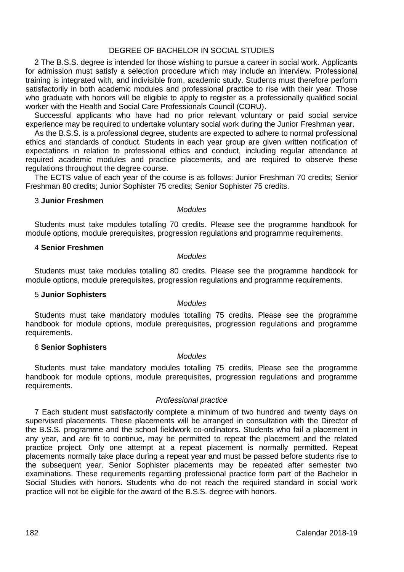## DEGREE OF BACHELOR IN SOCIAL STUDIES

2 The B.S.S. degree is intended for those wishing to pursue a career in social work. Applicants for admission must satisfy a selection procedure which may include an interview. Professional training is integrated with, and indivisible from, academic study. Students must therefore perform satisfactorily in both academic modules and professional practice to rise with their year. Those who graduate with honors will be eligible to apply to register as a professionally qualified social worker with the Health and Social Care Professionals Council (CORU).

Successful applicants who have had no prior relevant voluntary or paid social service experience may be required to undertake voluntary social work during the Junior Freshman year.

As the B.S.S. is a professional degree, students are expected to adhere to normal professional ethics and standards of conduct. Students in each year group are given written notification of expectations in relation to professional ethics and conduct, including regular attendance at required academic modules and practice placements, and are required to observe these regulations throughout the degree course.

The ECTS value of each year of the course is as follows: Junior Freshman 70 credits; Senior Freshman 80 credits; Junior Sophister 75 credits; Senior Sophister 75 credits.

## 3 **Junior Freshmen**

### *Modules*

Students must take modules totalling 70 credits. Please see the programme handbook for module options, module prerequisites, progression regulations and programme requirements.

## 4 **Senior Freshmen**

### *Modules*

Students must take modules totalling 80 credits. Please see the programme handbook for module options, module prerequisites, progression regulations and programme requirements.

### 5 **Junior Sophisters**

### *Modules*

Students must take mandatory modules totalling 75 credits. Please see the programme handbook for module options, module prerequisites, progression regulations and programme requirements.

## 6 **Senior Sophisters**

# *Modules*

Students must take mandatory modules totalling 75 credits. Please see the programme handbook for module options, module prerequisites, progression regulations and programme requirements.

### *Professional practice*

7 Each student must satisfactorily complete a minimum of two hundred and twenty days on supervised placements. These placements will be arranged in consultation with the Director of the B.S.S. programme and the school fieldwork co-ordinators. Students who fail a placement in any year, and are fit to continue, may be permitted to repeat the placement and the related practice project. Only one attempt at a repeat placement is normally permitted. Repeat placements normally take place during a repeat year and must be passed before students rise to the subsequent year. Senior Sophister placements may be repeated after semester two examinations. These requirements regarding professional practice form part of the Bachelor in Social Studies with honors. Students who do not reach the required standard in social work practice will not be eligible for the award of the B.S.S. degree with honors.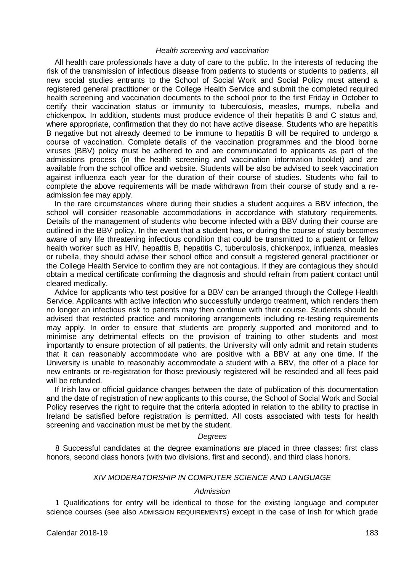## *Health screening and vaccination*

All health care professionals have a duty of care to the public. In the interests of reducing the risk of the transmission of infectious disease from patients to students or students to patients, all new social studies entrants to the School of Social Work and Social Policy must attend a registered general practitioner or the College Health Service and submit the completed required health screening and vaccination documents to the school prior to the first Friday in October to certify their vaccination status or immunity to tuberculosis, measles, mumps, rubella and chickenpox. In addition, students must produce evidence of their hepatitis B and C status and, where appropriate, confirmation that they do not have active disease. Students who are hepatitis B negative but not already deemed to be immune to hepatitis B will be required to undergo a course of vaccination. Complete details of the vaccination programmes and the blood borne viruses (BBV) policy must be adhered to and are communicated to applicants as part of the admissions process (in the health screening and vaccination information booklet) and are available from the school office and website. Students will be also be advised to seek vaccination against influenza each year for the duration of their course of studies. Students who fail to complete the above requirements will be made withdrawn from their course of study and a readmission fee may apply.

In the rare circumstances where during their studies a student acquires a BBV infection, the school will consider reasonable accommodations in accordance with statutory requirements. Details of the management of students who become infected with a BBV during their course are outlined in the BBV policy. In the event that a student has, or during the course of study becomes aware of any life threatening infectious condition that could be transmitted to a patient or fellow health worker such as HIV, hepatitis B, hepatitis C, tuberculosis, chickenpox, influenza, measles or rubella, they should advise their school office and consult a registered general practitioner or the College Health Service to confirm they are not contagious. If they are contagious they should obtain a medical certificate confirming the diagnosis and should refrain from patient contact until cleared medically.

Advice for applicants who test positive for a BBV can be arranged through the College Health Service. Applicants with active infection who successfully undergo treatment, which renders them no longer an infectious risk to patients may then continue with their course. Students should be advised that restricted practice and monitoring arrangements including re-testing requirements may apply. In order to ensure that students are properly supported and monitored and to minimise any detrimental effects on the provision of training to other students and most importantly to ensure protection of all patients, the University will only admit and retain students that it can reasonably accommodate who are positive with a BBV at any one time. If the University is unable to reasonably accommodate a student with a BBV, the offer of a place for new entrants or re-registration for those previously registered will be rescinded and all fees paid will be refunded.

If Irish law or official guidance changes between the date of publication of this documentation and the date of registration of new applicants to this course, the School of Social Work and Social Policy reserves the right to require that the criteria adopted in relation to the ability to practise in Ireland be satisfied before registration is permitted. All costs associated with tests for health screening and vaccination must be met by the student.

#### *Degrees*

8 Successful candidates at the degree examinations are placed in three classes: first class honors, second class honors (with two divisions, first and second), and third class honors.

### *XIV MODERATORSHIP IN COMPUTER SCIENCE AND LANGUAGE*

### *Admission*

1 Qualifications for entry will be identical to those for the existing language and computer science courses (see also ADMISSION REQUIREMENTS) except in the case of Irish for which grade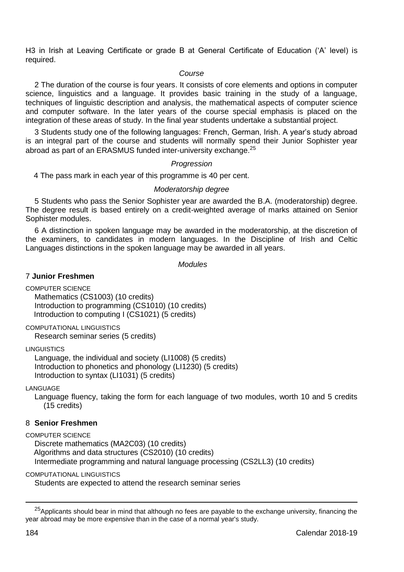H3 in Irish at Leaving Certificate or grade B at General Certificate of Education ('A' level) is required.

## *Course*

2 The duration of the course is four years. It consists of core elements and options in computer science, linguistics and a language. It provides basic training in the study of a language, techniques of linguistic description and analysis, the mathematical aspects of computer science and computer software. In the later years of the course special emphasis is placed on the integration of these areas of study. In the final year students undertake a substantial project.

3 Students study one of the following languages: French, German, Irish. A year's study abroad is an integral part of the course and students will normally spend their Junior Sophister year abroad as part of an ERASMUS funded inter-university exchange.<sup>25</sup>

### *Progression*

4 The pass mark in each year of this programme is 40 per cent.

### *Moderatorship degree*

5 Students who pass the Senior Sophister year are awarded the B.A. (moderatorship) degree. The degree result is based entirely on a credit-weighted average of marks attained on Senior Sophister modules.

6 A distinction in spoken language may be awarded in the moderatorship, at the discretion of the examiners, to candidates in modern languages. In the Discipline of Irish and Celtic Languages distinctions in the spoken language may be awarded in all years.

*Modules*

## 7 **Junior Freshmen**

COMPUTER SCIENCE

Mathematics (CS1003) (10 credits) Introduction to programming (CS1010) (10 credits) Introduction to computing I (CS1021) (5 credits)

COMPUTATIONAL LINGUISTICS

Research seminar series (5 credits)

LINGUISTICS

Language, the individual and society (LI1008) (5 credits) Introduction to phonetics and phonology (LI1230) (5 credits) Introduction to syntax (LI1031) (5 credits)

LANGUAGE

Language fluency, taking the form for each language of two modules, worth 10 and 5 credits (15 credits)

## 8 **Senior Freshmen**

COMPUTER SCIENCE

Discrete mathematics (MA2C03) (10 credits) Algorithms and data structures (CS2010) (10 credits) Intermediate programming and natural language processing (CS2LL3) (10 credits)

### COMPUTATIONAL LINGUISTICS

Students are expected to attend the research seminar series

-

 $25$ Applicants should bear in mind that although no fees are payable to the exchange university, financing the year abroad may be more expensive than in the case of a normal year's study.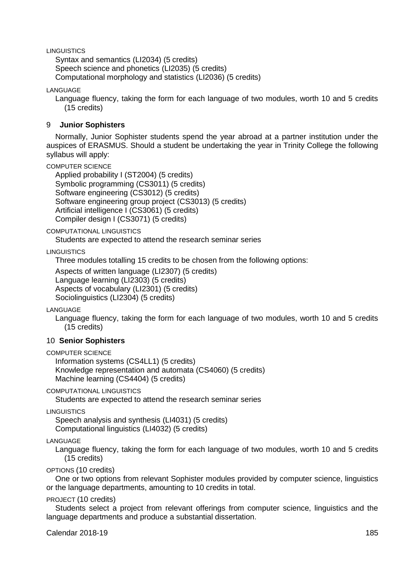LINGUISTICS

Syntax and semantics (LI2034) (5 credits) Speech science and phonetics (LI2035) (5 credits) Computational morphology and statistics (LI2036) (5 credits)

LANGUAGE

Language fluency, taking the form for each language of two modules, worth 10 and 5 credits (15 credits)

## 9 **Junior Sophisters**

Normally, Junior Sophister students spend the year abroad at a partner institution under the auspices of ERASMUS. Should a student be undertaking the year in Trinity College the following syllabus will apply:

COMPUTER SCIENCE

Applied probability I (ST2004) (5 credits) Symbolic programming (CS3011) (5 credits) Software engineering (CS3012) (5 credits) Software engineering group project (CS3013) (5 credits) Artificial intelligence I (CS3061) (5 credits) Compiler design I (CS3071) (5 credits)

### COMPUTATIONAL LINGUISTICS

Students are expected to attend the research seminar series

LINGUISTICS

Three modules totalling 15 credits to be chosen from the following options:

Aspects of written language (LI2307) (5 credits) Language learning (LI2303) (5 credits) Aspects of vocabulary (LI2301) (5 credits) Sociolinguistics (LI2304) (5 credits)

LANGUAGE

Language fluency, taking the form for each language of two modules, worth 10 and 5 credits (15 credits)

## 10 **Senior Sophisters**

COMPUTER SCIENCE

Information systems (CS4LL1) (5 credits) Knowledge representation and automata (CS4060) (5 credits) Machine learning (CS4404) (5 credits)

COMPUTATIONAL LINGUISTICS

Students are expected to attend the research seminar series

**LINGUISTICS** 

Speech analysis and synthesis (LI4031) (5 credits) Computational linguistics (LI4032) (5 credits)

### LANGUAGE

Language fluency, taking the form for each language of two modules, worth 10 and 5 credits (15 credits)

OPTIONS (10 credits)

One or two options from relevant Sophister modules provided by computer science, linguistics or the language departments, amounting to 10 credits in total.

PROJECT (10 credits)

Students select a project from relevant offerings from computer science, linguistics and the language departments and produce a substantial dissertation.

**Calendar 2018-19** 185